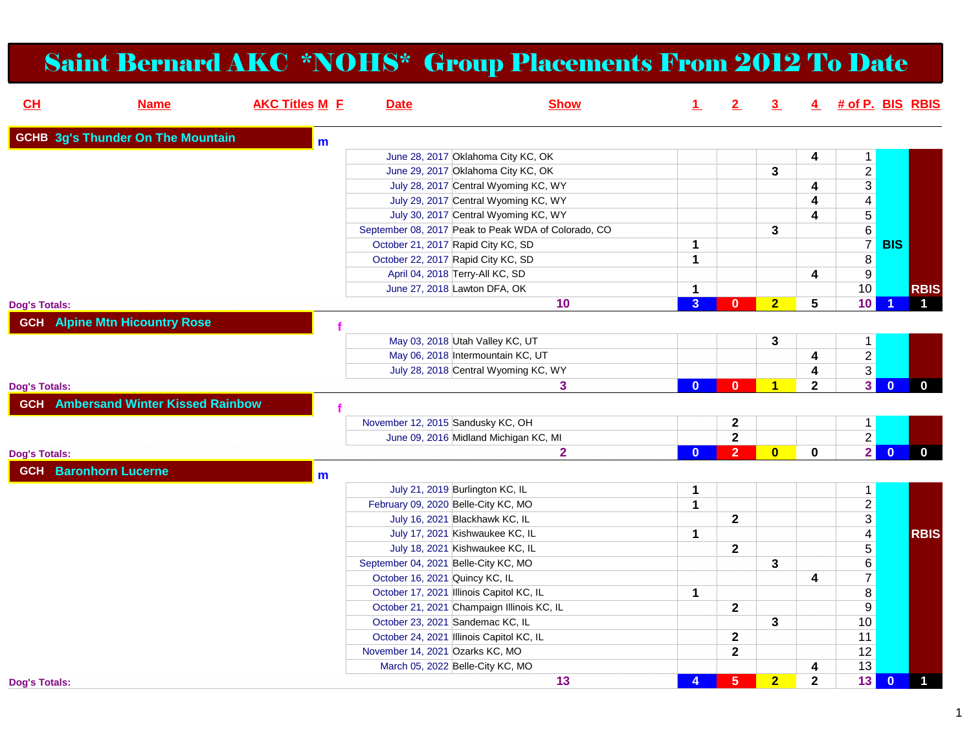## Saint Bernard AKC \*NOHS\* Group Placements From 2012 To Date

| CL                   | <b>Name</b>                                | <b>AKC Titles M E</b> | <b>Date</b>                              | <b>Show</b>                                         | $\perp$        | 2              | $\overline{\mathbf{3}}$ |                         | 4 # of P. BIS RBIS      |                         |                |
|----------------------|--------------------------------------------|-----------------------|------------------------------------------|-----------------------------------------------------|----------------|----------------|-------------------------|-------------------------|-------------------------|-------------------------|----------------|
|                      | <b>GCHB 3g's Thunder On The Mountain</b>   | m                     |                                          |                                                     |                |                |                         |                         |                         |                         |                |
|                      |                                            |                       |                                          | June 28, 2017 Oklahoma City KC, OK                  |                |                |                         | 4                       | $\mathbf{1}$            |                         |                |
|                      |                                            |                       |                                          | June 29, 2017 Oklahoma City KC, OK                  |                |                | 3                       |                         | $\overline{2}$          |                         |                |
|                      |                                            |                       |                                          | July 28, 2017 Central Wyoming KC, WY                |                |                |                         | 4                       | $\overline{3}$          |                         |                |
|                      |                                            |                       |                                          | July 29, 2017 Central Wyoming KC, WY                |                |                |                         | 4                       | $\overline{4}$          |                         |                |
|                      |                                            |                       |                                          | July 30, 2017 Central Wyoming KC, WY                |                |                |                         | 4                       | $\overline{5}$          |                         |                |
|                      |                                            |                       |                                          | September 08, 2017 Peak to Peak WDA of Colorado, CO |                |                | 3                       |                         | $\frac{6}{7}$           |                         |                |
|                      |                                            |                       | October 21, 2017 Rapid City KC, SD       |                                                     | 1              |                |                         |                         |                         | <b>BIS</b>              |                |
|                      |                                            |                       | October 22, 2017 Rapid City KC, SD       |                                                     | $\mathbf 1$    |                |                         |                         | $\overline{\bf 8}$      |                         |                |
|                      |                                            |                       | April 04, 2018 Terry-All KC, SD          |                                                     |                |                |                         | 4                       | $\overline{9}$          |                         |                |
|                      |                                            |                       | June 27, 2018 Lawton DFA, OK             |                                                     | $\mathbf 1$    |                |                         |                         | 10                      |                         | <b>RBIS</b>    |
| <b>Dog's Totals:</b> |                                            |                       |                                          | 10                                                  | $\overline{3}$ | $\mathbf{0}$   | 2 <sup>1</sup>          | $\overline{\mathbf{5}}$ | 10                      |                         | $\mathbf 1$    |
|                      | <b>GCH</b> Alpine Mtn Hicountry Rose       |                       |                                          |                                                     |                |                |                         |                         |                         |                         |                |
|                      |                                            |                       |                                          | May 03, 2018 Utah Valley KC, UT                     |                |                | 3                       |                         | $\mathbf{1}$            |                         |                |
|                      |                                            |                       |                                          | May 06, 2018 Intermountain KC, UT                   |                |                |                         | 4                       | $\overline{2}$          |                         |                |
|                      |                                            |                       |                                          | July 28, 2018 Central Wyoming KC, WY                |                |                |                         | 4                       | $\overline{3}$          |                         |                |
| <b>Dog's Totals:</b> |                                            |                       |                                          | 3                                                   | $\Omega$       | $\mathbf{0}$   | $\overline{4}$          | $\overline{\mathbf{2}}$ | 3 <sup>1</sup>          | $\overline{0}$          | $\mathbf{0}$   |
|                      | <b>GCH</b> Ambersand Winter Kissed Rainbow |                       |                                          |                                                     |                |                |                         |                         |                         |                         |                |
|                      |                                            |                       | November 12, 2015 Sandusky KC, OH        |                                                     |                | 2              |                         |                         | 1                       |                         |                |
|                      |                                            |                       |                                          | June 09, 2016 Midland Michigan KC, MI               |                | $\overline{2}$ |                         |                         | $\overline{2}$          |                         |                |
| <b>Dog's Totals:</b> |                                            |                       |                                          | $\overline{2}$                                      | $\Omega$       | $\overline{2}$ | $\overline{\mathbf{0}}$ | $\bf{0}$                | $\overline{2}$          | $\Omega$                | $\mathbf{0}$   |
|                      |                                            |                       |                                          |                                                     |                |                |                         |                         |                         |                         |                |
|                      | <b>GCH</b> Baronhorn Lucerne               | m                     |                                          |                                                     |                |                |                         |                         |                         |                         |                |
|                      |                                            |                       | July 21, 2019 Burlington KC, IL          |                                                     | $\mathbf 1$    |                |                         |                         | $\mathbf{1}$            |                         |                |
|                      |                                            |                       | February 09, 2020 Belle-City KC, MO      |                                                     | $\overline{1}$ |                |                         |                         | $\overline{2}$          |                         |                |
|                      |                                            |                       | July 16, 2021 Blackhawk KC, IL           |                                                     |                | $\mathbf{2}$   |                         |                         | $\overline{3}$          |                         |                |
|                      |                                            |                       | July 17, 2021 Kishwaukee KC, IL          |                                                     | 1              |                |                         |                         | $\overline{4}$          |                         | <b>RBIS</b>    |
|                      |                                            |                       | July 18, 2021 Kishwaukee KC, IL          |                                                     |                | $\mathbf{2}$   |                         |                         | $\overline{5}$          |                         |                |
|                      |                                            |                       | September 04, 2021 Belle-City KC, MO     |                                                     |                |                | 3                       |                         | $\overline{6}$          |                         |                |
|                      |                                            |                       | October 16, 2021 Quincy KC, IL           |                                                     |                |                |                         | $\overline{4}$          | $\overline{7}$          |                         |                |
|                      |                                            |                       | October 17, 2021 Illinois Capitol KC, IL |                                                     | $\mathbf{1}$   |                |                         |                         | $\overline{\textbf{8}}$ |                         |                |
|                      |                                            |                       |                                          | October 21, 2021 Champaign Illinois KC, IL          |                | $\mathbf{2}$   |                         |                         | $\overline{9}$          |                         |                |
|                      |                                            |                       | October 23, 2021 Sandemac KC, IL         |                                                     |                |                | 3                       |                         | 10                      |                         |                |
|                      |                                            |                       | October 24, 2021 Illinois Capitol KC, IL |                                                     |                | $\mathbf{2}$   |                         |                         | 11                      |                         |                |
|                      |                                            |                       | November 14, 2021 Ozarks KC, MO          |                                                     |                | $\mathbf{2}$   |                         |                         | 12                      |                         |                |
|                      |                                            |                       | March 05, 2022 Belle-City KC, MO         |                                                     |                |                |                         | 4                       | 13                      |                         |                |
| <b>Dog's Totals:</b> |                                            |                       |                                          | 13                                                  | $\overline{4}$ | 5 <sup>1</sup> | 2 <sub>2</sub>          | $\overline{\mathbf{2}}$ | 13                      | $\overline{\mathbf{0}}$ | $\blacksquare$ |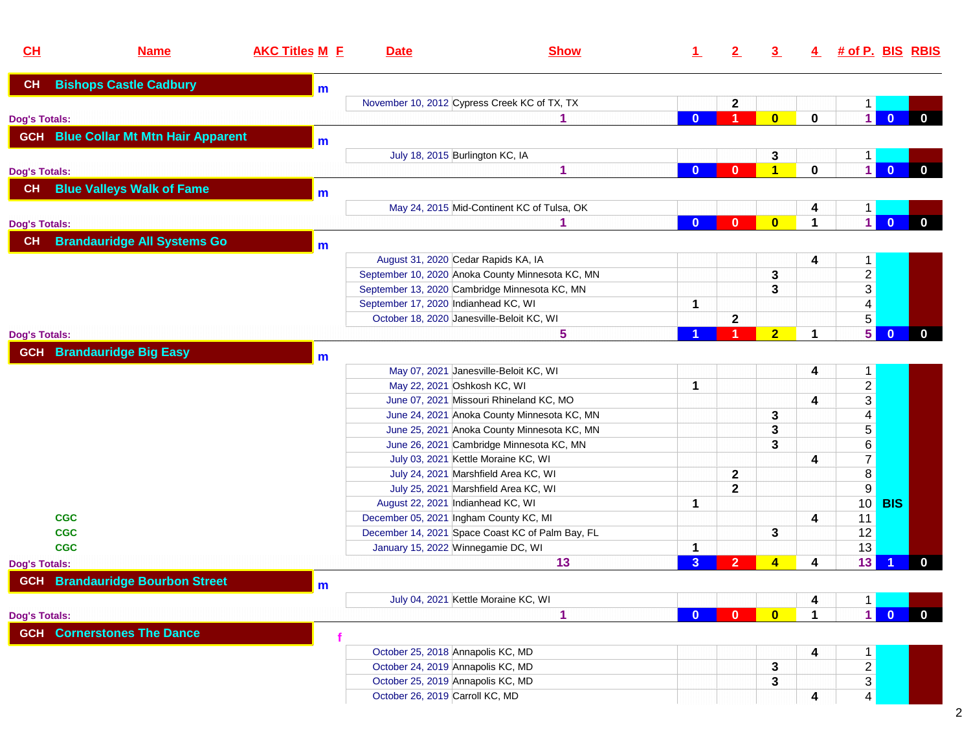| CH                   | <b>Name</b>                                 | <b>AKC Titles M F</b> | <b>Date</b>                          | <b>Show</b>                                      | $\perp$        | 2              | $\overline{3}$          | 4           | <u># of P. BIS_RBIS</u> |              |              |
|----------------------|---------------------------------------------|-----------------------|--------------------------------------|--------------------------------------------------|----------------|----------------|-------------------------|-------------|-------------------------|--------------|--------------|
| CH                   | <b>Bishops Castle Cadbury</b>               | m                     |                                      |                                                  |                |                |                         |             |                         |              |              |
|                      |                                             |                       |                                      | November 10, 2012 Cypress Creek KC of TX, TX     |                | $\mathbf 2$    |                         |             |                         |              |              |
| <b>Dog's Totals:</b> |                                             |                       |                                      |                                                  | $\Omega$       | 1              | $\overline{\mathbf{0}}$ | $\bf{0}$    | $\mathbf{1}$            | $\mathbf{0}$ | $\mathbf{0}$ |
|                      | <b>GCH</b> Blue Collar Mt Mtn Hair Apparent | m                     |                                      |                                                  |                |                |                         |             |                         |              |              |
|                      |                                             |                       |                                      | July 18, 2015 Burlington KC, IA                  |                |                | 3                       |             | 1.                      |              |              |
| <b>Dog's Totals:</b> |                                             |                       |                                      | 1                                                | $\bf{0}$       | $\bf{0}$       | $\overline{\mathbf{1}}$ | $\mathbf 0$ | $\mathbf{1}$            | $\bf{0}$     | $\mathbf 0$  |
| CH                   | <b>Blue Valleys Walk of Fame</b>            | m                     |                                      |                                                  |                |                |                         |             |                         |              |              |
|                      |                                             |                       |                                      | May 24, 2015 Mid-Continent KC of Tulsa, OK       |                |                |                         | 4           |                         |              |              |
| <b>Dog's Totals:</b> |                                             |                       |                                      |                                                  | $\mathbf{0}$   | $\mathbf{0}$   | $\overline{\mathbf{0}}$ | 1           | $\mathbf{1}$            | $\Omega$     | $\mathbf{0}$ |
| <b>CH</b>            | <b>Brandauridge All Systems Go</b>          | m                     |                                      |                                                  |                |                |                         |             |                         |              |              |
|                      |                                             |                       |                                      | August 31, 2020 Cedar Rapids KA, IA              |                |                |                         | 4           | 1.                      |              |              |
|                      |                                             |                       |                                      | September 10, 2020 Anoka County Minnesota KC, MN |                |                | 3                       |             |                         |              |              |
|                      |                                             |                       |                                      | September 13, 2020 Cambridge Minnesota KC, MN    |                |                | 3                       |             | $\frac{2}{3}$           |              |              |
|                      |                                             |                       | September 17, 2020 Indianhead KC, WI |                                                  | 1              |                |                         |             | $\overline{4}$          |              |              |
|                      |                                             |                       |                                      | October 18, 2020 Janesville-Beloit KC, WI        |                | $\mathbf{2}$   |                         |             | 5                       |              |              |
| <b>Dog's Totals:</b> |                                             |                       |                                      | 5                                                |                |                | $\overline{2}$          | $\mathbf 1$ | 5 <sup>1</sup>          | $\bf{0}$     | $\mathbf 0$  |
| <b>GCH</b>           | <b>Brandauridge Big Easy</b>                | m                     |                                      |                                                  |                |                |                         |             |                         |              |              |
|                      |                                             |                       |                                      | May 07, 2021 Janesville-Beloit KC, WI            |                |                |                         | 4           | $\mathbf{1}$            |              |              |
|                      |                                             |                       |                                      | May 22, 2021 Oshkosh KC, WI                      | $\mathbf{1}$   |                |                         |             |                         |              |              |
|                      |                                             |                       |                                      | June 07, 2021 Missouri Rhineland KC, MO          |                |                |                         | 4           | $\frac{2}{3}$           |              |              |
|                      |                                             |                       |                                      | June 24, 2021 Anoka County Minnesota KC, MN      |                |                | 3                       |             | $\overline{\mathbf{4}}$ |              |              |
|                      |                                             |                       |                                      | June 25, 2021 Anoka County Minnesota KC, MN      |                |                | 3                       |             | 5                       |              |              |
|                      |                                             |                       |                                      | June 26, 2021 Cambridge Minnesota KC, MN         |                |                | 3                       |             | $6\,$                   |              |              |
|                      |                                             |                       |                                      | July 03, 2021 Kettle Moraine KC, WI              |                |                |                         | 4           | $\overline{7}$          |              |              |
|                      |                                             |                       |                                      | July 24, 2021 Marshfield Area KC, WI             |                | $\mathbf 2$    |                         |             | $\overline{\bf 8}$      |              |              |
|                      |                                             |                       |                                      | July 25, 2021 Marshfield Area KC, WI             |                | $\mathbf{2}$   |                         |             | $\overline{9}$          |              |              |
|                      |                                             |                       |                                      | August 22, 2021 Indianhead KC, WI                | 1              |                |                         |             | 10 <sup>°</sup>         | <b>BIS</b>   |              |
| <b>CGC</b>           |                                             |                       |                                      | December 05, 2021 Ingham County KC, MI           |                |                |                         | 4           | 11                      |              |              |
| <b>CGC</b>           |                                             |                       |                                      | December 14, 2021 Space Coast KC of Palm Bay, FL |                |                | 3                       |             | 12                      |              |              |
| <b>CGC</b>           |                                             |                       |                                      | January 15, 2022 Winnegamie DC, WI               | 1              |                |                         |             | 13                      |              |              |
| <b>Dog's Totals:</b> |                                             |                       |                                      | 13                                               | $\overline{3}$ | $\overline{2}$ | $\overline{\mathbf{4}}$ | 4           | 13                      |              | $\bf{0}$     |
|                      | <b>GCH</b> Brandauridge Bourbon Street      | m                     |                                      |                                                  |                |                |                         |             |                         |              |              |
|                      |                                             |                       |                                      | July 04, 2021 Kettle Moraine KC, WI              |                |                |                         | 4           | 1                       |              |              |
| <b>Dog's Totals:</b> |                                             |                       |                                      | 1                                                | $\bf{0}$       | $\mathbf{0}$   | $\mathbf{0}$            | 1           | 1.                      | $\mathbf{0}$ | $\bf{0}$     |
|                      | <b>GCH</b> Cornerstones The Dance           |                       |                                      |                                                  |                |                |                         |             |                         |              |              |
|                      |                                             |                       | October 25, 2018 Annapolis KC, MD    |                                                  |                |                |                         | 4           | $\mathbf{1}$            |              |              |
|                      |                                             |                       | October 24, 2019 Annapolis KC, MD    |                                                  |                |                | 3                       |             | $\overline{c}$          |              |              |
|                      |                                             |                       | October 25, 2019 Annapolis KC, MD    |                                                  |                |                | 3                       |             | $\mathfrak{S}$          |              |              |
|                      |                                             |                       | October 26, 2019 Carroll KC, MD      |                                                  |                |                |                         | 4           | $\overline{4}$          |              |              |

2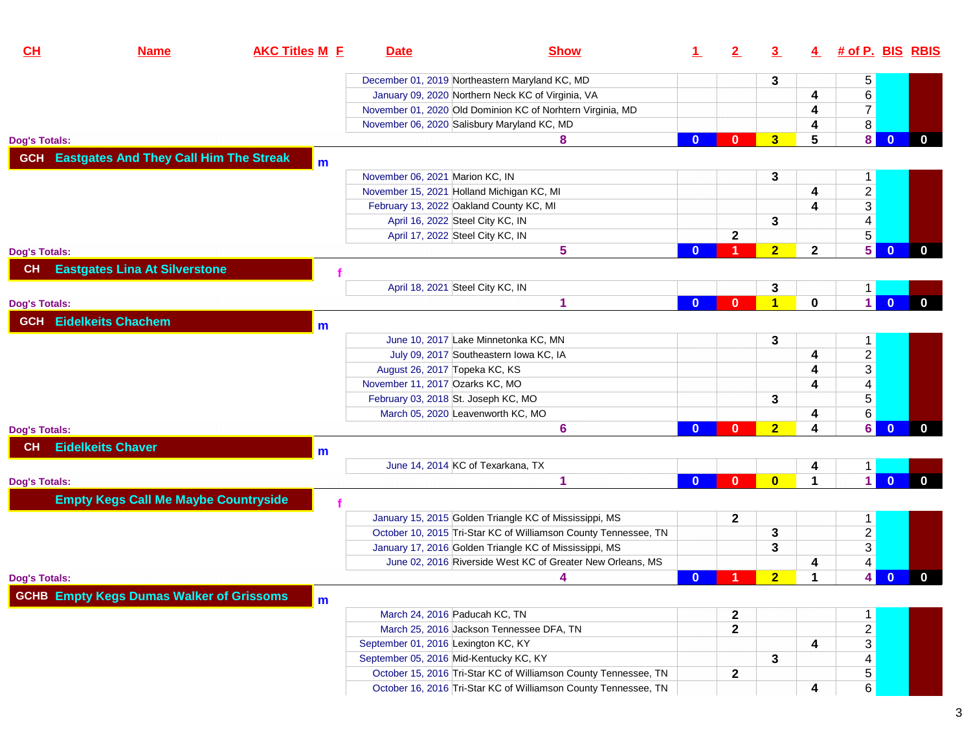| December 01, 2019 Northeastern Maryland KC, MD<br>5<br>3<br>$\overline{6}$<br>January 09, 2020 Northern Neck KC of Virginia, VA<br>4<br>$\overline{7}$<br>November 01, 2020 Old Dominion KC of Norhtern Virginia, MD<br>4<br>8<br>November 06, 2020 Salisbury Maryland KC, MD<br>4<br>$\mathbf{8}$<br>3 <sup>5</sup><br>5<br>$\mathbf{0}$<br>8<br>$\mathbf{0}$<br>$\bf{0}$<br><b>Dog's Totals:</b><br><b>Eastgates And They Call Him The Streak</b><br><b>GCH</b><br>$\mathbf{m}$<br>November 06, 2021 Marion KC, IN<br>3<br>1<br>$\frac{2}{3}$<br>November 15, 2021 Holland Michigan KC, MI<br>4<br>February 13, 2022 Oakland County KC, MI<br>4<br>4<br>3<br>April 16, 2022 Steel City KC, IN<br>5<br>$\mathbf 2$<br>April 17, 2022 Steel City KC, IN<br>5 <sup>1</sup><br>5<br>2 <sub>2</sub><br>$\mathbf{0}$<br>$\mathbf 2$<br>$\mathbf{0}$<br><b>Dog's Totals:</b><br><b>Eastgates Lina At Silverstone</b><br>CH<br>April 18, 2021 Steel City KC, IN<br>3<br>$\mathbf 1$<br>$\blacksquare$<br>$\blacktriangleleft$<br>0<br>$\overline{0}$<br>1<br>0<br>$\mathbf{0}$<br><b>Dog's Totals:</b><br><b>Eidelkeits Chachem</b><br><b>GCH</b><br>$\mathbf{m}$<br>June 10, 2017 Lake Minnetonka KC, MN<br>3<br>1<br>$\overline{a}$<br>July 09, 2017 Southeastern Iowa KC, IA<br>4<br>$\mathfrak{S}$<br>August 26, 2017 Topeka KC, KS<br>4<br>$\overline{\mathbf{4}}$<br>November 11, 2017 Ozarks KC, MO<br>4<br>5<br>February 03, 2018 St. Joseph KC, MO<br>3<br>6<br>March 05, 2020 Leavenworth KC, MO<br>4<br>6 <br>$\overline{2}$<br>$\overline{0}$<br>6<br>$\mathbf{0}$<br>4<br>$\bf{0}$<br><b>Dog's Totals:</b><br><b>Eidelkeits Chaver</b><br>CН<br>m<br>June 14, 2014 KC of Texarkana, TX<br>4<br>$\mathbf 1$<br>$\blacksquare$<br>$\overline{0}$<br>$\overline{\mathbf{0}}$<br>$\Omega$<br>1<br>1<br>$\Omega$<br><b>Dog's Totals:</b><br><b>Empty Kegs Call Me Maybe Countryside</b><br>January 15, 2015 Golden Triangle KC of Mississippi, MS<br>$\mathbf 2$<br>$\mathbf{1}$<br>$\overline{a}$<br>October 10, 2015 Tri-Star KC of Williamson County Tennessee, TN<br>3<br>3<br>January 17, 2016 Golden Triangle KC of Mississippi, MS<br>3<br>4<br>June 02, 2016 Riverside West KC of Greater New Orleans, MS<br>4<br>4 <br>$\overline{2}$<br>$\blacktriangleleft$<br>$\bf{0}$<br>$\mathbf{0}$<br>4<br><b>Dog's Totals:</b><br><b>GCHB Empty Kegs Dumas Walker of Grissoms</b><br>m<br>March 24, 2016 Paducah KC, TN<br>2<br>1<br>$\overline{a}$<br>$\mathbf{2}$<br>March 25, 2016 Jackson Tennessee DFA, TN<br>$\mathfrak{S}$<br>September 01, 2016 Lexington KC, KY<br>4<br>4<br>September 05, 2016 Mid-Kentucky KC, KY<br>3<br>5<br>$\mathbf{2}$<br>October 15, 2016 Tri-Star KC of Williamson County Tennessee, TN | CL | <b>Name</b> | <b>AKC Titles M E</b> | <b>Date</b> | <b>Show</b> | 1. | $2\overline{ }$ | $\overline{3}$ | $\overline{4}$ | # of P. BIS RBIS |              |
|------------------------------------------------------------------------------------------------------------------------------------------------------------------------------------------------------------------------------------------------------------------------------------------------------------------------------------------------------------------------------------------------------------------------------------------------------------------------------------------------------------------------------------------------------------------------------------------------------------------------------------------------------------------------------------------------------------------------------------------------------------------------------------------------------------------------------------------------------------------------------------------------------------------------------------------------------------------------------------------------------------------------------------------------------------------------------------------------------------------------------------------------------------------------------------------------------------------------------------------------------------------------------------------------------------------------------------------------------------------------------------------------------------------------------------------------------------------------------------------------------------------------------------------------------------------------------------------------------------------------------------------------------------------------------------------------------------------------------------------------------------------------------------------------------------------------------------------------------------------------------------------------------------------------------------------------------------------------------------------------------------------------------------------------------------------------------------------------------------------------------------------------------------------------------------------------------------------------------------------------------------------------------------------------------------------------------------------------------------------------------------------------------------------------------------------------------------------------------------------------------------------------------------------------------------------------------------------------------------------------------------------------------------------------------------------------------------------------------|----|-------------|-----------------------|-------------|-------------|----|-----------------|----------------|----------------|------------------|--------------|
|                                                                                                                                                                                                                                                                                                                                                                                                                                                                                                                                                                                                                                                                                                                                                                                                                                                                                                                                                                                                                                                                                                                                                                                                                                                                                                                                                                                                                                                                                                                                                                                                                                                                                                                                                                                                                                                                                                                                                                                                                                                                                                                                                                                                                                                                                                                                                                                                                                                                                                                                                                                                                                                                                                                              |    |             |                       |             |             |    |                 |                |                |                  |              |
|                                                                                                                                                                                                                                                                                                                                                                                                                                                                                                                                                                                                                                                                                                                                                                                                                                                                                                                                                                                                                                                                                                                                                                                                                                                                                                                                                                                                                                                                                                                                                                                                                                                                                                                                                                                                                                                                                                                                                                                                                                                                                                                                                                                                                                                                                                                                                                                                                                                                                                                                                                                                                                                                                                                              |    |             |                       |             |             |    |                 |                |                |                  |              |
|                                                                                                                                                                                                                                                                                                                                                                                                                                                                                                                                                                                                                                                                                                                                                                                                                                                                                                                                                                                                                                                                                                                                                                                                                                                                                                                                                                                                                                                                                                                                                                                                                                                                                                                                                                                                                                                                                                                                                                                                                                                                                                                                                                                                                                                                                                                                                                                                                                                                                                                                                                                                                                                                                                                              |    |             |                       |             |             |    |                 |                |                |                  |              |
|                                                                                                                                                                                                                                                                                                                                                                                                                                                                                                                                                                                                                                                                                                                                                                                                                                                                                                                                                                                                                                                                                                                                                                                                                                                                                                                                                                                                                                                                                                                                                                                                                                                                                                                                                                                                                                                                                                                                                                                                                                                                                                                                                                                                                                                                                                                                                                                                                                                                                                                                                                                                                                                                                                                              |    |             |                       |             |             |    |                 |                |                |                  |              |
|                                                                                                                                                                                                                                                                                                                                                                                                                                                                                                                                                                                                                                                                                                                                                                                                                                                                                                                                                                                                                                                                                                                                                                                                                                                                                                                                                                                                                                                                                                                                                                                                                                                                                                                                                                                                                                                                                                                                                                                                                                                                                                                                                                                                                                                                                                                                                                                                                                                                                                                                                                                                                                                                                                                              |    |             |                       |             |             |    |                 |                |                |                  | $\mathbf 0$  |
|                                                                                                                                                                                                                                                                                                                                                                                                                                                                                                                                                                                                                                                                                                                                                                                                                                                                                                                                                                                                                                                                                                                                                                                                                                                                                                                                                                                                                                                                                                                                                                                                                                                                                                                                                                                                                                                                                                                                                                                                                                                                                                                                                                                                                                                                                                                                                                                                                                                                                                                                                                                                                                                                                                                              |    |             |                       |             |             |    |                 |                |                |                  |              |
|                                                                                                                                                                                                                                                                                                                                                                                                                                                                                                                                                                                                                                                                                                                                                                                                                                                                                                                                                                                                                                                                                                                                                                                                                                                                                                                                                                                                                                                                                                                                                                                                                                                                                                                                                                                                                                                                                                                                                                                                                                                                                                                                                                                                                                                                                                                                                                                                                                                                                                                                                                                                                                                                                                                              |    |             |                       |             |             |    |                 |                |                |                  |              |
|                                                                                                                                                                                                                                                                                                                                                                                                                                                                                                                                                                                                                                                                                                                                                                                                                                                                                                                                                                                                                                                                                                                                                                                                                                                                                                                                                                                                                                                                                                                                                                                                                                                                                                                                                                                                                                                                                                                                                                                                                                                                                                                                                                                                                                                                                                                                                                                                                                                                                                                                                                                                                                                                                                                              |    |             |                       |             |             |    |                 |                |                |                  |              |
|                                                                                                                                                                                                                                                                                                                                                                                                                                                                                                                                                                                                                                                                                                                                                                                                                                                                                                                                                                                                                                                                                                                                                                                                                                                                                                                                                                                                                                                                                                                                                                                                                                                                                                                                                                                                                                                                                                                                                                                                                                                                                                                                                                                                                                                                                                                                                                                                                                                                                                                                                                                                                                                                                                                              |    |             |                       |             |             |    |                 |                |                |                  |              |
|                                                                                                                                                                                                                                                                                                                                                                                                                                                                                                                                                                                                                                                                                                                                                                                                                                                                                                                                                                                                                                                                                                                                                                                                                                                                                                                                                                                                                                                                                                                                                                                                                                                                                                                                                                                                                                                                                                                                                                                                                                                                                                                                                                                                                                                                                                                                                                                                                                                                                                                                                                                                                                                                                                                              |    |             |                       |             |             |    |                 |                |                |                  |              |
|                                                                                                                                                                                                                                                                                                                                                                                                                                                                                                                                                                                                                                                                                                                                                                                                                                                                                                                                                                                                                                                                                                                                                                                                                                                                                                                                                                                                                                                                                                                                                                                                                                                                                                                                                                                                                                                                                                                                                                                                                                                                                                                                                                                                                                                                                                                                                                                                                                                                                                                                                                                                                                                                                                                              |    |             |                       |             |             |    |                 |                |                |                  |              |
|                                                                                                                                                                                                                                                                                                                                                                                                                                                                                                                                                                                                                                                                                                                                                                                                                                                                                                                                                                                                                                                                                                                                                                                                                                                                                                                                                                                                                                                                                                                                                                                                                                                                                                                                                                                                                                                                                                                                                                                                                                                                                                                                                                                                                                                                                                                                                                                                                                                                                                                                                                                                                                                                                                                              |    |             |                       |             |             |    |                 |                |                |                  | $\bf{0}$     |
|                                                                                                                                                                                                                                                                                                                                                                                                                                                                                                                                                                                                                                                                                                                                                                                                                                                                                                                                                                                                                                                                                                                                                                                                                                                                                                                                                                                                                                                                                                                                                                                                                                                                                                                                                                                                                                                                                                                                                                                                                                                                                                                                                                                                                                                                                                                                                                                                                                                                                                                                                                                                                                                                                                                              |    |             |                       |             |             |    |                 |                |                |                  |              |
|                                                                                                                                                                                                                                                                                                                                                                                                                                                                                                                                                                                                                                                                                                                                                                                                                                                                                                                                                                                                                                                                                                                                                                                                                                                                                                                                                                                                                                                                                                                                                                                                                                                                                                                                                                                                                                                                                                                                                                                                                                                                                                                                                                                                                                                                                                                                                                                                                                                                                                                                                                                                                                                                                                                              |    |             |                       |             |             |    |                 |                |                |                  |              |
|                                                                                                                                                                                                                                                                                                                                                                                                                                                                                                                                                                                                                                                                                                                                                                                                                                                                                                                                                                                                                                                                                                                                                                                                                                                                                                                                                                                                                                                                                                                                                                                                                                                                                                                                                                                                                                                                                                                                                                                                                                                                                                                                                                                                                                                                                                                                                                                                                                                                                                                                                                                                                                                                                                                              |    |             |                       |             |             |    |                 |                |                |                  | $\mathbf{0}$ |
|                                                                                                                                                                                                                                                                                                                                                                                                                                                                                                                                                                                                                                                                                                                                                                                                                                                                                                                                                                                                                                                                                                                                                                                                                                                                                                                                                                                                                                                                                                                                                                                                                                                                                                                                                                                                                                                                                                                                                                                                                                                                                                                                                                                                                                                                                                                                                                                                                                                                                                                                                                                                                                                                                                                              |    |             |                       |             |             |    |                 |                |                |                  |              |
|                                                                                                                                                                                                                                                                                                                                                                                                                                                                                                                                                                                                                                                                                                                                                                                                                                                                                                                                                                                                                                                                                                                                                                                                                                                                                                                                                                                                                                                                                                                                                                                                                                                                                                                                                                                                                                                                                                                                                                                                                                                                                                                                                                                                                                                                                                                                                                                                                                                                                                                                                                                                                                                                                                                              |    |             |                       |             |             |    |                 |                |                |                  |              |
|                                                                                                                                                                                                                                                                                                                                                                                                                                                                                                                                                                                                                                                                                                                                                                                                                                                                                                                                                                                                                                                                                                                                                                                                                                                                                                                                                                                                                                                                                                                                                                                                                                                                                                                                                                                                                                                                                                                                                                                                                                                                                                                                                                                                                                                                                                                                                                                                                                                                                                                                                                                                                                                                                                                              |    |             |                       |             |             |    |                 |                |                |                  |              |
|                                                                                                                                                                                                                                                                                                                                                                                                                                                                                                                                                                                                                                                                                                                                                                                                                                                                                                                                                                                                                                                                                                                                                                                                                                                                                                                                                                                                                                                                                                                                                                                                                                                                                                                                                                                                                                                                                                                                                                                                                                                                                                                                                                                                                                                                                                                                                                                                                                                                                                                                                                                                                                                                                                                              |    |             |                       |             |             |    |                 |                |                |                  |              |
|                                                                                                                                                                                                                                                                                                                                                                                                                                                                                                                                                                                                                                                                                                                                                                                                                                                                                                                                                                                                                                                                                                                                                                                                                                                                                                                                                                                                                                                                                                                                                                                                                                                                                                                                                                                                                                                                                                                                                                                                                                                                                                                                                                                                                                                                                                                                                                                                                                                                                                                                                                                                                                                                                                                              |    |             |                       |             |             |    |                 |                |                |                  |              |
|                                                                                                                                                                                                                                                                                                                                                                                                                                                                                                                                                                                                                                                                                                                                                                                                                                                                                                                                                                                                                                                                                                                                                                                                                                                                                                                                                                                                                                                                                                                                                                                                                                                                                                                                                                                                                                                                                                                                                                                                                                                                                                                                                                                                                                                                                                                                                                                                                                                                                                                                                                                                                                                                                                                              |    |             |                       |             |             |    |                 |                |                |                  |              |
|                                                                                                                                                                                                                                                                                                                                                                                                                                                                                                                                                                                                                                                                                                                                                                                                                                                                                                                                                                                                                                                                                                                                                                                                                                                                                                                                                                                                                                                                                                                                                                                                                                                                                                                                                                                                                                                                                                                                                                                                                                                                                                                                                                                                                                                                                                                                                                                                                                                                                                                                                                                                                                                                                                                              |    |             |                       |             |             |    |                 |                |                |                  |              |
|                                                                                                                                                                                                                                                                                                                                                                                                                                                                                                                                                                                                                                                                                                                                                                                                                                                                                                                                                                                                                                                                                                                                                                                                                                                                                                                                                                                                                                                                                                                                                                                                                                                                                                                                                                                                                                                                                                                                                                                                                                                                                                                                                                                                                                                                                                                                                                                                                                                                                                                                                                                                                                                                                                                              |    |             |                       |             |             |    |                 |                |                |                  | $\mathbf{0}$ |
|                                                                                                                                                                                                                                                                                                                                                                                                                                                                                                                                                                                                                                                                                                                                                                                                                                                                                                                                                                                                                                                                                                                                                                                                                                                                                                                                                                                                                                                                                                                                                                                                                                                                                                                                                                                                                                                                                                                                                                                                                                                                                                                                                                                                                                                                                                                                                                                                                                                                                                                                                                                                                                                                                                                              |    |             |                       |             |             |    |                 |                |                |                  |              |
|                                                                                                                                                                                                                                                                                                                                                                                                                                                                                                                                                                                                                                                                                                                                                                                                                                                                                                                                                                                                                                                                                                                                                                                                                                                                                                                                                                                                                                                                                                                                                                                                                                                                                                                                                                                                                                                                                                                                                                                                                                                                                                                                                                                                                                                                                                                                                                                                                                                                                                                                                                                                                                                                                                                              |    |             |                       |             |             |    |                 |                |                |                  |              |
|                                                                                                                                                                                                                                                                                                                                                                                                                                                                                                                                                                                                                                                                                                                                                                                                                                                                                                                                                                                                                                                                                                                                                                                                                                                                                                                                                                                                                                                                                                                                                                                                                                                                                                                                                                                                                                                                                                                                                                                                                                                                                                                                                                                                                                                                                                                                                                                                                                                                                                                                                                                                                                                                                                                              |    |             |                       |             |             |    |                 |                |                |                  | $\mathbf{0}$ |
|                                                                                                                                                                                                                                                                                                                                                                                                                                                                                                                                                                                                                                                                                                                                                                                                                                                                                                                                                                                                                                                                                                                                                                                                                                                                                                                                                                                                                                                                                                                                                                                                                                                                                                                                                                                                                                                                                                                                                                                                                                                                                                                                                                                                                                                                                                                                                                                                                                                                                                                                                                                                                                                                                                                              |    |             |                       |             |             |    |                 |                |                |                  |              |
|                                                                                                                                                                                                                                                                                                                                                                                                                                                                                                                                                                                                                                                                                                                                                                                                                                                                                                                                                                                                                                                                                                                                                                                                                                                                                                                                                                                                                                                                                                                                                                                                                                                                                                                                                                                                                                                                                                                                                                                                                                                                                                                                                                                                                                                                                                                                                                                                                                                                                                                                                                                                                                                                                                                              |    |             |                       |             |             |    |                 |                |                |                  |              |
|                                                                                                                                                                                                                                                                                                                                                                                                                                                                                                                                                                                                                                                                                                                                                                                                                                                                                                                                                                                                                                                                                                                                                                                                                                                                                                                                                                                                                                                                                                                                                                                                                                                                                                                                                                                                                                                                                                                                                                                                                                                                                                                                                                                                                                                                                                                                                                                                                                                                                                                                                                                                                                                                                                                              |    |             |                       |             |             |    |                 |                |                |                  |              |
|                                                                                                                                                                                                                                                                                                                                                                                                                                                                                                                                                                                                                                                                                                                                                                                                                                                                                                                                                                                                                                                                                                                                                                                                                                                                                                                                                                                                                                                                                                                                                                                                                                                                                                                                                                                                                                                                                                                                                                                                                                                                                                                                                                                                                                                                                                                                                                                                                                                                                                                                                                                                                                                                                                                              |    |             |                       |             |             |    |                 |                |                |                  |              |
|                                                                                                                                                                                                                                                                                                                                                                                                                                                                                                                                                                                                                                                                                                                                                                                                                                                                                                                                                                                                                                                                                                                                                                                                                                                                                                                                                                                                                                                                                                                                                                                                                                                                                                                                                                                                                                                                                                                                                                                                                                                                                                                                                                                                                                                                                                                                                                                                                                                                                                                                                                                                                                                                                                                              |    |             |                       |             |             |    |                 |                |                |                  |              |
|                                                                                                                                                                                                                                                                                                                                                                                                                                                                                                                                                                                                                                                                                                                                                                                                                                                                                                                                                                                                                                                                                                                                                                                                                                                                                                                                                                                                                                                                                                                                                                                                                                                                                                                                                                                                                                                                                                                                                                                                                                                                                                                                                                                                                                                                                                                                                                                                                                                                                                                                                                                                                                                                                                                              |    |             |                       |             |             |    |                 |                |                |                  | $\mathbf 0$  |
|                                                                                                                                                                                                                                                                                                                                                                                                                                                                                                                                                                                                                                                                                                                                                                                                                                                                                                                                                                                                                                                                                                                                                                                                                                                                                                                                                                                                                                                                                                                                                                                                                                                                                                                                                                                                                                                                                                                                                                                                                                                                                                                                                                                                                                                                                                                                                                                                                                                                                                                                                                                                                                                                                                                              |    |             |                       |             |             |    |                 |                |                |                  |              |
|                                                                                                                                                                                                                                                                                                                                                                                                                                                                                                                                                                                                                                                                                                                                                                                                                                                                                                                                                                                                                                                                                                                                                                                                                                                                                                                                                                                                                                                                                                                                                                                                                                                                                                                                                                                                                                                                                                                                                                                                                                                                                                                                                                                                                                                                                                                                                                                                                                                                                                                                                                                                                                                                                                                              |    |             |                       |             |             |    |                 |                |                |                  |              |
|                                                                                                                                                                                                                                                                                                                                                                                                                                                                                                                                                                                                                                                                                                                                                                                                                                                                                                                                                                                                                                                                                                                                                                                                                                                                                                                                                                                                                                                                                                                                                                                                                                                                                                                                                                                                                                                                                                                                                                                                                                                                                                                                                                                                                                                                                                                                                                                                                                                                                                                                                                                                                                                                                                                              |    |             |                       |             |             |    |                 |                |                |                  |              |
|                                                                                                                                                                                                                                                                                                                                                                                                                                                                                                                                                                                                                                                                                                                                                                                                                                                                                                                                                                                                                                                                                                                                                                                                                                                                                                                                                                                                                                                                                                                                                                                                                                                                                                                                                                                                                                                                                                                                                                                                                                                                                                                                                                                                                                                                                                                                                                                                                                                                                                                                                                                                                                                                                                                              |    |             |                       |             |             |    |                 |                |                |                  |              |
|                                                                                                                                                                                                                                                                                                                                                                                                                                                                                                                                                                                                                                                                                                                                                                                                                                                                                                                                                                                                                                                                                                                                                                                                                                                                                                                                                                                                                                                                                                                                                                                                                                                                                                                                                                                                                                                                                                                                                                                                                                                                                                                                                                                                                                                                                                                                                                                                                                                                                                                                                                                                                                                                                                                              |    |             |                       |             |             |    |                 |                |                |                  |              |
|                                                                                                                                                                                                                                                                                                                                                                                                                                                                                                                                                                                                                                                                                                                                                                                                                                                                                                                                                                                                                                                                                                                                                                                                                                                                                                                                                                                                                                                                                                                                                                                                                                                                                                                                                                                                                                                                                                                                                                                                                                                                                                                                                                                                                                                                                                                                                                                                                                                                                                                                                                                                                                                                                                                              |    |             |                       |             |             |    |                 |                |                |                  |              |
| 6<br>October 16, 2016 Tri-Star KC of Williamson County Tennessee, TN<br>4                                                                                                                                                                                                                                                                                                                                                                                                                                                                                                                                                                                                                                                                                                                                                                                                                                                                                                                                                                                                                                                                                                                                                                                                                                                                                                                                                                                                                                                                                                                                                                                                                                                                                                                                                                                                                                                                                                                                                                                                                                                                                                                                                                                                                                                                                                                                                                                                                                                                                                                                                                                                                                                    |    |             |                       |             |             |    |                 |                |                |                  |              |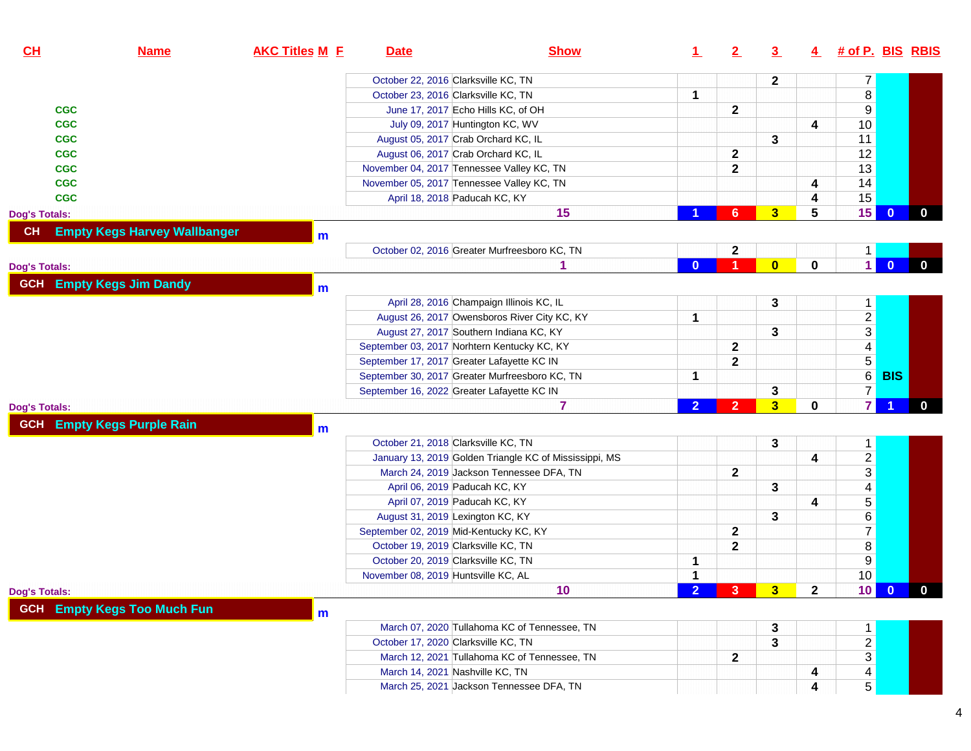| October 22, 2016 Clarksville KC, TN<br>$\overline{7}$<br>$\mathbf{2}$<br>$\bf 8$<br>October 23, 2016 Clarksville KC, TN<br>1<br>9<br>$\mathbf 2$<br>June 17, 2017 Echo Hills KC, of OH<br><b>CGC</b><br>10<br>July 09, 2017 Huntington KC, WV<br>4<br><b>CGC</b><br>11<br>3<br>August 05, 2017 Crab Orchard KC, IL<br><b>CGC</b><br>12<br>$\mathbf 2$<br>August 06, 2017 Crab Orchard KC, IL<br><b>CGC</b><br>13<br>$\mathbf{2}$<br>November 04, 2017 Tennessee Valley KC, TN<br><b>CGC</b><br>14<br>November 05, 2017 Tennessee Valley KC, TN<br><b>CGC</b><br>4<br>15<br><b>CGC</b><br>April 18, 2018 Paducah KC, KY<br>4<br>15<br>15<br>3<br>$5\phantom{.0}$<br>$\mathbf{0}$<br>6<br><b>Dog's Totals:</b><br><b>Empty Kegs Harvey Wallbanger</b><br>CH<br>m<br>October 02, 2016 Greater Murfreesboro KC, TN<br>$\mathbf 2$<br>$\mathbf{1}$<br>$\overline{1}$<br>$\overline{\mathbf{0}}$<br>0<br>$\overline{\mathbf{0}}$<br>$\bf{0}$<br>1<br><b>GCH</b> Empty Kegs Jim Dandy<br>m<br>April 28, 2016 Champaign Illinois KC, IL<br>3<br>$\mathbf{1}$<br>$\frac{2}{3}$<br>1<br>August 26, 2017 Owensboros River City KC, KY<br>3<br>August 27, 2017 Southern Indiana KC, KY<br>$\overline{4}$<br>$\mathbf 2$<br>September 03, 2017 Norhtern Kentucky KC, KY<br>$\overline{5}$<br>$\overline{\mathbf{2}}$<br>September 17, 2017 Greater Lafayette KC IN<br>$\overline{6}$<br><b>BIS</b><br>September 30, 2017 Greater Murfreesboro KC, TN<br>1<br>$\overline{7}$<br>3<br>September 16, 2022 Greater Lafayette KC IN<br>$\overline{7}$<br>3 <sup>5</sup><br>7<br>$\overline{2}$<br>$\overline{2}$<br>0<br><b>Empty Kegs Purple Rain</b><br><b>GCH</b><br>m<br>October 21, 2018 Clarksville KC, TN<br>3<br>$\mathbf 1$<br>$\frac{2}{3}$<br>4<br>January 13, 2019 Golden Triangle KC of Mississippi, MS<br>$\mathbf{2}$<br>March 24, 2019 Jackson Tennessee DFA, TN<br>$\frac{4}{5}$<br>3<br>April 06, 2019 Paducah KC, KY<br>April 07, 2019 Paducah KC, KY<br>4<br>$\overline{6}$<br>3<br>August 31, 2019 Lexington KC, KY<br>$\overline{7}$<br>$\mathbf 2$<br>September 02, 2019 Mid-Kentucky KC, KY<br>$\overline{\bf 8}$<br>$\mathbf{2}$<br>October 19, 2019 Clarksville KC, TN<br>$\overline{9}$<br>October 20, 2019 Clarksville KC, TN<br>1<br>10<br>$\mathbf{1}$<br>November 08, 2019 Huntsville KC, AL<br>$10$ 0<br>10<br>$\mathbf{2}$<br>3 <sup>2</sup><br>2 <sup>1</sup><br>- 3 -<br><b>GCH</b> Empty Kegs Too Much Fun<br>m<br>March 07, 2020 Tullahoma KC of Tennessee, TN<br>3<br>$\mathbf 1$<br>$\frac{2}{3}$<br>October 17, 2020 Clarksville KC, TN<br>3<br>$\mathbf{2}$<br>March 12, 2021 Tullahoma KC of Tennessee, TN<br>March 14, 2021 Nashville KC, TN | CH | <b>Name</b> | <b>AKC Titles M E</b> | <b>Date</b> | <b>Show</b> | $\perp$ | 2 | $\overline{3}$ |   | 4 # of P. BIS RBIS |              |
|-----------------------------------------------------------------------------------------------------------------------------------------------------------------------------------------------------------------------------------------------------------------------------------------------------------------------------------------------------------------------------------------------------------------------------------------------------------------------------------------------------------------------------------------------------------------------------------------------------------------------------------------------------------------------------------------------------------------------------------------------------------------------------------------------------------------------------------------------------------------------------------------------------------------------------------------------------------------------------------------------------------------------------------------------------------------------------------------------------------------------------------------------------------------------------------------------------------------------------------------------------------------------------------------------------------------------------------------------------------------------------------------------------------------------------------------------------------------------------------------------------------------------------------------------------------------------------------------------------------------------------------------------------------------------------------------------------------------------------------------------------------------------------------------------------------------------------------------------------------------------------------------------------------------------------------------------------------------------------------------------------------------------------------------------------------------------------------------------------------------------------------------------------------------------------------------------------------------------------------------------------------------------------------------------------------------------------------------------------------------------------------------------------------------------------------------------------------------------------------------------------------------------------------------------------------------------------------------------------------------------------------------------------------------------|----|-------------|-----------------------|-------------|-------------|---------|---|----------------|---|--------------------|--------------|
|                                                                                                                                                                                                                                                                                                                                                                                                                                                                                                                                                                                                                                                                                                                                                                                                                                                                                                                                                                                                                                                                                                                                                                                                                                                                                                                                                                                                                                                                                                                                                                                                                                                                                                                                                                                                                                                                                                                                                                                                                                                                                                                                                                                                                                                                                                                                                                                                                                                                                                                                                                                                                                                                       |    |             |                       |             |             |         |   |                |   |                    |              |
|                                                                                                                                                                                                                                                                                                                                                                                                                                                                                                                                                                                                                                                                                                                                                                                                                                                                                                                                                                                                                                                                                                                                                                                                                                                                                                                                                                                                                                                                                                                                                                                                                                                                                                                                                                                                                                                                                                                                                                                                                                                                                                                                                                                                                                                                                                                                                                                                                                                                                                                                                                                                                                                                       |    |             |                       |             |             |         |   |                |   |                    |              |
|                                                                                                                                                                                                                                                                                                                                                                                                                                                                                                                                                                                                                                                                                                                                                                                                                                                                                                                                                                                                                                                                                                                                                                                                                                                                                                                                                                                                                                                                                                                                                                                                                                                                                                                                                                                                                                                                                                                                                                                                                                                                                                                                                                                                                                                                                                                                                                                                                                                                                                                                                                                                                                                                       |    |             |                       |             |             |         |   |                |   |                    |              |
|                                                                                                                                                                                                                                                                                                                                                                                                                                                                                                                                                                                                                                                                                                                                                                                                                                                                                                                                                                                                                                                                                                                                                                                                                                                                                                                                                                                                                                                                                                                                                                                                                                                                                                                                                                                                                                                                                                                                                                                                                                                                                                                                                                                                                                                                                                                                                                                                                                                                                                                                                                                                                                                                       |    |             |                       |             |             |         |   |                |   |                    |              |
|                                                                                                                                                                                                                                                                                                                                                                                                                                                                                                                                                                                                                                                                                                                                                                                                                                                                                                                                                                                                                                                                                                                                                                                                                                                                                                                                                                                                                                                                                                                                                                                                                                                                                                                                                                                                                                                                                                                                                                                                                                                                                                                                                                                                                                                                                                                                                                                                                                                                                                                                                                                                                                                                       |    |             |                       |             |             |         |   |                |   |                    |              |
|                                                                                                                                                                                                                                                                                                                                                                                                                                                                                                                                                                                                                                                                                                                                                                                                                                                                                                                                                                                                                                                                                                                                                                                                                                                                                                                                                                                                                                                                                                                                                                                                                                                                                                                                                                                                                                                                                                                                                                                                                                                                                                                                                                                                                                                                                                                                                                                                                                                                                                                                                                                                                                                                       |    |             |                       |             |             |         |   |                |   |                    |              |
|                                                                                                                                                                                                                                                                                                                                                                                                                                                                                                                                                                                                                                                                                                                                                                                                                                                                                                                                                                                                                                                                                                                                                                                                                                                                                                                                                                                                                                                                                                                                                                                                                                                                                                                                                                                                                                                                                                                                                                                                                                                                                                                                                                                                                                                                                                                                                                                                                                                                                                                                                                                                                                                                       |    |             |                       |             |             |         |   |                |   |                    |              |
|                                                                                                                                                                                                                                                                                                                                                                                                                                                                                                                                                                                                                                                                                                                                                                                                                                                                                                                                                                                                                                                                                                                                                                                                                                                                                                                                                                                                                                                                                                                                                                                                                                                                                                                                                                                                                                                                                                                                                                                                                                                                                                                                                                                                                                                                                                                                                                                                                                                                                                                                                                                                                                                                       |    |             |                       |             |             |         |   |                |   |                    |              |
|                                                                                                                                                                                                                                                                                                                                                                                                                                                                                                                                                                                                                                                                                                                                                                                                                                                                                                                                                                                                                                                                                                                                                                                                                                                                                                                                                                                                                                                                                                                                                                                                                                                                                                                                                                                                                                                                                                                                                                                                                                                                                                                                                                                                                                                                                                                                                                                                                                                                                                                                                                                                                                                                       |    |             |                       |             |             |         |   |                |   |                    |              |
|                                                                                                                                                                                                                                                                                                                                                                                                                                                                                                                                                                                                                                                                                                                                                                                                                                                                                                                                                                                                                                                                                                                                                                                                                                                                                                                                                                                                                                                                                                                                                                                                                                                                                                                                                                                                                                                                                                                                                                                                                                                                                                                                                                                                                                                                                                                                                                                                                                                                                                                                                                                                                                                                       |    |             |                       |             |             |         |   |                |   |                    | $\mathbf{0}$ |
| <b>Dog's Totals:</b><br><b>Dog's Totals:</b><br><b>Dog's Totals:</b>                                                                                                                                                                                                                                                                                                                                                                                                                                                                                                                                                                                                                                                                                                                                                                                                                                                                                                                                                                                                                                                                                                                                                                                                                                                                                                                                                                                                                                                                                                                                                                                                                                                                                                                                                                                                                                                                                                                                                                                                                                                                                                                                                                                                                                                                                                                                                                                                                                                                                                                                                                                                  |    |             |                       |             |             |         |   |                |   |                    |              |
|                                                                                                                                                                                                                                                                                                                                                                                                                                                                                                                                                                                                                                                                                                                                                                                                                                                                                                                                                                                                                                                                                                                                                                                                                                                                                                                                                                                                                                                                                                                                                                                                                                                                                                                                                                                                                                                                                                                                                                                                                                                                                                                                                                                                                                                                                                                                                                                                                                                                                                                                                                                                                                                                       |    |             |                       |             |             |         |   |                |   |                    |              |
|                                                                                                                                                                                                                                                                                                                                                                                                                                                                                                                                                                                                                                                                                                                                                                                                                                                                                                                                                                                                                                                                                                                                                                                                                                                                                                                                                                                                                                                                                                                                                                                                                                                                                                                                                                                                                                                                                                                                                                                                                                                                                                                                                                                                                                                                                                                                                                                                                                                                                                                                                                                                                                                                       |    |             |                       |             |             |         |   |                |   |                    | $\mathbf{0}$ |
|                                                                                                                                                                                                                                                                                                                                                                                                                                                                                                                                                                                                                                                                                                                                                                                                                                                                                                                                                                                                                                                                                                                                                                                                                                                                                                                                                                                                                                                                                                                                                                                                                                                                                                                                                                                                                                                                                                                                                                                                                                                                                                                                                                                                                                                                                                                                                                                                                                                                                                                                                                                                                                                                       |    |             |                       |             |             |         |   |                |   |                    |              |
|                                                                                                                                                                                                                                                                                                                                                                                                                                                                                                                                                                                                                                                                                                                                                                                                                                                                                                                                                                                                                                                                                                                                                                                                                                                                                                                                                                                                                                                                                                                                                                                                                                                                                                                                                                                                                                                                                                                                                                                                                                                                                                                                                                                                                                                                                                                                                                                                                                                                                                                                                                                                                                                                       |    |             |                       |             |             |         |   |                |   |                    |              |
|                                                                                                                                                                                                                                                                                                                                                                                                                                                                                                                                                                                                                                                                                                                                                                                                                                                                                                                                                                                                                                                                                                                                                                                                                                                                                                                                                                                                                                                                                                                                                                                                                                                                                                                                                                                                                                                                                                                                                                                                                                                                                                                                                                                                                                                                                                                                                                                                                                                                                                                                                                                                                                                                       |    |             |                       |             |             |         |   |                |   |                    |              |
|                                                                                                                                                                                                                                                                                                                                                                                                                                                                                                                                                                                                                                                                                                                                                                                                                                                                                                                                                                                                                                                                                                                                                                                                                                                                                                                                                                                                                                                                                                                                                                                                                                                                                                                                                                                                                                                                                                                                                                                                                                                                                                                                                                                                                                                                                                                                                                                                                                                                                                                                                                                                                                                                       |    |             |                       |             |             |         |   |                |   |                    |              |
|                                                                                                                                                                                                                                                                                                                                                                                                                                                                                                                                                                                                                                                                                                                                                                                                                                                                                                                                                                                                                                                                                                                                                                                                                                                                                                                                                                                                                                                                                                                                                                                                                                                                                                                                                                                                                                                                                                                                                                                                                                                                                                                                                                                                                                                                                                                                                                                                                                                                                                                                                                                                                                                                       |    |             |                       |             |             |         |   |                |   |                    |              |
|                                                                                                                                                                                                                                                                                                                                                                                                                                                                                                                                                                                                                                                                                                                                                                                                                                                                                                                                                                                                                                                                                                                                                                                                                                                                                                                                                                                                                                                                                                                                                                                                                                                                                                                                                                                                                                                                                                                                                                                                                                                                                                                                                                                                                                                                                                                                                                                                                                                                                                                                                                                                                                                                       |    |             |                       |             |             |         |   |                |   |                    |              |
|                                                                                                                                                                                                                                                                                                                                                                                                                                                                                                                                                                                                                                                                                                                                                                                                                                                                                                                                                                                                                                                                                                                                                                                                                                                                                                                                                                                                                                                                                                                                                                                                                                                                                                                                                                                                                                                                                                                                                                                                                                                                                                                                                                                                                                                                                                                                                                                                                                                                                                                                                                                                                                                                       |    |             |                       |             |             |         |   |                |   |                    |              |
|                                                                                                                                                                                                                                                                                                                                                                                                                                                                                                                                                                                                                                                                                                                                                                                                                                                                                                                                                                                                                                                                                                                                                                                                                                                                                                                                                                                                                                                                                                                                                                                                                                                                                                                                                                                                                                                                                                                                                                                                                                                                                                                                                                                                                                                                                                                                                                                                                                                                                                                                                                                                                                                                       |    |             |                       |             |             |         |   |                |   |                    |              |
|                                                                                                                                                                                                                                                                                                                                                                                                                                                                                                                                                                                                                                                                                                                                                                                                                                                                                                                                                                                                                                                                                                                                                                                                                                                                                                                                                                                                                                                                                                                                                                                                                                                                                                                                                                                                                                                                                                                                                                                                                                                                                                                                                                                                                                                                                                                                                                                                                                                                                                                                                                                                                                                                       |    |             |                       |             |             |         |   |                |   |                    | $\mathbf{0}$ |
|                                                                                                                                                                                                                                                                                                                                                                                                                                                                                                                                                                                                                                                                                                                                                                                                                                                                                                                                                                                                                                                                                                                                                                                                                                                                                                                                                                                                                                                                                                                                                                                                                                                                                                                                                                                                                                                                                                                                                                                                                                                                                                                                                                                                                                                                                                                                                                                                                                                                                                                                                                                                                                                                       |    |             |                       |             |             |         |   |                |   |                    |              |
|                                                                                                                                                                                                                                                                                                                                                                                                                                                                                                                                                                                                                                                                                                                                                                                                                                                                                                                                                                                                                                                                                                                                                                                                                                                                                                                                                                                                                                                                                                                                                                                                                                                                                                                                                                                                                                                                                                                                                                                                                                                                                                                                                                                                                                                                                                                                                                                                                                                                                                                                                                                                                                                                       |    |             |                       |             |             |         |   |                |   |                    |              |
|                                                                                                                                                                                                                                                                                                                                                                                                                                                                                                                                                                                                                                                                                                                                                                                                                                                                                                                                                                                                                                                                                                                                                                                                                                                                                                                                                                                                                                                                                                                                                                                                                                                                                                                                                                                                                                                                                                                                                                                                                                                                                                                                                                                                                                                                                                                                                                                                                                                                                                                                                                                                                                                                       |    |             |                       |             |             |         |   |                |   |                    |              |
|                                                                                                                                                                                                                                                                                                                                                                                                                                                                                                                                                                                                                                                                                                                                                                                                                                                                                                                                                                                                                                                                                                                                                                                                                                                                                                                                                                                                                                                                                                                                                                                                                                                                                                                                                                                                                                                                                                                                                                                                                                                                                                                                                                                                                                                                                                                                                                                                                                                                                                                                                                                                                                                                       |    |             |                       |             |             |         |   |                |   |                    |              |
|                                                                                                                                                                                                                                                                                                                                                                                                                                                                                                                                                                                                                                                                                                                                                                                                                                                                                                                                                                                                                                                                                                                                                                                                                                                                                                                                                                                                                                                                                                                                                                                                                                                                                                                                                                                                                                                                                                                                                                                                                                                                                                                                                                                                                                                                                                                                                                                                                                                                                                                                                                                                                                                                       |    |             |                       |             |             |         |   |                |   |                    |              |
|                                                                                                                                                                                                                                                                                                                                                                                                                                                                                                                                                                                                                                                                                                                                                                                                                                                                                                                                                                                                                                                                                                                                                                                                                                                                                                                                                                                                                                                                                                                                                                                                                                                                                                                                                                                                                                                                                                                                                                                                                                                                                                                                                                                                                                                                                                                                                                                                                                                                                                                                                                                                                                                                       |    |             |                       |             |             |         |   |                |   |                    |              |
|                                                                                                                                                                                                                                                                                                                                                                                                                                                                                                                                                                                                                                                                                                                                                                                                                                                                                                                                                                                                                                                                                                                                                                                                                                                                                                                                                                                                                                                                                                                                                                                                                                                                                                                                                                                                                                                                                                                                                                                                                                                                                                                                                                                                                                                                                                                                                                                                                                                                                                                                                                                                                                                                       |    |             |                       |             |             |         |   |                |   |                    |              |
|                                                                                                                                                                                                                                                                                                                                                                                                                                                                                                                                                                                                                                                                                                                                                                                                                                                                                                                                                                                                                                                                                                                                                                                                                                                                                                                                                                                                                                                                                                                                                                                                                                                                                                                                                                                                                                                                                                                                                                                                                                                                                                                                                                                                                                                                                                                                                                                                                                                                                                                                                                                                                                                                       |    |             |                       |             |             |         |   |                |   |                    |              |
|                                                                                                                                                                                                                                                                                                                                                                                                                                                                                                                                                                                                                                                                                                                                                                                                                                                                                                                                                                                                                                                                                                                                                                                                                                                                                                                                                                                                                                                                                                                                                                                                                                                                                                                                                                                                                                                                                                                                                                                                                                                                                                                                                                                                                                                                                                                                                                                                                                                                                                                                                                                                                                                                       |    |             |                       |             |             |         |   |                |   |                    |              |
|                                                                                                                                                                                                                                                                                                                                                                                                                                                                                                                                                                                                                                                                                                                                                                                                                                                                                                                                                                                                                                                                                                                                                                                                                                                                                                                                                                                                                                                                                                                                                                                                                                                                                                                                                                                                                                                                                                                                                                                                                                                                                                                                                                                                                                                                                                                                                                                                                                                                                                                                                                                                                                                                       |    |             |                       |             |             |         |   |                |   |                    |              |
|                                                                                                                                                                                                                                                                                                                                                                                                                                                                                                                                                                                                                                                                                                                                                                                                                                                                                                                                                                                                                                                                                                                                                                                                                                                                                                                                                                                                                                                                                                                                                                                                                                                                                                                                                                                                                                                                                                                                                                                                                                                                                                                                                                                                                                                                                                                                                                                                                                                                                                                                                                                                                                                                       |    |             |                       |             |             |         |   |                |   |                    |              |
|                                                                                                                                                                                                                                                                                                                                                                                                                                                                                                                                                                                                                                                                                                                                                                                                                                                                                                                                                                                                                                                                                                                                                                                                                                                                                                                                                                                                                                                                                                                                                                                                                                                                                                                                                                                                                                                                                                                                                                                                                                                                                                                                                                                                                                                                                                                                                                                                                                                                                                                                                                                                                                                                       |    |             |                       |             |             |         |   |                |   |                    | $\bf{0}$     |
|                                                                                                                                                                                                                                                                                                                                                                                                                                                                                                                                                                                                                                                                                                                                                                                                                                                                                                                                                                                                                                                                                                                                                                                                                                                                                                                                                                                                                                                                                                                                                                                                                                                                                                                                                                                                                                                                                                                                                                                                                                                                                                                                                                                                                                                                                                                                                                                                                                                                                                                                                                                                                                                                       |    |             |                       |             |             |         |   |                |   |                    |              |
|                                                                                                                                                                                                                                                                                                                                                                                                                                                                                                                                                                                                                                                                                                                                                                                                                                                                                                                                                                                                                                                                                                                                                                                                                                                                                                                                                                                                                                                                                                                                                                                                                                                                                                                                                                                                                                                                                                                                                                                                                                                                                                                                                                                                                                                                                                                                                                                                                                                                                                                                                                                                                                                                       |    |             |                       |             |             |         |   |                |   |                    |              |
|                                                                                                                                                                                                                                                                                                                                                                                                                                                                                                                                                                                                                                                                                                                                                                                                                                                                                                                                                                                                                                                                                                                                                                                                                                                                                                                                                                                                                                                                                                                                                                                                                                                                                                                                                                                                                                                                                                                                                                                                                                                                                                                                                                                                                                                                                                                                                                                                                                                                                                                                                                                                                                                                       |    |             |                       |             |             |         |   |                |   |                    |              |
|                                                                                                                                                                                                                                                                                                                                                                                                                                                                                                                                                                                                                                                                                                                                                                                                                                                                                                                                                                                                                                                                                                                                                                                                                                                                                                                                                                                                                                                                                                                                                                                                                                                                                                                                                                                                                                                                                                                                                                                                                                                                                                                                                                                                                                                                                                                                                                                                                                                                                                                                                                                                                                                                       |    |             |                       |             |             |         |   |                |   |                    |              |
|                                                                                                                                                                                                                                                                                                                                                                                                                                                                                                                                                                                                                                                                                                                                                                                                                                                                                                                                                                                                                                                                                                                                                                                                                                                                                                                                                                                                                                                                                                                                                                                                                                                                                                                                                                                                                                                                                                                                                                                                                                                                                                                                                                                                                                                                                                                                                                                                                                                                                                                                                                                                                                                                       |    |             |                       |             |             |         |   |                | 4 | $\overline{4}$     |              |
| $\overline{5}$<br>March 25, 2021 Jackson Tennessee DFA, TN<br>4                                                                                                                                                                                                                                                                                                                                                                                                                                                                                                                                                                                                                                                                                                                                                                                                                                                                                                                                                                                                                                                                                                                                                                                                                                                                                                                                                                                                                                                                                                                                                                                                                                                                                                                                                                                                                                                                                                                                                                                                                                                                                                                                                                                                                                                                                                                                                                                                                                                                                                                                                                                                       |    |             |                       |             |             |         |   |                |   |                    |              |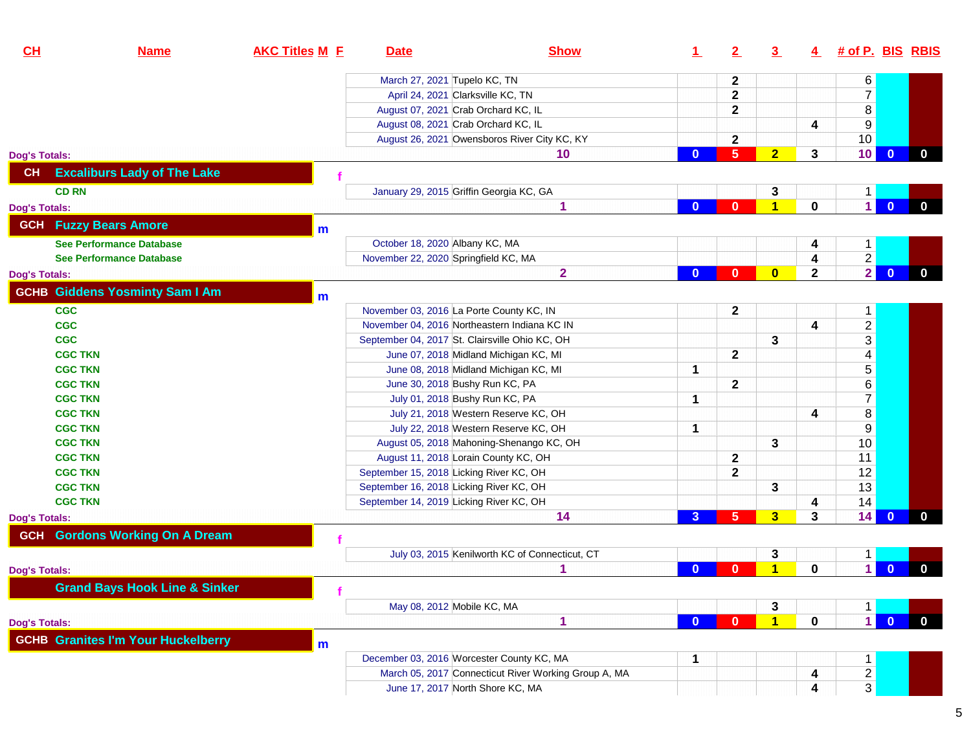| CL                               | <b>Name</b>                               | <b>AKC Titles M E</b> | <b>Date</b>                                    | <b>Show</b>                                          | $\perp$        | 2                          | $\overline{3}$          | $\overline{4}$ | <u># of P. BIS RBIS</u> |                |             |
|----------------------------------|-------------------------------------------|-----------------------|------------------------------------------------|------------------------------------------------------|----------------|----------------------------|-------------------------|----------------|-------------------------|----------------|-------------|
|                                  |                                           |                       | March 27, 2021 Tupelo KC, TN                   |                                                      |                | $\mathbf{2}$               |                         |                | 6                       |                |             |
|                                  |                                           |                       | April 24, 2021 Clarksville KC, TN              |                                                      |                | $\mathbf{2}$               |                         |                | $\overline{7}$          |                |             |
|                                  |                                           |                       | August 07, 2021 Crab Orchard KC, IL            |                                                      |                | $\mathbf{2}$               |                         |                | $\bf 8$                 |                |             |
|                                  |                                           |                       | August 08, 2021 Crab Orchard KC, IL            |                                                      |                |                            |                         | 4              | $9\,$                   |                |             |
|                                  |                                           |                       |                                                | August 26, 2021 Owensboros River City KC, KY         |                | $\mathbf{2}$               |                         |                | 10 <sub>1</sub>         |                |             |
| <b>Dog's Totals:</b>             |                                           |                       |                                                | 10                                                   | $\bf{0}$       | $5\phantom{1}$             | $\overline{2}$          | 3              | 10                      | $\overline{0}$ | $\mathbf 0$ |
| <b>CH</b>                        | <b>Excaliburs Lady of The Lake</b>        |                       |                                                |                                                      |                |                            |                         |                |                         |                |             |
| <b>CD RN</b>                     |                                           |                       | January 29, 2015 Griffin Georgia KC, GA        |                                                      |                |                            | 3                       |                |                         |                |             |
| <b>Dog's Totals:</b>             |                                           |                       |                                                | 1                                                    | $\bf{0}$       | $\mathbf{0}$               | $\blacktriangleleft$    | $\bf{0}$       | 1 <sup>1</sup>          | $\overline{0}$ | $\bf{0}$    |
|                                  | <b>GCH</b> Fuzzy Bears Amore              | $m$                   |                                                |                                                      |                |                            |                         |                |                         |                |             |
|                                  | <b>See Performance Database</b>           |                       | October 18, 2020 Albany KC, MA                 |                                                      |                |                            |                         | 4              | 1                       |                |             |
|                                  | <b>See Performance Database</b>           |                       | November 22, 2020 Springfield KC, MA           |                                                      |                |                            |                         | 4              | $\overline{2}$          |                |             |
| <b>Dog's Totals:</b>             |                                           |                       |                                                | $\overline{2}$                                       | $\mathbf{0}$   | $\mathbf{0}$               | $\bf{0}$                | $\mathbf{2}$   | $\overline{2}$          | $\mathbf{0}$   | $\bf{0}$    |
|                                  | <b>GCHB Giddens Yosminty Sam I Am</b>     |                       |                                                |                                                      |                |                            |                         |                |                         |                |             |
| <b>CGC</b>                       |                                           | m                     | November 03, 2016 La Porte County KC, IN       |                                                      |                | $\mathbf{2}$               |                         |                | 1                       |                |             |
| <b>CGC</b>                       |                                           |                       | November 04, 2016 Northeastern Indiana KC IN   |                                                      |                |                            |                         | 4              | $\overline{c}$          |                |             |
| <b>CGC</b>                       |                                           |                       | September 04, 2017 St. Clairsville Ohio KC, OH |                                                      |                |                            | 3                       |                | $\overline{3}$          |                |             |
| <b>CGC TKN</b>                   |                                           |                       | June 07, 2018 Midland Michigan KC, MI          |                                                      |                | $\mathbf{2}$               |                         |                | $\overline{\mathbf{4}}$ |                |             |
| <b>CGC TKN</b>                   |                                           |                       | June 08, 2018 Midland Michigan KC, MI          |                                                      | 1              |                            |                         |                | $\overline{5}$          |                |             |
| <b>CGC TKN</b>                   |                                           |                       | June 30, 2018 Bushy Run KC, PA                 |                                                      |                | $\mathbf{2}$               |                         |                | 6                       |                |             |
| <b>CGC TKN</b>                   |                                           |                       | July 01, 2018 Bushy Run KC, PA                 |                                                      | 1              |                            |                         |                | $\overline{7}$          |                |             |
| <b>CGC TKN</b>                   |                                           |                       |                                                | July 21, 2018 Western Reserve KC, OH                 |                |                            |                         | 4              | $\bf 8$                 |                |             |
| <b>CGC TKN</b>                   |                                           |                       |                                                | July 22, 2018 Western Reserve KC, OH                 | 1              |                            |                         |                | $9$                     |                |             |
|                                  |                                           |                       |                                                |                                                      |                |                            |                         |                | 10                      |                |             |
| <b>CGC TKN</b><br><b>CGC TKN</b> |                                           |                       | August 11, 2018 Lorain County KC, OH           | August 05, 2018 Mahoning-Shenango KC, OH             |                |                            | 3                       |                | 11                      |                |             |
| <b>CGC TKN</b>                   |                                           |                       | September 15, 2018 Licking River KC, OH        |                                                      |                | $\mathbf 2$<br>$\mathbf 2$ |                         |                | 12                      |                |             |
| <b>CGC TKN</b>                   |                                           |                       | September 16, 2018 Licking River KC, OH        |                                                      |                |                            | 3                       |                | 13                      |                |             |
| <b>CGC TKN</b>                   |                                           |                       | September 14, 2019 Licking River KC, OH        |                                                      |                |                            |                         |                | 14                      |                |             |
|                                  |                                           |                       |                                                | 14                                                   | $\overline{3}$ | 5                          | $\overline{\mathbf{3}}$ | 4<br>3         | 14                      | $\bf{0}$       | $\bf{0}$    |
| <b>Dog's Totals:</b>             | <b>GCH</b> Gordons Working On A Dream     |                       |                                                |                                                      |                |                            |                         |                |                         |                |             |
|                                  |                                           |                       |                                                | July 03, 2015 Kenilworth KC of Connecticut, CT       |                |                            |                         |                |                         |                |             |
| <b>Dog's Totals:</b>             |                                           |                       |                                                | 1                                                    | $\bf{0}$       | $\mathbf{0}$               | 3<br>1                  | $\bf{0}$       | 1<br>$\mathbf 1$        | $\mathbf{0}$   | $\bf{0}$    |
|                                  |                                           |                       |                                                |                                                      |                |                            |                         |                |                         |                |             |
|                                  | <b>Grand Bays Hook Line &amp; Sinker</b>  |                       |                                                |                                                      |                |                            |                         |                |                         |                |             |
|                                  |                                           |                       | May 08, 2012 Mobile KC, MA                     |                                                      |                |                            | 3                       |                |                         |                |             |
| <b>Dog's Totals:</b>             |                                           |                       |                                                | 1                                                    | $\bf{0}$       | $\mathbf{0}$               | $\blacktriangleleft$    | $\bf{0}$       | $\blacksquare$          | $\overline{0}$ | $\mathbf 0$ |
|                                  | <b>GCHB Granites I'm Your Huckelberry</b> | m                     |                                                |                                                      |                |                            |                         |                |                         |                |             |
|                                  |                                           |                       | December 03, 2016 Worcester County KC, MA      |                                                      | 1              |                            |                         |                |                         |                |             |
|                                  |                                           |                       |                                                | March 05, 2017 Connecticut River Working Group A, MA |                |                            |                         | 4              | $\frac{2}{3}$           |                |             |
|                                  |                                           |                       | June 17, 2017 North Shore KC, MA               |                                                      |                |                            |                         | 4              |                         |                |             |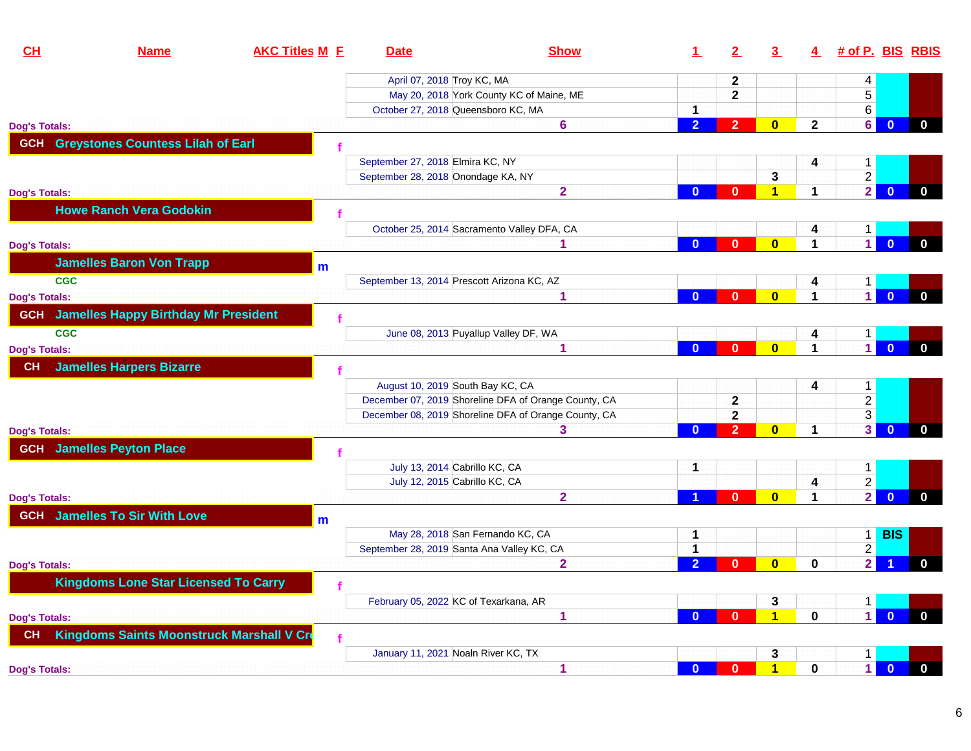| CH                   | <b>Name</b>                                 | <b>AKC Titles M E</b> | <b>Date</b>                           | <b>Show</b>                                          |                | 2              | 3                       | 4                    | # of P. BIS RBIS |                |              |
|----------------------|---------------------------------------------|-----------------------|---------------------------------------|------------------------------------------------------|----------------|----------------|-------------------------|----------------------|------------------|----------------|--------------|
|                      |                                             |                       | April 07, 2018 Troy KC, MA            |                                                      |                | $\mathbf{2}$   |                         |                      | 4                |                |              |
|                      |                                             |                       |                                       | May 20, 2018 York County KC of Maine, ME             |                | $\overline{2}$ |                         |                      | 5                |                |              |
|                      |                                             |                       |                                       | October 27, 2018 Queensboro KC, MA                   | $\mathbf{1}$   |                |                         |                      | 6                |                |              |
| <b>Dog's Totals:</b> |                                             |                       |                                       | 6                                                    | $\overline{2}$ | 2 <sup>1</sup> | $\overline{0}$          | $\overline{2}$       | 6 <sup>1</sup>   | $\mathbf{0}$   | $\mathbf{0}$ |
| <b>GCH</b>           | <b>Greystones Countess Lilah of Earl</b>    |                       |                                       |                                                      |                |                |                         |                      |                  |                |              |
|                      |                                             |                       | September 27, 2018 Elmira KC, NY      |                                                      |                |                |                         | 4                    | $\mathbf{1}$     |                |              |
|                      |                                             |                       | September 28, 2018 Onondage KA, NY    |                                                      |                |                | 3                       |                      | $\overline{2}$   |                |              |
| <b>Dog's Totals:</b> |                                             |                       |                                       | $\overline{\mathbf{2}}$                              | $\mathbf{0}$   | $\bf{0}$       | $\blacktriangleleft$    | $\blacktriangleleft$ | $\overline{2}$   | $\mathbf{0}$   | $\mathbf 0$  |
|                      | <b>Howe Ranch Vera Godokin</b>              |                       |                                       |                                                      |                |                |                         |                      |                  |                |              |
|                      |                                             |                       |                                       | October 25, 2014 Sacramento Valley DFA, CA           |                |                |                         | 4                    | 1                |                |              |
| <b>Dog's Totals:</b> |                                             |                       |                                       | 1                                                    | $\mathbf{0}$   | $\mathbf{0}$   | $\bf{0}$                | $\mathbf 1$          | 1                | $\mathbf{0}$   | $\mathbf 0$  |
|                      | <b>Jamelles Baron Von Trapp</b>             | m                     |                                       |                                                      |                |                |                         |                      |                  |                |              |
| <b>CGC</b>           |                                             |                       |                                       | September 13, 2014 Prescott Arizona KC, AZ           |                |                |                         | 4                    | 1                |                |              |
| <b>Dog's Totals:</b> |                                             |                       |                                       | 1                                                    | $\mathbf{0}$   | $\mathbf{0}$   | $\overline{\mathbf{0}}$ | 1                    | $\mathbf{1}$     | $\mathbf{0}$   | $\mathbf{0}$ |
| <b>GCH</b>           | <b>Jamelles Happy Birthday Mr President</b> |                       |                                       |                                                      |                |                |                         |                      |                  |                |              |
| <b>CGC</b>           |                                             |                       |                                       | June 08, 2013 Puyallup Valley DF, WA                 |                |                |                         | 4                    | 1                |                |              |
| <b>Dog's Totals:</b> |                                             |                       |                                       | 1                                                    | $\mathbf{0}$   | $\mathbf{0}$   | $\mathbf{0}$            | $\blacktriangleleft$ | $\vert$          | $\mathbf{0}$   | $\mathbf{0}$ |
| <b>CH</b>            | <b>Jamelles Harpers Bizarre</b>             |                       |                                       |                                                      |                |                |                         |                      |                  |                |              |
|                      |                                             |                       | August 10, 2019 South Bay KC, CA      |                                                      |                |                |                         | 4                    | $\mathbf{1}$     |                |              |
|                      |                                             |                       |                                       | December 07, 2019 Shoreline DFA of Orange County, CA |                | $\mathbf{2}$   |                         |                      | $\overline{2}$   |                |              |
|                      |                                             |                       |                                       | December 08, 2019 Shoreline DFA of Orange County, CA |                | $\mathbf{2}$   |                         |                      | $\overline{3}$   |                |              |
| <b>Dog's Totals:</b> |                                             |                       |                                       | 3                                                    | $\mathbf{0}$   | $\overline{2}$ | $\overline{\mathbf{0}}$ | $\mathbf 1$          | 3 <sup>1</sup>   | $\overline{0}$ | $\mathbf{0}$ |
|                      | <b>GCH</b> Jamelles Peyton Place            |                       |                                       |                                                      |                |                |                         |                      |                  |                |              |
|                      |                                             |                       | July 13, 2014 Cabrillo KC, CA         |                                                      | 1              |                |                         |                      | 1.               |                |              |
|                      |                                             |                       | July 12, 2015 Cabrillo KC, CA         |                                                      |                |                |                         | 4                    | $\overline{2}$   |                |              |
| <b>Dog's Totals:</b> |                                             |                       |                                       | $\overline{2}$                                       |                | $\mathbf{0}$   | $\overline{\mathbf{0}}$ | 1                    | $\overline{2}$   | $\bf{0}$       | $\mathbf 0$  |
|                      | <b>GCH</b> Jamelles To Sir With Love        | m                     |                                       |                                                      |                |                |                         |                      |                  |                |              |
|                      |                                             |                       |                                       | May 28, 2018 San Fernando KC, CA                     | 1              |                |                         |                      |                  | 1 BIS          |              |
|                      |                                             |                       |                                       | September 28, 2019 Santa Ana Valley KC, CA           | 1              |                |                         |                      | $\overline{2}$   |                |              |
| <b>Dog's Totals:</b> |                                             |                       |                                       | $\mathbf{2}$                                         | $\overline{2}$ | $\bf{0}$       | $\mathbf{0}$            | $\mathbf 0$          | $\overline{2}$   |                | $\mathbf{0}$ |
|                      | <b>Kingdoms Lone Star Licensed To Carry</b> |                       |                                       |                                                      |                |                |                         |                      |                  |                |              |
|                      |                                             |                       | February 05, 2022 KC of Texarkana, AR |                                                      |                |                | 3                       |                      | $\mathbf{1}$     |                |              |
| <b>Dog's Totals:</b> |                                             |                       |                                       | 1                                                    | $\mathbf{0}$   | $\mathbf{0}$   | 1                       | $\bf{0}$             | $\mathbf 1$      | $\Omega$       | $\bf{0}$     |
| <b>CH</b>            | Kingdoms Saints Moonstruck Marshall V Cre   |                       |                                       |                                                      |                |                |                         |                      |                  |                |              |
|                      |                                             |                       | January 11, 2021 Noaln River KC, TX   |                                                      |                |                | 3                       |                      | 1.               |                |              |
| <b>Dog's Totals:</b> |                                             |                       |                                       | 1                                                    | $\mathbf{0}$   | $\mathbf{0}$   | 1                       | $\mathbf 0$          | $\mathbf{1}$     | $\mathbf{0}$   | $\mathbf 0$  |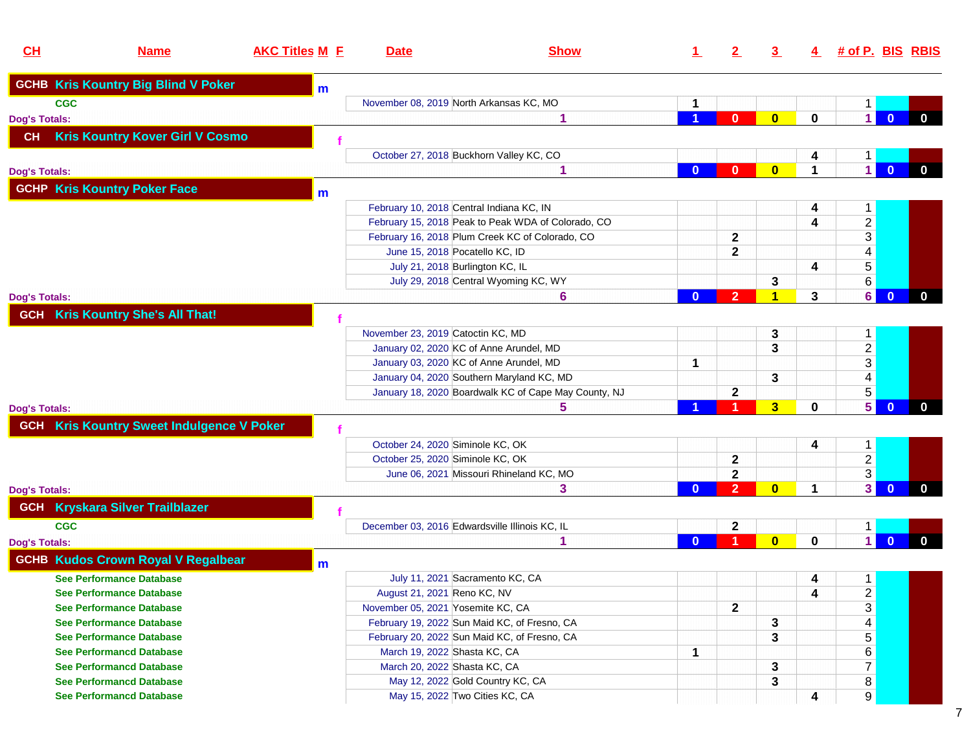| CL                   | <b>Name</b>                                      | <b>AKC Titles M E</b> | <b>Date</b>                              | <b>Show</b>                                          |          |                | 3                       | $\overline{4}$ | # of P. BIS RBIS        |                |              |
|----------------------|--------------------------------------------------|-----------------------|------------------------------------------|------------------------------------------------------|----------|----------------|-------------------------|----------------|-------------------------|----------------|--------------|
|                      | <b>GCHB Kris Kountry Big Blind V Poker</b>       | m                     |                                          |                                                      |          |                |                         |                |                         |                |              |
| <b>CGC</b>           |                                                  |                       | November 08, 2019 North Arkansas KC, MO  |                                                      |          |                |                         |                | $\mathbf 1$             |                |              |
| <b>Dog's Totals:</b> |                                                  |                       |                                          | 1                                                    |          | $\mathbf{0}$   | $\bf{0}$                | $\mathbf 0$    | 1 <sup>1</sup>          | $\mathbf{0}$   | $\mathbf{0}$ |
| <b>CH</b>            | <b>Kris Kountry Kover Girl V Cosmo</b>           |                       |                                          |                                                      |          |                |                         |                |                         |                |              |
|                      |                                                  |                       |                                          | October 27, 2018 Buckhorn Valley KC, CO              |          |                |                         | 4              | $\mathbf{1}$            |                |              |
| <b>Dog's Totals:</b> |                                                  |                       |                                          |                                                      | $\bf{0}$ | $\bf{0}$       | $\bf{0}$                | 1              | $\vert$ 1               | $\bf{0}$       | $\mathbf 0$  |
|                      | <b>GCHP Kris Kountry Poker Face</b>              | m                     |                                          |                                                      |          |                |                         |                |                         |                |              |
|                      |                                                  |                       | February 10, 2018 Central Indiana KC, IN |                                                      |          |                |                         | 4              | $\mathbf 1$             |                |              |
|                      |                                                  |                       |                                          | February 15, 2018 Peak to Peak WDA of Colorado, CO   |          |                |                         | 4              | $\overline{a}$          |                |              |
|                      |                                                  |                       |                                          | February 16, 2018 Plum Creek KC of Colorado, CO      |          | $\mathbf 2$    |                         |                | $\overline{3}$          |                |              |
|                      |                                                  |                       | June 15, 2018 Pocatello KC, ID           |                                                      |          | $\mathbf 2$    |                         |                | $\overline{\mathbf{4}}$ |                |              |
|                      |                                                  |                       | July 21, 2018 Burlington KC, IL          |                                                      |          |                |                         | 4              | $\overline{5}$          |                |              |
|                      |                                                  |                       |                                          | July 29, 2018 Central Wyoming KC, WY                 |          |                | 3                       |                | 6                       |                |              |
| <b>Dog's Totals:</b> |                                                  |                       |                                          | 6                                                    | 0        | $\overline{2}$ | 1                       | 3              | 6                       | $\overline{0}$ | $\mathbf{0}$ |
|                      | <b>GCH Kris Kountry She's All That!</b>          |                       |                                          |                                                      |          |                |                         |                |                         |                |              |
|                      |                                                  |                       | November 23, 2019 Catoctin KC, MD        |                                                      |          |                | 3                       |                | $\mathbf{1}$            |                |              |
|                      |                                                  |                       |                                          | January 02, 2020 KC of Anne Arundel, MD              |          |                | 3                       |                | $\overline{2}$          |                |              |
|                      |                                                  |                       |                                          | January 03, 2020 KC of Anne Arundel, MD              | 1        |                |                         |                | $\overline{3}$          |                |              |
|                      |                                                  |                       |                                          | January 04, 2020 Southern Maryland KC, MD            |          |                | 3                       |                | $\overline{4}$          |                |              |
|                      |                                                  |                       |                                          | January 18, 2020 Boardwalk KC of Cape May County, NJ |          | $\mathbf 2$    |                         |                | $\overline{5}$          |                |              |
| <b>Dog's Totals:</b> |                                                  |                       |                                          | 5                                                    |          |                | $\overline{\mathbf{3}}$ | $\mathbf 0$    | 5                       | $\mathbf{0}$   | $\mathbf{0}$ |
|                      | <b>GCH Kris Kountry Sweet Indulgence V Poker</b> |                       |                                          |                                                      |          |                |                         |                |                         |                |              |
|                      |                                                  |                       | October 24, 2020 Siminole KC, OK         |                                                      |          |                |                         | 4              | $\mathbf{1}$            |                |              |
|                      |                                                  |                       | October 25, 2020 Siminole KC, OK         |                                                      |          | 2              |                         |                | $\overline{c}$          |                |              |
|                      |                                                  |                       |                                          | June 06, 2021 Missouri Rhineland KC, MO              |          | $\mathbf 2$    |                         |                | 3 <sup>1</sup>          |                |              |
| <b>Dog's Totals:</b> |                                                  |                       |                                          | 3                                                    | $\bf{0}$ | $\overline{2}$ | $\bf{0}$                | 1              | 3                       | $\mathbf{0}$   | $\mathbf{0}$ |
| <b>GCH</b>           | <b>Kryskara Silver Trailblazer</b>               |                       |                                          |                                                      |          |                |                         |                |                         |                |              |
| <b>CGC</b>           |                                                  |                       |                                          | December 03, 2016 Edwardsville Illinois KC, IL       |          | 2              |                         |                | $\mathbf{1}$            |                |              |
| <b>Dog's Totals:</b> |                                                  |                       |                                          | 1                                                    | $\Omega$ |                | $\bf{0}$                | $\bf{0}$       | $\blacksquare$          | $\mathbf{0}$   | $\mathbf{0}$ |
|                      | <b>GCHB Kudos Crown Royal V Regalbear</b>        | m                     |                                          |                                                      |          |                |                         |                |                         |                |              |
|                      | <b>See Performance Database</b>                  |                       |                                          | July 11, 2021 Sacramento KC, CA                      |          |                |                         | 4              | 1                       |                |              |
|                      | <b>See Performance Database</b>                  |                       | August 21, 2021 Reno KC, NV              |                                                      |          |                |                         | 4              | $\overline{2}$          |                |              |
|                      | <b>See Performance Database</b>                  |                       | November 05, 2021 Yosemite KC, CA        |                                                      |          | $\mathbf{2}$   |                         |                | $\overline{3}$          |                |              |
|                      | <b>See Performance Database</b>                  |                       |                                          | February 19, 2022 Sun Maid KC, of Fresno, CA         |          |                | 3                       |                | $\overline{\mathbf{4}}$ |                |              |
|                      | <b>See Performance Database</b>                  |                       |                                          | February 20, 2022 Sun Maid KC, of Fresno, CA         |          |                | 3                       |                | 5                       |                |              |
|                      | <b>See Performancd Database</b>                  |                       | March 19, 2022 Shasta KC, CA             |                                                      | 1        |                |                         |                | 6                       |                |              |
|                      | <b>See Performancd Database</b>                  |                       | March 20, 2022 Shasta KC, CA             |                                                      |          |                | 3                       |                | $\overline{7}$          |                |              |
|                      | <b>See Performancd Database</b>                  |                       |                                          | May 12, 2022 Gold Country KC, CA                     |          |                | 3                       |                | 8                       |                |              |
|                      | <b>See Performancd Database</b>                  |                       | May 15, 2022 Two Cities KC, CA           |                                                      |          |                |                         | 4              | 9                       |                |              |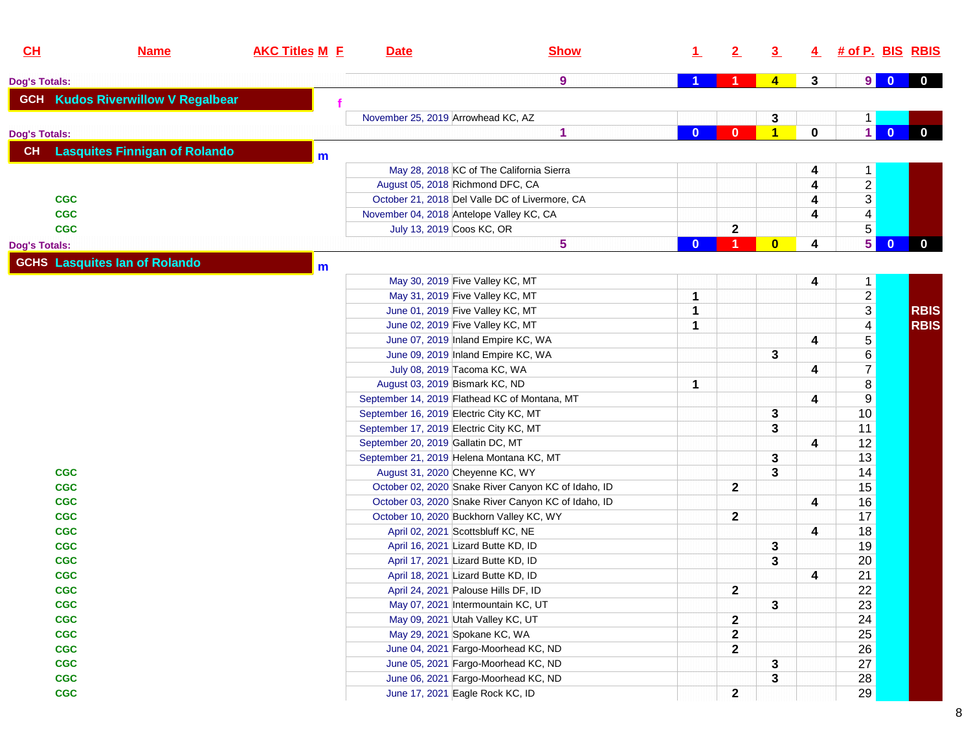| CL                   | <b>Name</b>                              | <b>AKC Titles M E</b> | <b>Date</b>                             | <b>Show</b>                                         | $\perp$  | 2                    | $\overline{3}$          |             | 4 # of P. BIS RBIS      |                |              |
|----------------------|------------------------------------------|-----------------------|-----------------------------------------|-----------------------------------------------------|----------|----------------------|-------------------------|-------------|-------------------------|----------------|--------------|
| <b>Dog's Totals:</b> |                                          |                       |                                         | $\boldsymbol{9}$                                    |          | 1.                   | $\overline{4}$          | 3           | 9                       | $\overline{0}$ | $\mathbf{0}$ |
|                      | <b>GCH Kudos Riverwillow V Regalbear</b> |                       |                                         |                                                     |          |                      |                         |             |                         |                |              |
|                      |                                          |                       | November 25, 2019 Arrowhead KC, AZ      |                                                     |          |                      | 3                       |             | $\mathbf{1}$            |                |              |
| <b>Dog's Totals:</b> |                                          |                       |                                         | 1                                                   | $\bf{0}$ | $\mathbf{0}$         | $\blacktriangleleft$    | $\mathbf 0$ | $\mathbf{1}$            | $\overline{0}$ | $\mathbf{0}$ |
| CH                   | <b>Lasquites Finnigan of Rolando</b>     |                       |                                         |                                                     |          |                      |                         |             |                         |                |              |
|                      |                                          | m                     |                                         |                                                     |          |                      |                         |             |                         |                |              |
|                      |                                          |                       |                                         | May 28, 2018 KC of The California Sierra            |          |                      |                         | 4           | $\mathbf{1}$            |                |              |
|                      |                                          |                       | August 05, 2018 Richmond DFC, CA        |                                                     |          |                      |                         | 4           | $\overline{2}$          |                |              |
|                      | <b>CGC</b>                               |                       |                                         | October 21, 2018 Del Valle DC of Livermore, CA      |          |                      |                         | 4           | $\overline{3}$          |                |              |
|                      | <b>CGC</b>                               |                       |                                         | November 04, 2018 Antelope Valley KC, CA            |          |                      |                         | 4           | $\overline{\mathbf{4}}$ |                |              |
|                      | <b>CGC</b>                               |                       | July 13, 2019 Coos KC, OR               |                                                     |          | $\mathbf 2$          |                         |             | $\overline{5}$          |                |              |
| <b>Dog's Totals:</b> |                                          |                       |                                         | 5                                                   | $\bf{0}$ | $\blacktriangleleft$ | $\overline{\mathbf{0}}$ | 4           | $\overline{5}$          | $\mathbf{0}$   | $\mathbf{0}$ |
|                      | <b>GCHS</b> Lasquites lan of Rolando     | $\mathbf{m}$          |                                         |                                                     |          |                      |                         |             |                         |                |              |
|                      |                                          |                       |                                         | May 30, 2019 Five Valley KC, MT                     |          |                      |                         | 4           | $\mathbf{1}$            |                |              |
|                      |                                          |                       |                                         | May 31, 2019 Five Valley KC, MT                     | 1        |                      |                         |             |                         |                |              |
|                      |                                          |                       |                                         | June 01, 2019 Five Valley KC, MT                    | 1        |                      |                         |             | $\frac{2}{3}$           |                | <b>RBIS</b>  |
|                      |                                          |                       |                                         | June 02, 2019 Five Valley KC, MT                    | 1        |                      |                         |             | $\overline{4}$          |                | <b>RBIS</b>  |
|                      |                                          |                       |                                         | June 07, 2019 Inland Empire KC, WA                  |          |                      |                         | 4           | $\overline{5}$          |                |              |
|                      |                                          |                       |                                         | June 09, 2019 Inland Empire KC, WA                  |          |                      | 3                       |             |                         |                |              |
|                      |                                          |                       |                                         | July 08, 2019 Tacoma KC, WA                         |          |                      |                         | 4           | $\frac{6}{7}$           |                |              |
|                      |                                          |                       | August 03, 2019 Bismark KC, ND          |                                                     | 1        |                      |                         |             | $\bf 8$                 |                |              |
|                      |                                          |                       |                                         | September 14, 2019 Flathead KC of Montana, MT       |          |                      |                         | 4           | $\overline{9}$          |                |              |
|                      |                                          |                       | September 16, 2019 Electric City KC, MT |                                                     |          |                      | 3                       |             | 10                      |                |              |
|                      |                                          |                       | September 17, 2019 Electric City KC, MT |                                                     |          |                      | 3                       |             | 11                      |                |              |
|                      |                                          |                       | September 20, 2019 Gallatin DC, MT      |                                                     |          |                      |                         | 4           | 12                      |                |              |
|                      |                                          |                       |                                         | September 21, 2019 Helena Montana KC, MT            |          |                      | 3                       |             | 13                      |                |              |
|                      | <b>CGC</b>                               |                       | August 31, 2020 Cheyenne KC, WY         |                                                     |          |                      | 3                       |             | 14                      |                |              |
|                      | <b>CGC</b>                               |                       |                                         | October 02, 2020 Snake River Canyon KC of Idaho, ID |          | $\mathbf 2$          |                         |             | 15                      |                |              |
|                      | <b>CGC</b>                               |                       |                                         | October 03, 2020 Snake River Canyon KC of Idaho, ID |          |                      |                         | 4           | 16                      |                |              |
|                      | <b>CGC</b>                               |                       |                                         | October 10, 2020 Buckhorn Valley KC, WY             |          | $\mathbf{2}$         |                         |             | 17                      |                |              |
|                      | <b>CGC</b>                               |                       |                                         | April 02, 2021 Scottsbluff KC, NE                   |          |                      |                         | 4           | 18                      |                |              |
|                      | <b>CGC</b>                               |                       |                                         | April 16, 2021 Lizard Butte KD, ID                  |          |                      | 3                       |             | 19                      |                |              |
|                      | <b>CGC</b>                               |                       |                                         | April 17, 2021 Lizard Butte KD, ID                  |          |                      | 3                       |             | 20                      |                |              |
|                      | <b>CGC</b>                               |                       |                                         | April 18, 2021 Lizard Butte KD, ID                  |          |                      |                         | 4           | 21                      |                |              |
|                      | <b>CGC</b>                               |                       |                                         | April 24, 2021 Palouse Hills DF, ID                 |          | $\mathbf{z}$         |                         |             | 22                      |                |              |
|                      | <b>CGC</b>                               |                       |                                         | May 07, 2021 Intermountain KC, UT                   |          |                      | $\mathbf{3}$            |             | 23                      |                |              |
|                      | CGC                                      |                       |                                         | May 09, 2021 Utah Valley KC, UT                     |          | $\mathbf 2$          |                         |             | 24                      |                |              |
|                      | CGC                                      |                       |                                         | May 29, 2021 Spokane KC, WA                         |          | $\mathbf 2$          |                         |             | 25                      |                |              |
|                      | CGC                                      |                       |                                         | June 04, 2021 Fargo-Moorhead KC, ND                 |          | $\mathbf 2$          |                         |             | 26                      |                |              |
|                      | <b>CGC</b>                               |                       |                                         | June 05, 2021 Fargo-Moorhead KC, ND                 |          |                      | 3                       |             | 27                      |                |              |
|                      | <b>CGC</b>                               |                       |                                         | June 06, 2021 Fargo-Moorhead KC, ND                 |          |                      | 3                       |             | 28                      |                |              |
|                      | CGC                                      |                       |                                         | June 17, 2021 Eagle Rock KC, ID                     |          | $\mathbf{2}$         |                         |             | 29                      |                |              |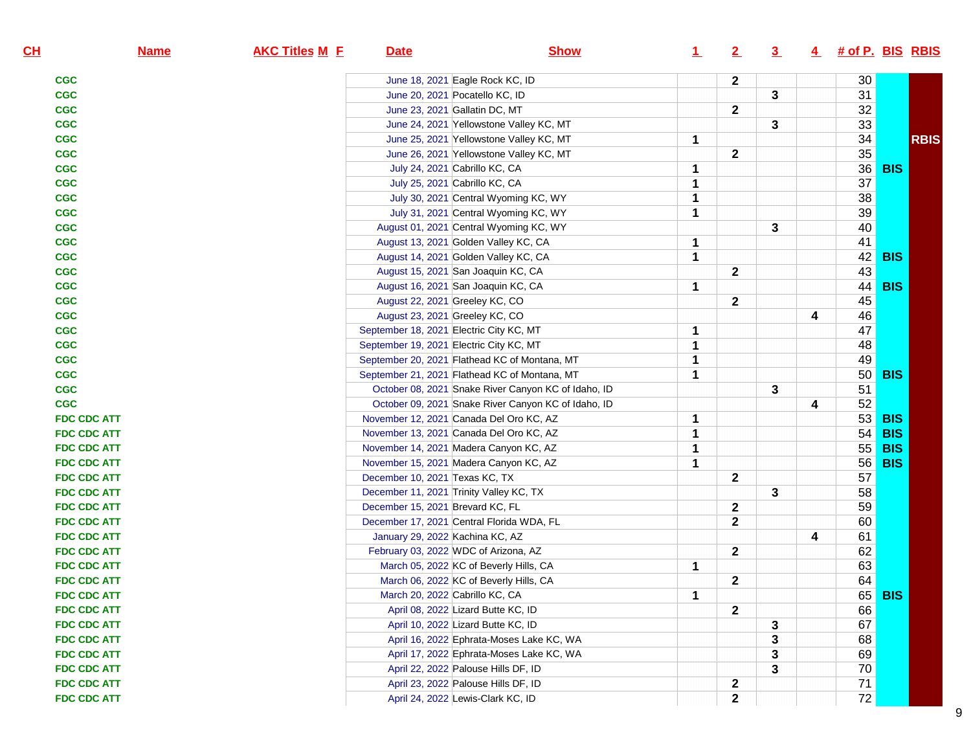| CL                 | <b>Name</b> | <b>AKC Titles M E</b> | <b>Date</b>                      | <b>Show</b>                                         | $\perp$ | 2                       | $\overline{3}$ |   | 4 # of P. BIS RBIS |            |             |
|--------------------|-------------|-----------------------|----------------------------------|-----------------------------------------------------|---------|-------------------------|----------------|---|--------------------|------------|-------------|
| <b>CGC</b>         |             |                       |                                  | June 18, 2021 Eagle Rock KC, ID                     |         | $\mathbf{2}$            |                |   | 30                 |            |             |
| <b>CGC</b>         |             |                       |                                  | June 20, 2021 Pocatello KC, ID                      |         |                         | 3              |   | 31                 |            |             |
| <b>CGC</b>         |             |                       |                                  | June 23, 2021 Gallatin DC, MT                       |         | $\mathbf{2}$            |                |   | 32                 |            |             |
| <b>CGC</b>         |             |                       |                                  | June 24, 2021 Yellowstone Valley KC, MT             |         |                         | 3              |   | 33                 |            |             |
| <b>CGC</b>         |             |                       |                                  | June 25, 2021 Yellowstone Valley KC, MT             | 1       |                         |                |   | 34                 |            | <b>RBIS</b> |
| <b>CGC</b>         |             |                       |                                  | June 26, 2021 Yellowstone Valley KC, MT             |         | $\mathbf{2}$            |                |   | 35                 |            |             |
| <b>CGC</b>         |             |                       |                                  | July 24, 2021 Cabrillo KC, CA                       | 1       |                         |                |   | 36                 | <b>BIS</b> |             |
| <b>CGC</b>         |             |                       |                                  | July 25, 2021 Cabrillo KC, CA                       | 1       |                         |                |   | $\overline{37}$    |            |             |
| <b>CGC</b>         |             |                       |                                  | July 30, 2021 Central Wyoming KC, WY                | 1       |                         |                |   | 38                 |            |             |
| <b>CGC</b>         |             |                       |                                  | July 31, 2021 Central Wyoming KC, WY                | 1       |                         |                |   | 39                 |            |             |
| <b>CGC</b>         |             |                       |                                  | August 01, 2021 Central Wyoming KC, WY              |         |                         | 3              |   | 40                 |            |             |
| <b>CGC</b>         |             |                       |                                  | August 13, 2021 Golden Valley KC, CA                | 1       |                         |                |   | 41                 |            |             |
| <b>CGC</b>         |             |                       |                                  | August 14, 2021 Golden Valley KC, CA                | 1       |                         |                |   | 42                 | <b>BIS</b> |             |
| <b>CGC</b>         |             |                       |                                  | August 15, 2021 San Joaquin KC, CA                  |         | $\mathbf{2}$            |                |   | 43                 |            |             |
| <b>CGC</b>         |             |                       |                                  | August 16, 2021 San Joaquin KC, CA                  | 1       |                         |                |   | 44                 | <b>BIS</b> |             |
| <b>CGC</b>         |             |                       |                                  | August 22, 2021 Greeley KC, CO                      |         | $\mathbf{2}$            |                |   | 45                 |            |             |
| <b>CGC</b>         |             |                       |                                  | August 23, 2021 Greeley KC, CO                      |         |                         |                | 4 | 46                 |            |             |
| <b>CGC</b>         |             |                       |                                  | September 18, 2021 Electric City KC, MT             | 1       |                         |                |   | 47                 |            |             |
| <b>CGC</b>         |             |                       |                                  | September 19, 2021 Electric City KC, MT             | 1       |                         |                |   | 48                 |            |             |
| <b>CGC</b>         |             |                       |                                  | September 20, 2021 Flathead KC of Montana, MT       | 1       |                         |                |   | 49                 |            |             |
| <b>CGC</b>         |             |                       |                                  | September 21, 2021 Flathead KC of Montana, MT       | 1       |                         |                |   | 50 <sup>°</sup>    | <b>BIS</b> |             |
| <b>CGC</b>         |             |                       |                                  | October 08, 2021 Snake River Canyon KC of Idaho, ID |         |                         | 3              |   | 51                 |            |             |
| <b>CGC</b>         |             |                       |                                  | October 09, 2021 Snake River Canyon KC of Idaho, ID |         |                         |                | 4 | 52                 |            |             |
| <b>FDC CDC ATT</b> |             |                       |                                  | November 12, 2021 Canada Del Oro KC, AZ             | 1       |                         |                |   | 53                 | <b>BIS</b> |             |
| <b>FDC CDC ATT</b> |             |                       |                                  | November 13, 2021 Canada Del Oro KC, AZ             | 1       |                         |                |   | 54                 | <b>BIS</b> |             |
| <b>FDC CDC ATT</b> |             |                       |                                  | November 14, 2021 Madera Canyon KC, AZ              | 1       |                         |                |   | 55                 | <b>BIS</b> |             |
| <b>FDC CDC ATT</b> |             |                       |                                  | November 15, 2021 Madera Canyon KC, AZ              | 1       |                         |                |   | 56                 | <b>BIS</b> |             |
| <b>FDC CDC ATT</b> |             |                       | December 10, 2021 Texas KC, TX   |                                                     |         | $\mathbf 2$             |                |   | 57                 |            |             |
| <b>FDC CDC ATT</b> |             |                       |                                  | December 11, 2021 Trinity Valley KC, TX             |         |                         | $\mathbf{3}$   |   | 58                 |            |             |
| <b>FDC CDC ATT</b> |             |                       | December 15, 2021 Brevard KC, FL |                                                     |         | $\overline{\mathbf{2}}$ |                |   | 59                 |            |             |
| <b>FDC CDC ATT</b> |             |                       |                                  | December 17, 2021 Central Florida WDA, FL           |         | $\mathbf{2}$            |                |   | 60                 |            |             |
| <b>FDC CDC ATT</b> |             |                       | January 29, 2022 Kachina KC, AZ  |                                                     |         |                         |                | 4 | 61                 |            |             |
| <b>FDC CDC ATT</b> |             |                       |                                  | February 03, 2022 WDC of Arizona, AZ                |         | $\mathbf{2}$            |                |   | 62                 |            |             |
| <b>FDC CDC ATT</b> |             |                       |                                  | March 05, 2022 KC of Beverly Hills, CA              | 1       |                         |                |   | 63                 |            |             |
| <b>FDC CDC ATT</b> |             |                       |                                  | March 06, 2022 KC of Beverly Hills, CA              |         | $\overline{\mathbf{2}}$ |                |   | 64                 |            |             |
| <b>FDC CDC ATT</b> |             |                       |                                  | March 20, 2022 Cabrillo KC, CA                      | 1       |                         |                |   |                    | 65 BIS     |             |
| <b>FDC CDC ATT</b> |             |                       |                                  | April 08, 2022 Lizard Butte KC, ID                  |         | $\mathbf{2}$            |                |   | 66                 |            |             |
| <b>FDC CDC ATT</b> |             |                       |                                  | April 10, 2022 Lizard Butte KC, ID                  |         |                         | 3              |   | 67                 |            |             |
| <b>FDC CDC ATT</b> |             |                       |                                  | April 16, 2022 Ephrata-Moses Lake KC, WA            |         |                         | 3              |   | 68                 |            |             |
| <b>FDC CDC ATT</b> |             |                       |                                  | April 17, 2022 Ephrata-Moses Lake KC, WA            |         |                         | 3              |   | 69                 |            |             |
| <b>FDC CDC ATT</b> |             |                       |                                  | April 22, 2022 Palouse Hills DF, ID                 |         |                         | 3              |   | 70                 |            |             |
| <b>FDC CDC ATT</b> |             |                       |                                  | April 23, 2022 Palouse Hills DF, ID                 |         | 2                       |                |   | 71                 |            |             |
| <b>FDC CDC ATT</b> |             |                       |                                  | April 24, 2022 Lewis-Clark KC, ID                   |         | 2                       |                |   | 72                 |            |             |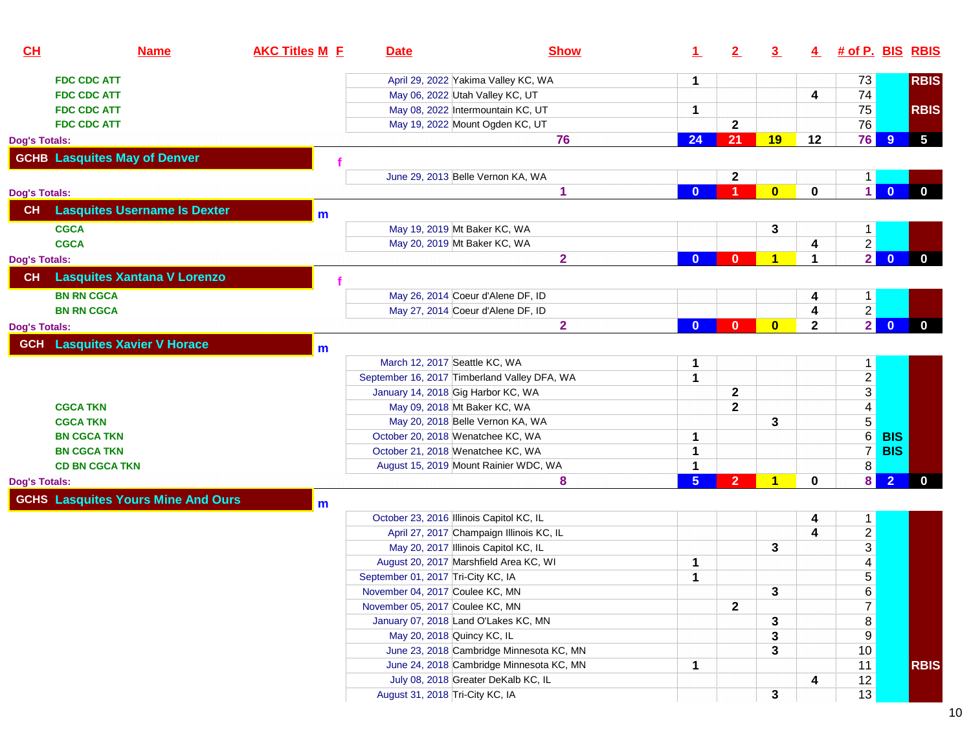| 73<br><b>RBIS</b><br>April 29, 2022 Yakima Valley KC, WA<br><b>FDC CDC ATT</b><br>1<br>74<br>May 06, 2022 Utah Valley KC, UT<br>4<br><b>FDC CDC ATT</b><br>75<br>May 08, 2022 Intermountain KC, UT<br><b>RBIS</b><br><b>FDC CDC ATT</b><br>1<br>76<br>May 19, 2022 Mount Ogden KC, UT<br>$\mathbf{2}$<br><b>FDC CDC ATT</b><br>76<br>$5\phantom{.0}$<br>21<br>24<br>19<br>12<br>9<br>76<br><b>GCHB Lasquites May of Denver</b><br>$\mathbf{2}$<br>June 29, 2013 Belle Vernon KA, WA<br>$\overline{0}$<br>$\mathbf 0$<br>1 <sup>1</sup><br>$\mathbf{0}$<br>$\bf{0}$<br>1<br>$\mathbf{0}$<br>-1<br>Dog's Totals:<br><b>Lasquites Username Is Dexter</b><br><b>CH</b><br>m<br><b>CGCA</b><br>May 19, 2019 Mt Baker KC, WA<br>3<br>$\mathbf{1}$<br>$\overline{2}$<br><b>CGCA</b><br>May 20, 2019 Mt Baker KC, WA<br>4<br>$\overline{2}$<br>$\overline{0}$<br>$\overline{2}$<br>$\overline{\mathbf{1}}$<br>1<br>$\mathbf 0$<br>$\mathbf{0}$<br>$\mathbf{0}$<br>Dog's Totals:<br><b>Lasquites Xantana V Lorenzo</b><br>CH<br>May 26, 2014 Coeur d'Alene DF, ID<br><b>BN RN CGCA</b><br>1<br>4<br>$\frac{2}{2}$<br>May 27, 2014 Coeur d'Alene DF, ID<br>4<br><b>BN RN CGCA</b><br>$\overline{\mathbf{0}}$<br>$\overline{2}$<br>$\mathbf{0}$<br>$\bf{0}$<br>$\overline{2}$<br>$\mathbf{0}$<br>$\mathbf{0}$<br>Dog's Totals:<br><b>GCH</b> Lasquites Xavier V Horace<br>$m$<br>March 12, 2017 Seattle KC, WA<br>1<br>$\mathbf{1}$<br>$\frac{2}{3}$<br>1<br>September 16, 2017 Timberland Valley DFA, WA<br>$\mathbf{2}$<br>January 14, 2018 Gig Harbor KC, WA<br>$\mathbf{2}$<br><b>CGCA TKN</b><br>May 09, 2018 Mt Baker KC, WA<br>$\overline{5}$<br><b>CGCA TKN</b><br>May 20, 2018 Belle Vernon KA, WA<br>3<br>6<br><b>BIS</b><br><b>BN CGCA TKN</b><br>October 20, 2018 Wenatchee KC, WA<br>1<br>$\overline{7}$<br><b>BIS</b><br><b>BN CGCA TKN</b><br>October 21, 2018 Wenatchee KC, WA<br>1<br>8<br>1<br><b>CD BN CGCA TKN</b><br>August 15, 2019 Mount Rainier WDC, WA<br>$\vert$<br>5 <sup>1</sup><br>$\overline{2}$<br>1<br>$\mathbf 0$<br>$\bf{0}$<br>8<br>$\overline{2}$<br>Dog's Totals:<br><b>GCHS Lasquites Yours Mine And Ours</b><br>m<br>October 23, 2016 Illinois Capitol KC, IL<br>$\mathbf{1}$<br>4<br>$\frac{2}{3}$<br>April 27, 2017 Champaign Illinois KC, IL<br>4<br>May 20, 2017 Illinois Capitol KC, IL<br>3<br>$\overline{4}$<br>August 20, 2017 Marshfield Area KC, WI<br>1<br>$\overline{5}$<br>September 01, 2017 Tri-City KC, IA<br>1<br>November 04, 2017 Coulee KC, MN<br>3<br>$\frac{6}{7}$<br>November 05, 2017 Coulee KC, MN<br>$\mathbf{2}$<br>$\bf 8$<br>January 07, 2018 Land O'Lakes KC, MN<br>3<br>$9$<br>May 20, 2018 Quincy KC, IL<br>3<br>10<br>June 23, 2018 Cambridge Minnesota KC, MN<br>3<br>11<br>June 24, 2018 Cambridge Minnesota KC, MN<br><b>RBIS</b><br>1<br>July 08, 2018 Greater DeKalb KC, IL<br>12<br>4<br>August 31, 2018 Tri-City KC, IA | CL            | <b>Name</b> | <b>AKC Titles M E</b> | <b>Date</b> | <b>Show</b> | $\mathbf{\mathbf{1}}$ | 2 | $\overline{\mathbf{3}}$ | $\overline{4}$ | # of P. BIS RBIS |  |
|---------------------------------------------------------------------------------------------------------------------------------------------------------------------------------------------------------------------------------------------------------------------------------------------------------------------------------------------------------------------------------------------------------------------------------------------------------------------------------------------------------------------------------------------------------------------------------------------------------------------------------------------------------------------------------------------------------------------------------------------------------------------------------------------------------------------------------------------------------------------------------------------------------------------------------------------------------------------------------------------------------------------------------------------------------------------------------------------------------------------------------------------------------------------------------------------------------------------------------------------------------------------------------------------------------------------------------------------------------------------------------------------------------------------------------------------------------------------------------------------------------------------------------------------------------------------------------------------------------------------------------------------------------------------------------------------------------------------------------------------------------------------------------------------------------------------------------------------------------------------------------------------------------------------------------------------------------------------------------------------------------------------------------------------------------------------------------------------------------------------------------------------------------------------------------------------------------------------------------------------------------------------------------------------------------------------------------------------------------------------------------------------------------------------------------------------------------------------------------------------------------------------------------------------------------------------------------------------------------------------------------------------------------------------------------------------------------------------------------------------------------------------------------------------------------------------------------------------------------------------------------------------|---------------|-------------|-----------------------|-------------|-------------|-----------------------|---|-------------------------|----------------|------------------|--|
|                                                                                                                                                                                                                                                                                                                                                                                                                                                                                                                                                                                                                                                                                                                                                                                                                                                                                                                                                                                                                                                                                                                                                                                                                                                                                                                                                                                                                                                                                                                                                                                                                                                                                                                                                                                                                                                                                                                                                                                                                                                                                                                                                                                                                                                                                                                                                                                                                                                                                                                                                                                                                                                                                                                                                                                                                                                                                             |               |             |                       |             |             |                       |   |                         |                |                  |  |
|                                                                                                                                                                                                                                                                                                                                                                                                                                                                                                                                                                                                                                                                                                                                                                                                                                                                                                                                                                                                                                                                                                                                                                                                                                                                                                                                                                                                                                                                                                                                                                                                                                                                                                                                                                                                                                                                                                                                                                                                                                                                                                                                                                                                                                                                                                                                                                                                                                                                                                                                                                                                                                                                                                                                                                                                                                                                                             |               |             |                       |             |             |                       |   |                         |                |                  |  |
|                                                                                                                                                                                                                                                                                                                                                                                                                                                                                                                                                                                                                                                                                                                                                                                                                                                                                                                                                                                                                                                                                                                                                                                                                                                                                                                                                                                                                                                                                                                                                                                                                                                                                                                                                                                                                                                                                                                                                                                                                                                                                                                                                                                                                                                                                                                                                                                                                                                                                                                                                                                                                                                                                                                                                                                                                                                                                             |               |             |                       |             |             |                       |   |                         |                |                  |  |
|                                                                                                                                                                                                                                                                                                                                                                                                                                                                                                                                                                                                                                                                                                                                                                                                                                                                                                                                                                                                                                                                                                                                                                                                                                                                                                                                                                                                                                                                                                                                                                                                                                                                                                                                                                                                                                                                                                                                                                                                                                                                                                                                                                                                                                                                                                                                                                                                                                                                                                                                                                                                                                                                                                                                                                                                                                                                                             |               |             |                       |             |             |                       |   |                         |                |                  |  |
|                                                                                                                                                                                                                                                                                                                                                                                                                                                                                                                                                                                                                                                                                                                                                                                                                                                                                                                                                                                                                                                                                                                                                                                                                                                                                                                                                                                                                                                                                                                                                                                                                                                                                                                                                                                                                                                                                                                                                                                                                                                                                                                                                                                                                                                                                                                                                                                                                                                                                                                                                                                                                                                                                                                                                                                                                                                                                             | Dog's Totals: |             |                       |             |             |                       |   |                         |                |                  |  |
|                                                                                                                                                                                                                                                                                                                                                                                                                                                                                                                                                                                                                                                                                                                                                                                                                                                                                                                                                                                                                                                                                                                                                                                                                                                                                                                                                                                                                                                                                                                                                                                                                                                                                                                                                                                                                                                                                                                                                                                                                                                                                                                                                                                                                                                                                                                                                                                                                                                                                                                                                                                                                                                                                                                                                                                                                                                                                             |               |             |                       |             |             |                       |   |                         |                |                  |  |
|                                                                                                                                                                                                                                                                                                                                                                                                                                                                                                                                                                                                                                                                                                                                                                                                                                                                                                                                                                                                                                                                                                                                                                                                                                                                                                                                                                                                                                                                                                                                                                                                                                                                                                                                                                                                                                                                                                                                                                                                                                                                                                                                                                                                                                                                                                                                                                                                                                                                                                                                                                                                                                                                                                                                                                                                                                                                                             |               |             |                       |             |             |                       |   |                         |                |                  |  |
|                                                                                                                                                                                                                                                                                                                                                                                                                                                                                                                                                                                                                                                                                                                                                                                                                                                                                                                                                                                                                                                                                                                                                                                                                                                                                                                                                                                                                                                                                                                                                                                                                                                                                                                                                                                                                                                                                                                                                                                                                                                                                                                                                                                                                                                                                                                                                                                                                                                                                                                                                                                                                                                                                                                                                                                                                                                                                             |               |             |                       |             |             |                       |   |                         |                |                  |  |
|                                                                                                                                                                                                                                                                                                                                                                                                                                                                                                                                                                                                                                                                                                                                                                                                                                                                                                                                                                                                                                                                                                                                                                                                                                                                                                                                                                                                                                                                                                                                                                                                                                                                                                                                                                                                                                                                                                                                                                                                                                                                                                                                                                                                                                                                                                                                                                                                                                                                                                                                                                                                                                                                                                                                                                                                                                                                                             |               |             |                       |             |             |                       |   |                         |                |                  |  |
|                                                                                                                                                                                                                                                                                                                                                                                                                                                                                                                                                                                                                                                                                                                                                                                                                                                                                                                                                                                                                                                                                                                                                                                                                                                                                                                                                                                                                                                                                                                                                                                                                                                                                                                                                                                                                                                                                                                                                                                                                                                                                                                                                                                                                                                                                                                                                                                                                                                                                                                                                                                                                                                                                                                                                                                                                                                                                             |               |             |                       |             |             |                       |   |                         |                |                  |  |
|                                                                                                                                                                                                                                                                                                                                                                                                                                                                                                                                                                                                                                                                                                                                                                                                                                                                                                                                                                                                                                                                                                                                                                                                                                                                                                                                                                                                                                                                                                                                                                                                                                                                                                                                                                                                                                                                                                                                                                                                                                                                                                                                                                                                                                                                                                                                                                                                                                                                                                                                                                                                                                                                                                                                                                                                                                                                                             |               |             |                       |             |             |                       |   |                         |                |                  |  |
|                                                                                                                                                                                                                                                                                                                                                                                                                                                                                                                                                                                                                                                                                                                                                                                                                                                                                                                                                                                                                                                                                                                                                                                                                                                                                                                                                                                                                                                                                                                                                                                                                                                                                                                                                                                                                                                                                                                                                                                                                                                                                                                                                                                                                                                                                                                                                                                                                                                                                                                                                                                                                                                                                                                                                                                                                                                                                             |               |             |                       |             |             |                       |   |                         |                |                  |  |
|                                                                                                                                                                                                                                                                                                                                                                                                                                                                                                                                                                                                                                                                                                                                                                                                                                                                                                                                                                                                                                                                                                                                                                                                                                                                                                                                                                                                                                                                                                                                                                                                                                                                                                                                                                                                                                                                                                                                                                                                                                                                                                                                                                                                                                                                                                                                                                                                                                                                                                                                                                                                                                                                                                                                                                                                                                                                                             |               |             |                       |             |             |                       |   |                         |                |                  |  |
|                                                                                                                                                                                                                                                                                                                                                                                                                                                                                                                                                                                                                                                                                                                                                                                                                                                                                                                                                                                                                                                                                                                                                                                                                                                                                                                                                                                                                                                                                                                                                                                                                                                                                                                                                                                                                                                                                                                                                                                                                                                                                                                                                                                                                                                                                                                                                                                                                                                                                                                                                                                                                                                                                                                                                                                                                                                                                             |               |             |                       |             |             |                       |   |                         |                |                  |  |
|                                                                                                                                                                                                                                                                                                                                                                                                                                                                                                                                                                                                                                                                                                                                                                                                                                                                                                                                                                                                                                                                                                                                                                                                                                                                                                                                                                                                                                                                                                                                                                                                                                                                                                                                                                                                                                                                                                                                                                                                                                                                                                                                                                                                                                                                                                                                                                                                                                                                                                                                                                                                                                                                                                                                                                                                                                                                                             |               |             |                       |             |             |                       |   |                         |                |                  |  |
|                                                                                                                                                                                                                                                                                                                                                                                                                                                                                                                                                                                                                                                                                                                                                                                                                                                                                                                                                                                                                                                                                                                                                                                                                                                                                                                                                                                                                                                                                                                                                                                                                                                                                                                                                                                                                                                                                                                                                                                                                                                                                                                                                                                                                                                                                                                                                                                                                                                                                                                                                                                                                                                                                                                                                                                                                                                                                             |               |             |                       |             |             |                       |   |                         |                |                  |  |
|                                                                                                                                                                                                                                                                                                                                                                                                                                                                                                                                                                                                                                                                                                                                                                                                                                                                                                                                                                                                                                                                                                                                                                                                                                                                                                                                                                                                                                                                                                                                                                                                                                                                                                                                                                                                                                                                                                                                                                                                                                                                                                                                                                                                                                                                                                                                                                                                                                                                                                                                                                                                                                                                                                                                                                                                                                                                                             |               |             |                       |             |             |                       |   |                         |                |                  |  |
|                                                                                                                                                                                                                                                                                                                                                                                                                                                                                                                                                                                                                                                                                                                                                                                                                                                                                                                                                                                                                                                                                                                                                                                                                                                                                                                                                                                                                                                                                                                                                                                                                                                                                                                                                                                                                                                                                                                                                                                                                                                                                                                                                                                                                                                                                                                                                                                                                                                                                                                                                                                                                                                                                                                                                                                                                                                                                             |               |             |                       |             |             |                       |   |                         |                |                  |  |
|                                                                                                                                                                                                                                                                                                                                                                                                                                                                                                                                                                                                                                                                                                                                                                                                                                                                                                                                                                                                                                                                                                                                                                                                                                                                                                                                                                                                                                                                                                                                                                                                                                                                                                                                                                                                                                                                                                                                                                                                                                                                                                                                                                                                                                                                                                                                                                                                                                                                                                                                                                                                                                                                                                                                                                                                                                                                                             |               |             |                       |             |             |                       |   |                         |                |                  |  |
|                                                                                                                                                                                                                                                                                                                                                                                                                                                                                                                                                                                                                                                                                                                                                                                                                                                                                                                                                                                                                                                                                                                                                                                                                                                                                                                                                                                                                                                                                                                                                                                                                                                                                                                                                                                                                                                                                                                                                                                                                                                                                                                                                                                                                                                                                                                                                                                                                                                                                                                                                                                                                                                                                                                                                                                                                                                                                             |               |             |                       |             |             |                       |   |                         |                |                  |  |
|                                                                                                                                                                                                                                                                                                                                                                                                                                                                                                                                                                                                                                                                                                                                                                                                                                                                                                                                                                                                                                                                                                                                                                                                                                                                                                                                                                                                                                                                                                                                                                                                                                                                                                                                                                                                                                                                                                                                                                                                                                                                                                                                                                                                                                                                                                                                                                                                                                                                                                                                                                                                                                                                                                                                                                                                                                                                                             |               |             |                       |             |             |                       |   |                         |                |                  |  |
|                                                                                                                                                                                                                                                                                                                                                                                                                                                                                                                                                                                                                                                                                                                                                                                                                                                                                                                                                                                                                                                                                                                                                                                                                                                                                                                                                                                                                                                                                                                                                                                                                                                                                                                                                                                                                                                                                                                                                                                                                                                                                                                                                                                                                                                                                                                                                                                                                                                                                                                                                                                                                                                                                                                                                                                                                                                                                             |               |             |                       |             |             |                       |   |                         |                |                  |  |
|                                                                                                                                                                                                                                                                                                                                                                                                                                                                                                                                                                                                                                                                                                                                                                                                                                                                                                                                                                                                                                                                                                                                                                                                                                                                                                                                                                                                                                                                                                                                                                                                                                                                                                                                                                                                                                                                                                                                                                                                                                                                                                                                                                                                                                                                                                                                                                                                                                                                                                                                                                                                                                                                                                                                                                                                                                                                                             |               |             |                       |             |             |                       |   |                         |                |                  |  |
|                                                                                                                                                                                                                                                                                                                                                                                                                                                                                                                                                                                                                                                                                                                                                                                                                                                                                                                                                                                                                                                                                                                                                                                                                                                                                                                                                                                                                                                                                                                                                                                                                                                                                                                                                                                                                                                                                                                                                                                                                                                                                                                                                                                                                                                                                                                                                                                                                                                                                                                                                                                                                                                                                                                                                                                                                                                                                             |               |             |                       |             |             |                       |   |                         |                |                  |  |
|                                                                                                                                                                                                                                                                                                                                                                                                                                                                                                                                                                                                                                                                                                                                                                                                                                                                                                                                                                                                                                                                                                                                                                                                                                                                                                                                                                                                                                                                                                                                                                                                                                                                                                                                                                                                                                                                                                                                                                                                                                                                                                                                                                                                                                                                                                                                                                                                                                                                                                                                                                                                                                                                                                                                                                                                                                                                                             |               |             |                       |             |             |                       |   |                         |                |                  |  |
|                                                                                                                                                                                                                                                                                                                                                                                                                                                                                                                                                                                                                                                                                                                                                                                                                                                                                                                                                                                                                                                                                                                                                                                                                                                                                                                                                                                                                                                                                                                                                                                                                                                                                                                                                                                                                                                                                                                                                                                                                                                                                                                                                                                                                                                                                                                                                                                                                                                                                                                                                                                                                                                                                                                                                                                                                                                                                             |               |             |                       |             |             |                       |   |                         |                |                  |  |
|                                                                                                                                                                                                                                                                                                                                                                                                                                                                                                                                                                                                                                                                                                                                                                                                                                                                                                                                                                                                                                                                                                                                                                                                                                                                                                                                                                                                                                                                                                                                                                                                                                                                                                                                                                                                                                                                                                                                                                                                                                                                                                                                                                                                                                                                                                                                                                                                                                                                                                                                                                                                                                                                                                                                                                                                                                                                                             |               |             |                       |             |             |                       |   |                         |                |                  |  |
|                                                                                                                                                                                                                                                                                                                                                                                                                                                                                                                                                                                                                                                                                                                                                                                                                                                                                                                                                                                                                                                                                                                                                                                                                                                                                                                                                                                                                                                                                                                                                                                                                                                                                                                                                                                                                                                                                                                                                                                                                                                                                                                                                                                                                                                                                                                                                                                                                                                                                                                                                                                                                                                                                                                                                                                                                                                                                             |               |             |                       |             |             |                       |   |                         |                |                  |  |
|                                                                                                                                                                                                                                                                                                                                                                                                                                                                                                                                                                                                                                                                                                                                                                                                                                                                                                                                                                                                                                                                                                                                                                                                                                                                                                                                                                                                                                                                                                                                                                                                                                                                                                                                                                                                                                                                                                                                                                                                                                                                                                                                                                                                                                                                                                                                                                                                                                                                                                                                                                                                                                                                                                                                                                                                                                                                                             |               |             |                       |             |             |                       |   |                         |                |                  |  |
|                                                                                                                                                                                                                                                                                                                                                                                                                                                                                                                                                                                                                                                                                                                                                                                                                                                                                                                                                                                                                                                                                                                                                                                                                                                                                                                                                                                                                                                                                                                                                                                                                                                                                                                                                                                                                                                                                                                                                                                                                                                                                                                                                                                                                                                                                                                                                                                                                                                                                                                                                                                                                                                                                                                                                                                                                                                                                             |               |             |                       |             |             |                       |   |                         |                |                  |  |
|                                                                                                                                                                                                                                                                                                                                                                                                                                                                                                                                                                                                                                                                                                                                                                                                                                                                                                                                                                                                                                                                                                                                                                                                                                                                                                                                                                                                                                                                                                                                                                                                                                                                                                                                                                                                                                                                                                                                                                                                                                                                                                                                                                                                                                                                                                                                                                                                                                                                                                                                                                                                                                                                                                                                                                                                                                                                                             |               |             |                       |             |             |                       |   |                         |                |                  |  |
|                                                                                                                                                                                                                                                                                                                                                                                                                                                                                                                                                                                                                                                                                                                                                                                                                                                                                                                                                                                                                                                                                                                                                                                                                                                                                                                                                                                                                                                                                                                                                                                                                                                                                                                                                                                                                                                                                                                                                                                                                                                                                                                                                                                                                                                                                                                                                                                                                                                                                                                                                                                                                                                                                                                                                                                                                                                                                             |               |             |                       |             |             |                       |   |                         |                |                  |  |
|                                                                                                                                                                                                                                                                                                                                                                                                                                                                                                                                                                                                                                                                                                                                                                                                                                                                                                                                                                                                                                                                                                                                                                                                                                                                                                                                                                                                                                                                                                                                                                                                                                                                                                                                                                                                                                                                                                                                                                                                                                                                                                                                                                                                                                                                                                                                                                                                                                                                                                                                                                                                                                                                                                                                                                                                                                                                                             |               |             |                       |             |             |                       |   |                         |                |                  |  |
|                                                                                                                                                                                                                                                                                                                                                                                                                                                                                                                                                                                                                                                                                                                                                                                                                                                                                                                                                                                                                                                                                                                                                                                                                                                                                                                                                                                                                                                                                                                                                                                                                                                                                                                                                                                                                                                                                                                                                                                                                                                                                                                                                                                                                                                                                                                                                                                                                                                                                                                                                                                                                                                                                                                                                                                                                                                                                             |               |             |                       |             |             |                       |   |                         |                |                  |  |
|                                                                                                                                                                                                                                                                                                                                                                                                                                                                                                                                                                                                                                                                                                                                                                                                                                                                                                                                                                                                                                                                                                                                                                                                                                                                                                                                                                                                                                                                                                                                                                                                                                                                                                                                                                                                                                                                                                                                                                                                                                                                                                                                                                                                                                                                                                                                                                                                                                                                                                                                                                                                                                                                                                                                                                                                                                                                                             |               |             |                       |             |             |                       |   |                         |                |                  |  |
|                                                                                                                                                                                                                                                                                                                                                                                                                                                                                                                                                                                                                                                                                                                                                                                                                                                                                                                                                                                                                                                                                                                                                                                                                                                                                                                                                                                                                                                                                                                                                                                                                                                                                                                                                                                                                                                                                                                                                                                                                                                                                                                                                                                                                                                                                                                                                                                                                                                                                                                                                                                                                                                                                                                                                                                                                                                                                             |               |             |                       |             |             |                       |   |                         |                |                  |  |
|                                                                                                                                                                                                                                                                                                                                                                                                                                                                                                                                                                                                                                                                                                                                                                                                                                                                                                                                                                                                                                                                                                                                                                                                                                                                                                                                                                                                                                                                                                                                                                                                                                                                                                                                                                                                                                                                                                                                                                                                                                                                                                                                                                                                                                                                                                                                                                                                                                                                                                                                                                                                                                                                                                                                                                                                                                                                                             |               |             |                       |             |             |                       |   |                         |                |                  |  |
|                                                                                                                                                                                                                                                                                                                                                                                                                                                                                                                                                                                                                                                                                                                                                                                                                                                                                                                                                                                                                                                                                                                                                                                                                                                                                                                                                                                                                                                                                                                                                                                                                                                                                                                                                                                                                                                                                                                                                                                                                                                                                                                                                                                                                                                                                                                                                                                                                                                                                                                                                                                                                                                                                                                                                                                                                                                                                             |               |             |                       |             |             |                       |   |                         |                |                  |  |
|                                                                                                                                                                                                                                                                                                                                                                                                                                                                                                                                                                                                                                                                                                                                                                                                                                                                                                                                                                                                                                                                                                                                                                                                                                                                                                                                                                                                                                                                                                                                                                                                                                                                                                                                                                                                                                                                                                                                                                                                                                                                                                                                                                                                                                                                                                                                                                                                                                                                                                                                                                                                                                                                                                                                                                                                                                                                                             |               |             |                       |             |             |                       |   |                         |                |                  |  |
|                                                                                                                                                                                                                                                                                                                                                                                                                                                                                                                                                                                                                                                                                                                                                                                                                                                                                                                                                                                                                                                                                                                                                                                                                                                                                                                                                                                                                                                                                                                                                                                                                                                                                                                                                                                                                                                                                                                                                                                                                                                                                                                                                                                                                                                                                                                                                                                                                                                                                                                                                                                                                                                                                                                                                                                                                                                                                             |               |             |                       |             |             |                       |   | 3                       |                | 13               |  |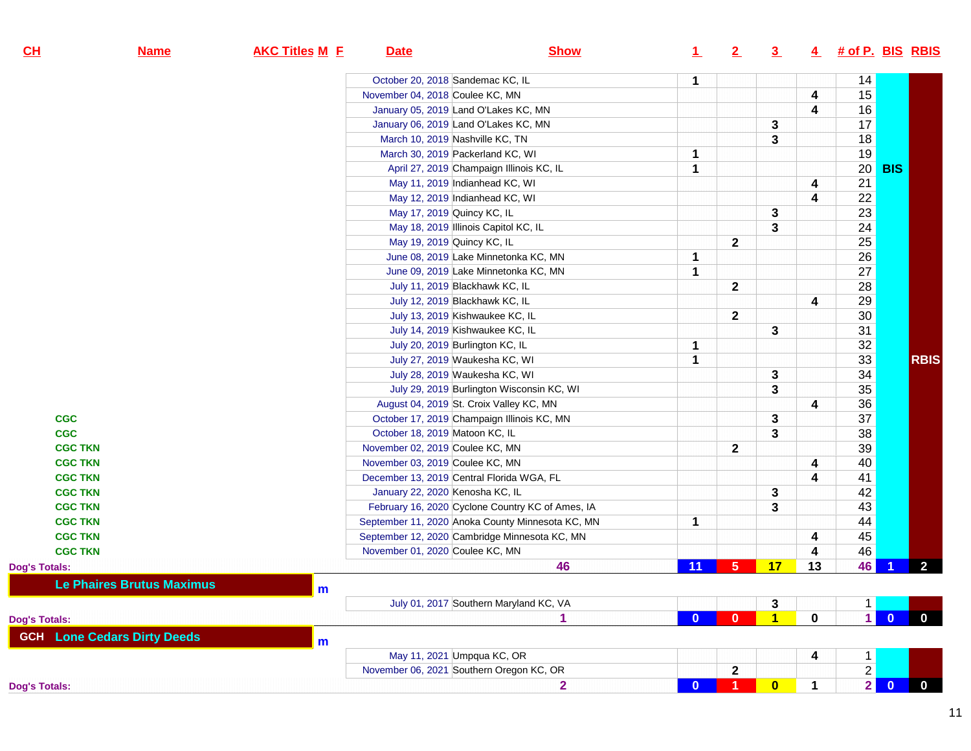| CL                   | <b>Name</b>                        | <b>AKC Titles M E</b> | <b>Date</b>                      | <b>Show</b>                                      | $\perp$  | 2              | 3 <sub>2</sub> | 4           | <u># of P. BIS RBIS</u> |                         |                |
|----------------------|------------------------------------|-----------------------|----------------------------------|--------------------------------------------------|----------|----------------|----------------|-------------|-------------------------|-------------------------|----------------|
|                      |                                    |                       | October 20, 2018 Sandemac KC, IL |                                                  | 1        |                |                |             | 14                      |                         |                |
|                      |                                    |                       | November 04, 2018 Coulee KC, MN  |                                                  |          |                |                | 4           | 15                      |                         |                |
|                      |                                    |                       |                                  | January 05, 2019 Land O'Lakes KC, MN             |          |                |                | 4           | 16                      |                         |                |
|                      |                                    |                       |                                  | January 06, 2019 Land O'Lakes KC, MN             |          |                | 3              |             | 17                      |                         |                |
|                      |                                    |                       | March 10, 2019 Nashville KC, TN  |                                                  |          |                | 3              |             | 18                      |                         |                |
|                      |                                    |                       |                                  | March 30, 2019 Packerland KC, WI                 | 1        |                |                |             | 19                      |                         |                |
|                      |                                    |                       |                                  | April 27, 2019 Champaign Illinois KC, IL         | 1        |                |                |             | 20                      | <b>BIS</b>              |                |
|                      |                                    |                       |                                  | May 11, 2019 Indianhead KC, WI                   |          |                |                | 4           | $\overline{21}$         |                         |                |
|                      |                                    |                       |                                  | May 12, 2019 Indianhead KC, WI                   |          |                |                | 4           | $\overline{22}$         |                         |                |
|                      |                                    |                       | May 17, 2019 Quincy KC, IL       |                                                  |          |                | 3              |             | 23                      |                         |                |
|                      |                                    |                       |                                  | May 18, 2019 Illinois Capitol KC, IL             |          |                | 3              |             | $\overline{24}$         |                         |                |
|                      |                                    |                       | May 19, 2019 Quincy KC, IL       |                                                  |          | $\mathbf{2}$   |                |             | $\overline{25}$         |                         |                |
|                      |                                    |                       |                                  | June 08, 2019 Lake Minnetonka KC, MN             | 1        |                |                |             | 26                      |                         |                |
|                      |                                    |                       |                                  | June 09, 2019 Lake Minnetonka KC, MN             | 1        |                |                |             | 27                      |                         |                |
|                      |                                    |                       |                                  | July 11, 2019 Blackhawk KC, IL                   |          | $\mathbf 2$    |                |             | 28                      |                         |                |
|                      |                                    |                       |                                  | July 12, 2019 Blackhawk KC, IL                   |          |                |                | 4           | 29                      |                         |                |
|                      |                                    |                       |                                  | July 13, 2019 Kishwaukee KC, IL                  |          | $\mathbf 2$    |                |             | 30 <sup>2</sup>         |                         |                |
|                      |                                    |                       |                                  | July 14, 2019 Kishwaukee KC, IL                  |          |                | 3              |             | 31                      |                         |                |
|                      |                                    |                       |                                  | July 20, 2019 Burlington KC, IL                  | 1        |                |                |             | 32                      |                         |                |
|                      |                                    |                       |                                  | July 27, 2019 Waukesha KC, WI                    | 1        |                |                |             | 33                      |                         | <b>RBIS</b>    |
|                      |                                    |                       |                                  | July 28, 2019 Waukesha KC, WI                    |          |                | 3              |             | 34                      |                         |                |
|                      |                                    |                       |                                  | July 29, 2019 Burlington Wisconsin KC, WI        |          |                | 3              |             | 35                      |                         |                |
|                      |                                    |                       |                                  | August 04, 2019 St. Croix Valley KC, MN          |          |                |                | 4           | $\overline{36}$         |                         |                |
| <b>CGC</b>           |                                    |                       |                                  | October 17, 2019 Champaign Illinois KC, MN       |          |                | 3              |             | 37                      |                         |                |
| <b>CGC</b>           |                                    |                       | October 18, 2019 Matoon KC, IL   |                                                  |          |                | 3              |             | 38                      |                         |                |
| <b>CGC TKN</b>       |                                    |                       | November 02, 2019 Coulee KC, MN  |                                                  |          | $\mathbf{2}$   |                |             | 39                      |                         |                |
| <b>CGC TKN</b>       |                                    |                       | November 03, 2019 Coulee KC, MN  |                                                  |          |                |                | 4           | 40                      |                         |                |
| <b>CGC TKN</b>       |                                    |                       |                                  | December 13, 2019 Central Florida WGA, FL        |          |                |                | 4           | 41                      |                         |                |
| <b>CGC TKN</b>       |                                    |                       | January 22, 2020 Kenosha KC, IL  |                                                  |          |                | 3              |             | 42                      |                         |                |
| <b>CGC TKN</b>       |                                    |                       |                                  | February 16, 2020 Cyclone Country KC of Ames, IA |          |                | 3              |             | 43                      |                         |                |
| <b>CGC TKN</b>       |                                    |                       |                                  | September 11, 2020 Anoka County Minnesota KC, MN | 1        |                |                |             | 44                      |                         |                |
| <b>CGC TKN</b>       |                                    |                       |                                  | September 12, 2020 Cambridge Minnesota KC, MN    |          |                |                | 4           | 45                      |                         |                |
| <b>CGC TKN</b>       |                                    |                       | November 01, 2020 Coulee KC, MN  |                                                  |          |                |                | 4           | 46                      |                         |                |
| <b>Dog's Totals:</b> |                                    |                       |                                  | 46                                               | 11       | 5 <sup>5</sup> | 17             | 13          | 46                      |                         | $\overline{2}$ |
|                      | <b>Le Phaires Brutus Maximus</b>   | $\mathbf{m}$          |                                  |                                                  |          |                |                |             |                         |                         |                |
|                      |                                    |                       |                                  | July 01, 2017 Southern Maryland KC, VA           |          |                | 3              |             | 1 <sup>1</sup>          |                         |                |
| <b>Dog's Totals:</b> |                                    |                       |                                  | 1                                                | $\bf{0}$ | $\mathbf{0}$   | $\mathbf{1}$   | $\mathbf 0$ | $\mathbf{1}$            | $\overline{\mathbf{0}}$ | $\mathbf{0}$   |
|                      | <b>GCH</b> Lone Cedars Dirty Deeds | m                     |                                  |                                                  |          |                |                |             |                         |                         |                |
|                      |                                    |                       |                                  | May 11, 2021 Umpqua KC, OR                       |          |                |                | 4           | $\mathbf{1}$            |                         |                |
|                      |                                    |                       |                                  | November 06, 2021 Southern Oregon KC, OR         |          | $\mathbf 2$    |                |             | $\overline{2}$          |                         |                |
| <b>Dog's Totals:</b> |                                    |                       |                                  | $\overline{\mathbf{2}}$                          | $\bf{0}$ | 1.             | $\mathbf{0}$   | 1           | 2 <sup>1</sup>          | $\overline{\mathbf{0}}$ | $\mathbf{0}$   |

11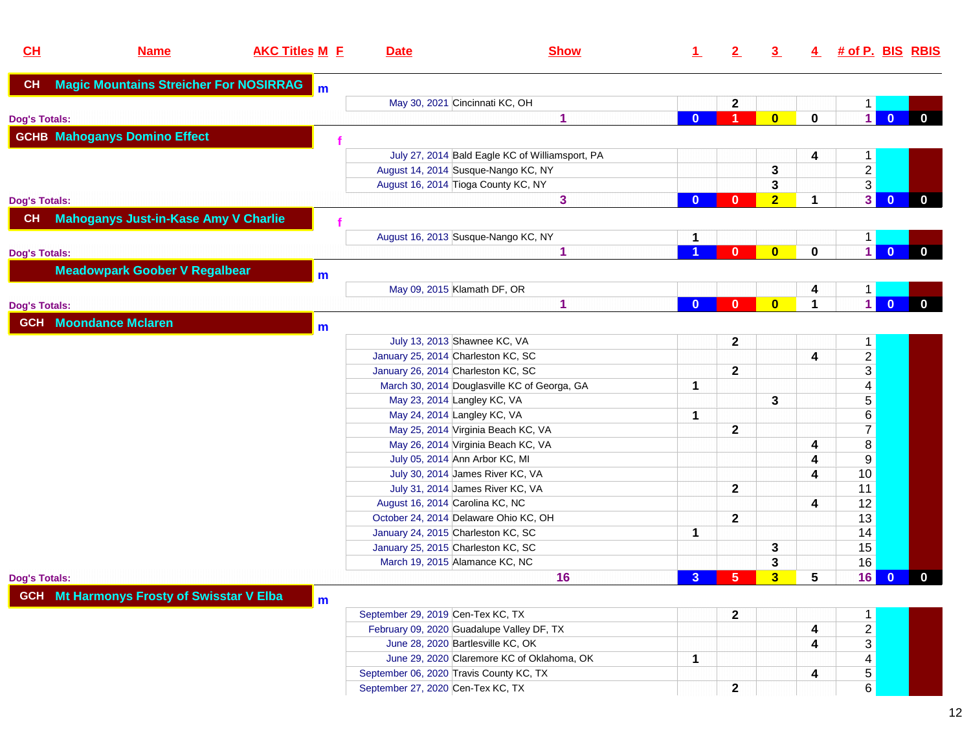| CL                   | <b>Name</b>                                      | <b>AKC Titles M E</b> | <b>Date</b>                             | <b>Show</b>                                     | <u>1</u>       | $\mathbf{2}$   | $\overline{3}$          | 4                       | # of P. BIS RBIS                     |              |
|----------------------|--------------------------------------------------|-----------------------|-----------------------------------------|-------------------------------------------------|----------------|----------------|-------------------------|-------------------------|--------------------------------------|--------------|
| CH                   | <b>Magic Mountains Streicher For NOSIRRAG</b>    | m                     |                                         |                                                 |                |                |                         |                         |                                      |              |
|                      |                                                  |                       | May 30, 2021 Cincinnati KC, OH          |                                                 |                | $\mathbf 2$    |                         |                         | $\mathbf{1}$                         |              |
| <b>Dog's Totals:</b> |                                                  |                       |                                         | 1                                               | $\bf{0}$       | A              | $\overline{\mathbf{0}}$ | $\mathbf 0$             | $\vert$<br>$\mathbf{0}$              | $\mathbf{0}$ |
|                      | <b>GCHB Mahoganys Domino Effect</b>              |                       |                                         |                                                 |                |                |                         |                         |                                      |              |
|                      |                                                  |                       |                                         | July 27, 2014 Bald Eagle KC of Williamsport, PA |                |                |                         | 4                       | $\mathbf{1}$                         |              |
|                      |                                                  |                       |                                         | August 14, 2014 Susque-Nango KC, NY             |                |                | 3                       |                         |                                      |              |
|                      |                                                  |                       | August 16, 2014 Tioga County KC, NY     |                                                 |                |                | 3                       |                         | $\frac{2}{3}$                        |              |
| <b>Dog's Totals:</b> |                                                  |                       |                                         | 3                                               | $\bf{0}$       | 0              | $\overline{2}$          | $\mathbf 1$             | 3<br>$\overline{\mathbf{0}}$         | $\mathbf{0}$ |
| CH                   | <b>Mahoganys Just-in-Kase Amy V Charlie</b>      |                       |                                         |                                                 |                |                |                         |                         |                                      |              |
|                      |                                                  |                       |                                         | August 16, 2013 Susque-Nango KC, NY             |                |                |                         |                         | $\vert$ 1                            |              |
| <b>Dog's Totals:</b> |                                                  |                       |                                         | 1                                               |                | $\bf{0}$       | $\bf{0}$                | $\mathbf 0$             | $\vert$ 1<br>$\overline{\mathbf{0}}$ | $\mathbf{0}$ |
|                      | <b>Meadowpark Goober V Regalbear</b>             | m                     |                                         |                                                 |                |                |                         |                         |                                      |              |
|                      |                                                  |                       | May 09, 2015 Klamath DF, OR             |                                                 |                |                |                         | 4                       | $\mathbf{1}$                         |              |
| <b>Dog's Totals:</b> |                                                  |                       |                                         | 1                                               | $\mathbf{0}$   | $\mathbf{0}$   | $\bf{0}$                | $\blacktriangleleft$    | $\vert$ 1<br>$\overline{0}$          | $\mathbf{0}$ |
|                      | <b>GCH</b> Moondance Mclaren                     | m                     |                                         |                                                 |                |                |                         |                         |                                      |              |
|                      |                                                  |                       | July 13, 2013 Shawnee KC, VA            |                                                 |                | $\mathbf 2$    |                         |                         | $\mathbf{1}$                         |              |
|                      |                                                  |                       | January 25, 2014 Charleston KC, SC      |                                                 |                |                |                         | 4                       | $\overline{c}$                       |              |
|                      |                                                  |                       | January 26, 2014 Charleston KC, SC      |                                                 |                | $\mathbf{2}$   |                         |                         | $\overline{3}$                       |              |
|                      |                                                  |                       |                                         | March 30, 2014 Douglasville KC of Georga, GA    | 1              |                |                         |                         | $\overline{\mathbf{4}}$              |              |
|                      |                                                  |                       | May 23, 2014 Langley KC, VA             |                                                 |                |                | 3                       |                         | 5                                    |              |
|                      |                                                  |                       | May 24, 2014 Langley KC, VA             |                                                 | 1              |                |                         |                         | 6                                    |              |
|                      |                                                  |                       |                                         | May 25, 2014 Virginia Beach KC, VA              |                | $\mathbf 2$    |                         |                         | $\overline{7}$                       |              |
|                      |                                                  |                       |                                         | May 26, 2014 Virginia Beach KC, VA              |                |                |                         | 4                       | $\bf 8$                              |              |
|                      |                                                  |                       | July 05, 2014 Ann Arbor KC, MI          |                                                 |                |                |                         | 4                       | 9                                    |              |
|                      |                                                  |                       |                                         | July 30, 2014 James River KC, VA                |                |                |                         | 4                       | 10                                   |              |
|                      |                                                  |                       |                                         | July 31, 2014 James River KC, VA                |                | $\mathbf{2}$   |                         |                         | 11                                   |              |
|                      |                                                  |                       | August 16, 2014 Carolina KC, NC         |                                                 |                |                |                         | 4                       | 12                                   |              |
|                      |                                                  |                       | October 24, 2014 Delaware Ohio KC, OH   |                                                 |                | $\mathbf{2}$   |                         |                         | 13                                   |              |
|                      |                                                  |                       | January 24, 2015 Charleston KC, SC      |                                                 | 1              |                |                         |                         | 14                                   |              |
|                      |                                                  |                       | January 25, 2015 Charleston KC, SC      |                                                 |                |                | 3                       |                         | 15                                   |              |
|                      |                                                  |                       | March 19, 2015 Alamance KC, NC          |                                                 |                |                | 3                       |                         | 16                                   |              |
| <b>Dog's Totals:</b> |                                                  |                       |                                         | 16                                              | 3 <sup>2</sup> | 5 <sub>5</sub> | $\overline{\mathbf{3}}$ | 5                       | 16<br>$\overline{0}$                 | $\mathbf{0}$ |
|                      | <b>GCH</b> Mt Harmonys Frosty of Swisstar V Elba | m                     |                                         |                                                 |                |                |                         |                         |                                      |              |
|                      |                                                  |                       | September 29, 2019 Cen-Tex KC, TX       |                                                 |                | $\mathbf{2}$   |                         |                         | $\overline{1}$                       |              |
|                      |                                                  |                       |                                         | February 09, 2020 Guadalupe Valley DF, TX       |                |                |                         | 4                       | $\overline{c}$                       |              |
|                      |                                                  |                       | June 28, 2020 Bartlesville KC, OK       |                                                 |                |                |                         | $\overline{\mathbf{4}}$ | $\overline{3}$                       |              |
|                      |                                                  |                       |                                         | June 29, 2020 Claremore KC of Oklahoma, OK      | $\mathbf 1$    |                |                         |                         | $\overline{\mathbf{4}}$              |              |
|                      |                                                  |                       | September 06, 2020 Travis County KC, TX |                                                 |                |                |                         | 4                       | 5                                    |              |
|                      |                                                  |                       | September 27, 2020 Cen-Tex KC, TX       |                                                 |                | $\mathbf 2$    |                         |                         | 6                                    |              |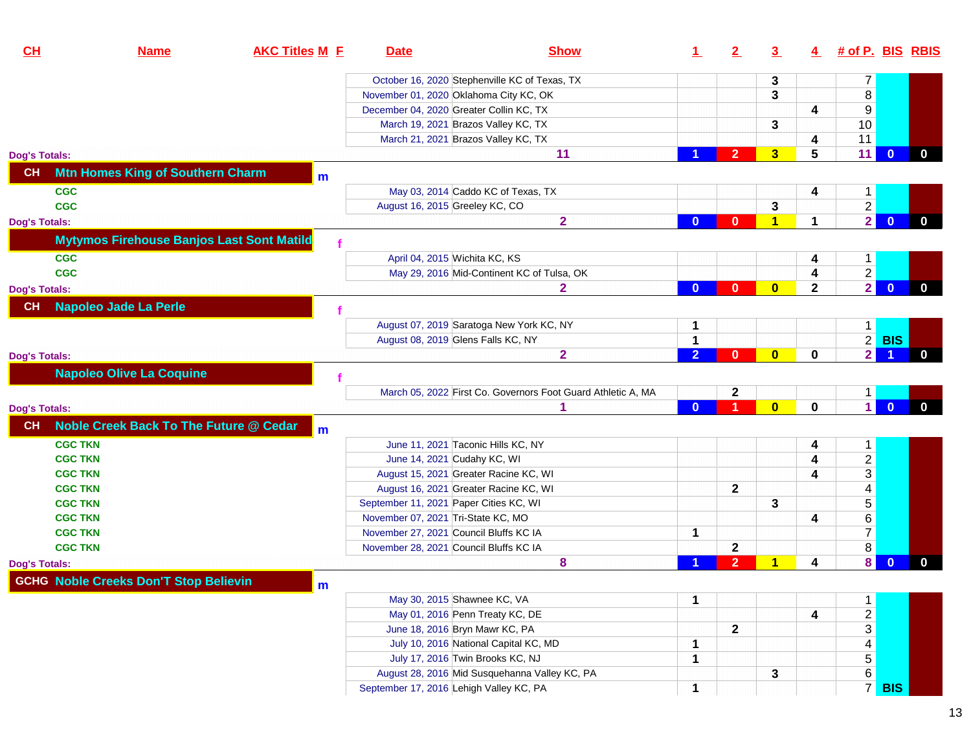| CL<br><b>AKC Titles M E</b><br><b>Name</b>                     | <b>Date</b>                            | <b>Show</b>                                                  | $\mathbf 1$    | 2                    | $\overline{3}$          | 4            | # of P. BIS RBIS        |                |              |
|----------------------------------------------------------------|----------------------------------------|--------------------------------------------------------------|----------------|----------------------|-------------------------|--------------|-------------------------|----------------|--------------|
|                                                                |                                        | October 16, 2020 Stephenville KC of Texas, TX                |                |                      | 3                       |              | $\overline{7}$          |                |              |
|                                                                |                                        | November 01, 2020 Oklahoma City KC, OK                       |                |                      | 3                       |              | 8                       |                |              |
|                                                                |                                        | December 04, 2020 Greater Collin KC, TX                      |                |                      |                         | 4            | $9$                     |                |              |
|                                                                |                                        | March 19, 2021 Brazos Valley KC, TX                          |                |                      | 3                       |              | 10                      |                |              |
|                                                                |                                        | March 21, 2021 Brazos Valley KC, TX                          |                |                      |                         | 4            | 11                      |                |              |
| <b>Dog's Totals:</b>                                           |                                        | 11                                                           |                | $\overline{2}$       | 3                       | 5            | 11                      | $\mathbf{0}$   | $\mathbf{0}$ |
| <b>Mtn Homes King of Southern Charm</b><br>CH<br>$\mathbf{m}$  |                                        |                                                              |                |                      |                         |              |                         |                |              |
| <b>CGC</b>                                                     |                                        | May 03, 2014 Caddo KC of Texas, TX                           |                |                      |                         | 4            | $\mathbf{1}$            |                |              |
| <b>CGC</b>                                                     | August 16, 2015 Greeley KC, CO         |                                                              |                |                      | 3                       |              | $\overline{2}$          |                |              |
| <b>Dog's Totals:</b>                                           |                                        | $\overline{\mathbf{2}}$                                      | $\bf{0}$       | $\bf{0}$             | 1                       | 1            | $\overline{2}$          | $\overline{0}$ | $\mathbf{0}$ |
| <b>Mytymos Firehouse Banjos Last Sont Matild</b>               |                                        |                                                              |                |                      |                         |              |                         |                |              |
| <b>CGC</b>                                                     |                                        | April 04, 2015 Wichita KC, KS                                |                |                      |                         | 4            | $\mathbf{1}$            |                |              |
| <b>CGC</b>                                                     |                                        | May 29, 2016 Mid-Continent KC of Tulsa, OK                   |                |                      |                         | 4            |                         |                |              |
| <b>Dog's Totals:</b>                                           |                                        | $\mathbf{2}$                                                 | $\bf{0}$       | $\bf{0}$             | $\bf{0}$                | $\mathbf{2}$ | $\frac{2}{2}$           | $\overline{0}$ | $\mathbf{0}$ |
| <b>Napoleo Jade La Perle</b><br>CH                             |                                        |                                                              |                |                      |                         |              |                         |                |              |
|                                                                |                                        | August 07, 2019 Saratoga New York KC, NY                     | 1.             |                      |                         |              | 1                       |                |              |
|                                                                |                                        | August 08, 2019 Glens Falls KC, NY                           | $\mathbf{1}$   |                      |                         |              |                         | $2$ BIS        |              |
| <b>Dog's Totals:</b>                                           |                                        | $\overline{\mathbf{2}}$                                      | $\overline{2}$ | $\mathbf{0}$         | $\bf{0}$                | 0            | 2                       |                | $\mathbf{0}$ |
| <b>Napoleo Olive La Coquine</b>                                |                                        |                                                              |                |                      |                         |              |                         |                |              |
|                                                                |                                        |                                                              |                |                      |                         |              |                         |                |              |
|                                                                |                                        | March 05, 2022 First Co. Governors Foot Guard Athletic A, MA |                | $\mathbf{2}$         |                         |              | 1                       |                |              |
| <b>Dog's Totals:</b>                                           |                                        | 1                                                            | $\mathbf{0}$   | $\blacktriangleleft$ | $\overline{\mathbf{0}}$ | $\mathbf 0$  | $\vert$ 1               | $\overline{0}$ | $\mathbf{0}$ |
| Noble Creek Back To The Future @ Cedar<br><b>CH</b><br>$m$     |                                        |                                                              |                |                      |                         |              |                         |                |              |
| <b>CGC TKN</b>                                                 |                                        | June 11, 2021 Taconic Hills KC, NY                           |                |                      |                         | 4            | 1 <sub>1</sub>          |                |              |
| <b>CGC TKN</b>                                                 |                                        | June 14, 2021 Cudahy KC, WI                                  |                |                      |                         | 4            | $\overline{2}$          |                |              |
| <b>CGC TKN</b>                                                 |                                        | August 15, 2021 Greater Racine KC, WI                        |                |                      |                         | 4            | $\overline{3}$          |                |              |
| <b>CGC TKN</b>                                                 |                                        | August 16, 2021 Greater Racine KC, WI                        |                | $\mathbf 2$          |                         |              | $\overline{\mathbf{4}}$ |                |              |
| <b>CGC TKN</b>                                                 | September 11, 2021 Paper Cities KC, WI |                                                              |                |                      | 3                       |              | $\sqrt{5}$              |                |              |
| <b>CGC TKN</b>                                                 | November 07, 2021 Tri-State KC, MO     |                                                              |                |                      |                         | 4            | $\,6\,$                 |                |              |
| <b>CGC TKN</b>                                                 |                                        | November 27, 2021 Council Bluffs KC IA                       | 1              |                      |                         |              | 7 <sup>1</sup>          |                |              |
| <b>CGC TKN</b>                                                 |                                        | November 28, 2021 Council Bluffs KC IA                       |                | $\mathbf 2$          |                         |              | 8 <sup>1</sup>          |                |              |
| <b>Dog's Totals:</b>                                           |                                        | 8                                                            |                | $\overline{2}$       | 1                       | 4            | 8                       | $\bf{0}$       | $\mathbf{0}$ |
| <b>GCHG Noble Creeks Don'T Stop Believin</b><br>$\mathsf{I}$ m |                                        |                                                              |                |                      |                         |              |                         |                |              |
|                                                                |                                        | May 30, 2015 Shawnee KC, VA                                  | 1              |                      |                         |              | $\mathbf{1}$            |                |              |
|                                                                |                                        | May 01, 2016 Penn Treaty KC, DE                              |                |                      |                         | 4            |                         |                |              |
|                                                                |                                        | June 18, 2016 Bryn Mawr KC, PA                               |                | $\mathbf{2}$         |                         |              | $\frac{2}{3}$           |                |              |
|                                                                |                                        | July 10, 2016 National Capital KC, MD                        | $\mathbf{1}$   |                      |                         |              | $\overline{4}$          |                |              |
|                                                                |                                        | July 17, 2016 Twin Brooks KC, NJ                             | $\mathbf 1$    |                      |                         |              | 5 <sup>1</sup>          |                |              |
|                                                                |                                        | August 28, 2016 Mid Susquehanna Valley KC, PA                |                |                      | 3                       |              | $\,6\,$                 |                |              |
|                                                                |                                        | September 17, 2016 Lehigh Valley KC, PA                      | 1              |                      |                         |              | 7 <sup>1</sup>          | <b>BIS</b>     |              |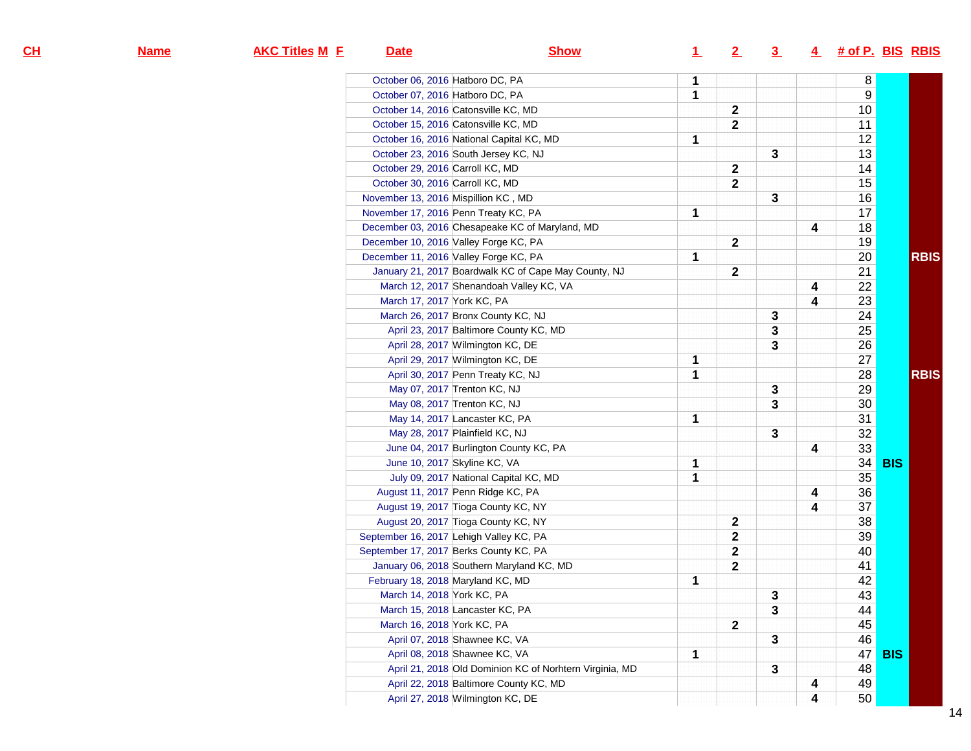| <u>н</u> | <b>Name</b> | <b>AKC Titles M E</b> | <b>Date</b>                              | <b>Show</b>                                             | $\perp$      | 2                       | $\overline{3}$ |   |    | 4 # of P. BIS RBIS |
|----------|-------------|-----------------------|------------------------------------------|---------------------------------------------------------|--------------|-------------------------|----------------|---|----|--------------------|
|          |             |                       | October 06, 2016 Hatboro DC, PA          |                                                         | 1            |                         |                |   | 8  |                    |
|          |             |                       | October 07, 2016 Hatboro DC, PA          |                                                         | $\mathbf{1}$ |                         |                |   | 9  |                    |
|          |             |                       | October 14, 2016 Catonsville KC, MD      |                                                         |              | $\mathbf{2}$            |                |   | 10 |                    |
|          |             |                       | October 15, 2016 Catonsville KC, MD      |                                                         |              | $\mathbf{2}$            |                |   | 11 |                    |
|          |             |                       | October 16, 2016 National Capital KC, MD |                                                         | 1            |                         |                |   | 12 |                    |
|          |             |                       | October 23, 2016 South Jersey KC, NJ     |                                                         |              |                         | $\mathbf{3}$   |   | 13 |                    |
|          |             |                       | October 29, 2016 Carroll KC, MD          |                                                         |              | $\mathbf{2}$            |                |   | 14 |                    |
|          |             |                       | October 30, 2016 Carroll KC, MD          |                                                         |              | $\mathbf{2}$            |                |   | 15 |                    |
|          |             |                       | November 13, 2016 Mispillion KC, MD      |                                                         |              |                         | $\mathbf 3$    |   | 16 |                    |
|          |             |                       | November 17, 2016 Penn Treaty KC, PA     |                                                         | 1            |                         |                |   | 17 |                    |
|          |             |                       |                                          | December 03, 2016 Chesapeake KC of Maryland, MD         |              |                         |                | 4 | 18 |                    |
|          |             |                       | December 10, 2016 Valley Forge KC, PA    |                                                         |              | $\mathbf{2}$            |                |   | 19 |                    |
|          |             |                       | December 11, 2016 Valley Forge KC, PA    |                                                         | 1            |                         |                |   | 20 | <b>RBIS</b>        |
|          |             |                       |                                          | January 21, 2017 Boardwalk KC of Cape May County, NJ    |              | $\mathbf{2}$            |                |   | 21 |                    |
|          |             |                       |                                          | March 12, 2017 Shenandoah Valley KC, VA                 |              |                         |                | 4 | 22 |                    |
|          |             |                       | March 17, 2017 York KC, PA               |                                                         |              |                         |                | 4 | 23 |                    |
|          |             |                       | March 26, 2017 Bronx County KC, NJ       |                                                         |              |                         | $\mathbf 3$    |   | 24 |                    |
|          |             |                       |                                          | April 23, 2017 Baltimore County KC, MD                  |              |                         | 3              |   | 25 |                    |
|          |             |                       | April 28, 2017 Wilmington KC, DE         |                                                         |              |                         | $\mathbf{3}$   |   | 26 |                    |
|          |             |                       | April 29, 2017 Wilmington KC, DE         |                                                         | 1            |                         |                |   | 27 |                    |
|          |             |                       | April 30, 2017 Penn Treaty KC, NJ        |                                                         | 1            |                         |                |   | 28 | <b>RBIS</b>        |
|          |             |                       | May 07, 2017 Trenton KC, NJ              |                                                         |              |                         | $\mathbf{3}$   |   | 29 |                    |
|          |             |                       | May 08, 2017 Trenton KC, NJ              |                                                         |              |                         | $\mathbf{3}$   |   | 30 |                    |
|          |             |                       | May 14, 2017 Lancaster KC, PA            |                                                         | 1            |                         |                |   | 31 |                    |
|          |             |                       | May 28, 2017 Plainfield KC, NJ           |                                                         |              |                         | $\mathbf{3}$   |   | 32 |                    |
|          |             |                       |                                          | June 04, 2017 Burlington County KC, PA                  |              |                         |                | 4 | 33 |                    |
|          |             |                       | June 10, 2017 Skyline KC, VA             |                                                         | 1            |                         |                |   | 34 | <b>BIS</b>         |
|          |             |                       |                                          | July 09, 2017 National Capital KC, MD                   | 1            |                         |                |   | 35 |                    |
|          |             |                       | August 11, 2017 Penn Ridge KC, PA        |                                                         |              |                         |                | 4 | 36 |                    |
|          |             |                       | August 19, 2017 Tioga County KC, NY      |                                                         |              |                         |                | 4 | 37 |                    |
|          |             |                       | August 20, 2017 Tioga County KC, NY      |                                                         |              | $\mathbf{2}$            |                |   | 38 |                    |
|          |             |                       | September 16, 2017 Lehigh Valley KC, PA  |                                                         |              | $\overline{\mathbf{2}}$ |                |   | 39 |                    |
|          |             |                       | September 17, 2017 Berks County KC, PA   |                                                         |              | $\mathbf{2}$            |                |   | 40 |                    |
|          |             |                       |                                          | January 06, 2018 Southern Maryland KC, MD               |              | $\mathbf{2}$            |                |   | 41 |                    |
|          |             |                       | February 18, 2018 Maryland KC, MD        |                                                         | 1            |                         |                |   | 42 |                    |
|          |             |                       | March 14, 2018 York KC, PA               |                                                         |              |                         | 3              |   | 43 |                    |
|          |             |                       | March 15, 2018 Lancaster KC, PA          |                                                         |              |                         | $\mathbf{3}$   |   | 44 |                    |
|          |             |                       | March 16, 2018 York KC, PA               |                                                         |              | $\overline{2}$          |                |   | 45 |                    |
|          |             |                       | April 07, 2018 Shawnee KC, VA            |                                                         |              |                         | 3              |   | 46 |                    |
|          |             |                       | April 08, 2018 Shawnee KC, VA            |                                                         | 1            |                         |                |   | 47 | <b>BIS</b>         |
|          |             |                       |                                          | April 21, 2018 Old Dominion KC of Norhtern Virginia, MD |              |                         | 3              |   | 48 |                    |
|          |             |                       |                                          | April 22, 2018 Baltimore County KC, MD                  |              |                         |                | 4 | 49 |                    |
|          |             |                       | April 27, 2018 Wilmington KC, DE         |                                                         |              |                         |                | 4 | 50 |                    |

**CH**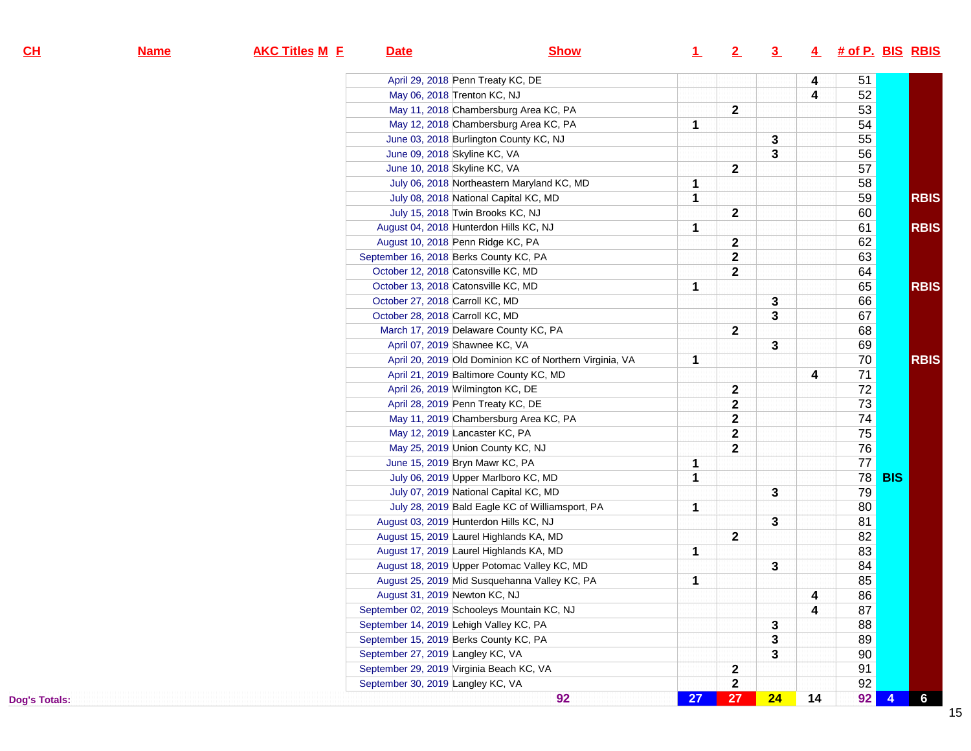| <u>н</u>  | <b>Name</b> | <b>AKC Titles M E</b> | <b>Date</b>                                  | <b>Show</b>                                             | $\perp$ | 2            | $\overline{\mathbf{3}}$ | 4                       | # of P. BIS RBIS |            |                 |
|-----------|-------------|-----------------------|----------------------------------------------|---------------------------------------------------------|---------|--------------|-------------------------|-------------------------|------------------|------------|-----------------|
|           |             |                       | April 29, 2018 Penn Treaty KC, DE            |                                                         |         |              |                         | 4                       | 51               |            |                 |
|           |             |                       | May 06, 2018 Trenton KC, NJ                  |                                                         |         |              |                         | $\overline{\mathbf{4}}$ | 52               |            |                 |
|           |             |                       | May 11, 2018 Chambersburg Area KC, PA        |                                                         |         | $\mathbf{2}$ |                         |                         | 53               |            |                 |
|           |             |                       | May 12, 2018 Chambersburg Area KC, PA        |                                                         | 1       |              |                         |                         | 54               |            |                 |
|           |             |                       | June 03, 2018 Burlington County KC, NJ       |                                                         |         |              | 3                       |                         | 55               |            |                 |
|           |             |                       | June 09, 2018 Skyline KC, VA                 |                                                         |         |              | 3                       |                         | 56               |            |                 |
|           |             |                       | June 10, 2018 Skyline KC, VA                 |                                                         |         | $\mathbf{2}$ |                         |                         | 57               |            |                 |
|           |             |                       |                                              | July 06, 2018 Northeastern Maryland KC, MD              | 1       |              |                         |                         | 58               |            |                 |
|           |             |                       | July 08, 2018 National Capital KC, MD        |                                                         | 1       |              |                         |                         | 59               |            | <b>RBIS</b>     |
|           |             |                       | July 15, 2018 Twin Brooks KC, NJ             |                                                         |         | $\mathbf{2}$ |                         |                         | 60               |            |                 |
|           |             |                       | August 04, 2018 Hunterdon Hills KC, NJ       |                                                         | 1       |              |                         |                         | 61               |            | <b>RBIS</b>     |
|           |             |                       | August 10, 2018 Penn Ridge KC, PA            |                                                         |         | $\mathbf{2}$ |                         |                         | 62               |            |                 |
|           |             |                       | September 16, 2018 Berks County KC, PA       |                                                         |         | $\mathbf{2}$ |                         |                         | 63               |            |                 |
|           |             |                       | October 12, 2018 Catonsville KC, MD          |                                                         |         | $\mathbf 2$  |                         |                         | 64               |            |                 |
|           |             |                       | October 13, 2018 Catonsville KC, MD          |                                                         | 1       |              |                         |                         | 65               |            | <b>RBIS</b>     |
|           |             |                       | October 27, 2018 Carroll KC, MD              |                                                         |         |              | 3                       |                         | 66               |            |                 |
|           |             |                       | October 28, 2018 Carroll KC, MD              |                                                         |         |              | 3                       |                         | 67               |            |                 |
|           |             |                       | March 17, 2019 Delaware County KC, PA        |                                                         |         | $\mathbf 2$  |                         |                         | 68               |            |                 |
|           |             |                       | April 07, 2019 Shawnee KC, VA                |                                                         |         |              | 3                       |                         | 69               |            |                 |
|           |             |                       |                                              | April 20, 2019 Old Dominion KC of Northern Virginia, VA | 1       |              |                         |                         | 70               |            | <b>RBIS</b>     |
|           |             |                       | April 21, 2019 Baltimore County KC, MD       |                                                         |         |              |                         | 4                       | 71               |            |                 |
|           |             |                       | April 26, 2019 Wilmington KC, DE             |                                                         |         | $\mathbf{2}$ |                         |                         | 72               |            |                 |
|           |             |                       | April 28, 2019 Penn Treaty KC, DE            |                                                         |         | $\mathbf 2$  |                         |                         | $\overline{73}$  |            |                 |
|           |             |                       | May 11, 2019 Chambersburg Area KC, PA        |                                                         |         | $\mathbf{2}$ |                         |                         | 74               |            |                 |
|           |             |                       | May 12, 2019 Lancaster KC, PA                |                                                         |         | $\mathbf{2}$ |                         |                         | $\overline{75}$  |            |                 |
|           |             |                       | May 25, 2019 Union County KC, NJ             |                                                         |         | $\mathbf 2$  |                         |                         | $\overline{76}$  |            |                 |
|           |             |                       | June 15, 2019 Bryn Mawr KC, PA               |                                                         | 1       |              |                         |                         | $\overline{77}$  |            |                 |
|           |             |                       | July 06, 2019 Upper Marlboro KC, MD          |                                                         | 1       |              |                         |                         | 78               | <b>BIS</b> |                 |
|           |             |                       | July 07, 2019 National Capital KC, MD        |                                                         |         |              | 3                       |                         | 79               |            |                 |
|           |             |                       |                                              | July 28, 2019 Bald Eagle KC of Williamsport, PA         | 1       |              |                         |                         | 80               |            |                 |
|           |             |                       | August 03, 2019 Hunterdon Hills KC, NJ       |                                                         |         |              | 3                       |                         | 81               |            |                 |
|           |             |                       | August 15, 2019 Laurel Highlands KA, MD      |                                                         |         | $\mathbf{2}$ |                         |                         | 82               |            |                 |
|           |             |                       | August 17, 2019 Laurel Highlands KA, MD      |                                                         | 1       |              |                         |                         | 83               |            |                 |
|           |             |                       | August 18, 2019 Upper Potomac Valley KC, MD  |                                                         |         |              | 3                       |                         | 84               |            |                 |
|           |             |                       |                                              | August 25, 2019 Mid Susquehanna Valley KC, PA           | 1       |              |                         |                         | 85               |            |                 |
|           |             |                       | August 31, 2019 Newton KC, NJ                |                                                         |         |              |                         | 4                       | 86               |            |                 |
|           |             |                       | September 02, 2019 Schooleys Mountain KC, NJ |                                                         |         |              |                         | 4                       | 87               |            |                 |
|           |             |                       | September 14, 2019 Lehigh Valley KC, PA      |                                                         |         |              | 3                       |                         | 88               |            |                 |
|           |             |                       | September 15, 2019 Berks County KC, PA       |                                                         |         |              | 3                       |                         | 89               |            |                 |
|           |             |                       | September 27, 2019 Langley KC, VA            |                                                         |         |              | 3                       |                         | 90               |            |                 |
|           |             |                       | September 29, 2019 Virginia Beach KC, VA     |                                                         |         | $\mathbf{2}$ |                         |                         | 91               |            |                 |
|           |             |                       | September 30, 2019 Langley KC, VA            |                                                         |         | $\mathbf{2}$ |                         |                         | 92               |            |                 |
| s Totals: |             |                       |                                              | 92                                                      | 27      | 27           | 24                      | 14                      | 92               |            | $6\overline{6}$ |

**CH**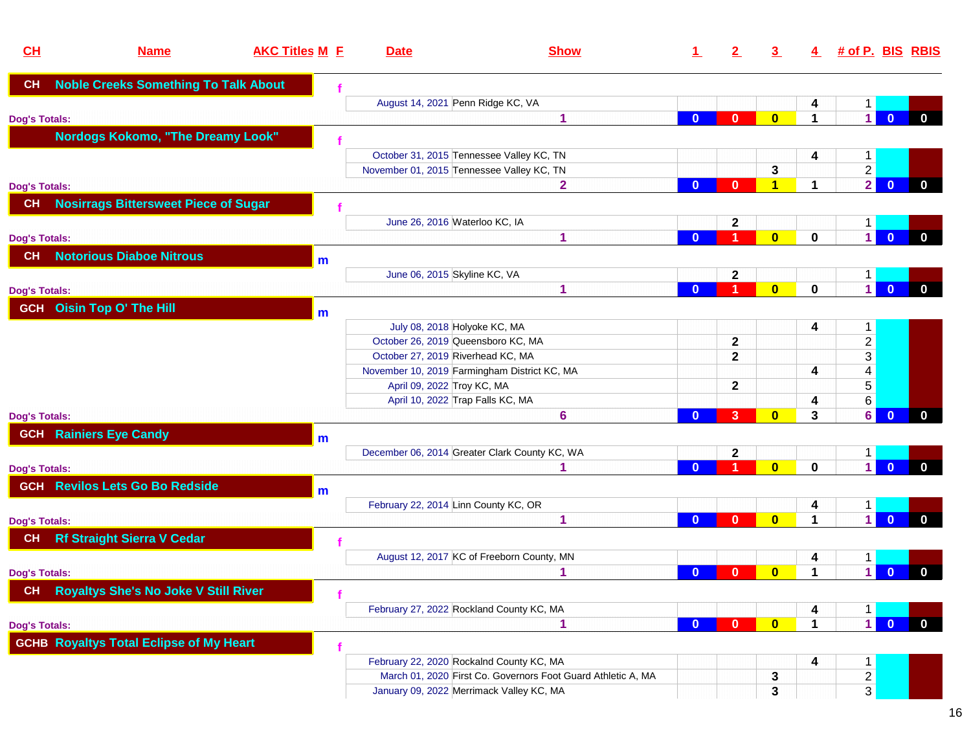| CL                   | <b>Name</b>                                    | <b>AKC Titles M E</b> | <b>Date</b>                       | <b>Show</b>                                                  | $\perp$      | $\mathbf{2}^-$ | $\overline{3}$          | 4                    |                | <u># of P. BIS_RBIS</u>                 |
|----------------------|------------------------------------------------|-----------------------|-----------------------------------|--------------------------------------------------------------|--------------|----------------|-------------------------|----------------------|----------------|-----------------------------------------|
| <b>CH</b>            | <b>Noble Creeks Something To Talk About</b>    |                       |                                   |                                                              |              |                |                         |                      |                |                                         |
|                      |                                                |                       |                                   | August 14, 2021 Penn Ridge KC, VA                            |              |                |                         | 4                    | 1              |                                         |
| <b>Dog's Totals:</b> |                                                |                       |                                   | 1                                                            | $\mathbf{0}$ | $\mathbf{0}$   | $\overline{0}$          | 1                    | $\vert$        | $\mathbf{0}$<br>$\mathbf{0}$            |
|                      | <b>Nordogs Kokomo, "The Dreamy Look"</b>       |                       |                                   |                                                              |              |                |                         |                      |                |                                         |
|                      |                                                |                       |                                   | October 31, 2015 Tennessee Valley KC, TN                     |              |                |                         | 4                    | $\mathbf{1}$   |                                         |
|                      |                                                |                       |                                   | November 01, 2015 Tennessee Valley KC, TN                    |              |                | 3                       |                      | $\overline{c}$ |                                         |
| <b>Dog's Totals:</b> |                                                |                       |                                   | $\overline{\mathbf{2}}$                                      | $\bf{0}$     | $\mathbf{0}$   | 1                       | $\blacktriangleleft$ | $\overline{2}$ | $\mathbf{0}$<br>$\mathbf 0$             |
| <b>CH</b>            | <b>Nosirrags Bittersweet Piece of Sugar</b>    |                       |                                   |                                                              |              |                |                         |                      |                |                                         |
|                      |                                                |                       |                                   | June 26, 2016 Waterloo KC, IA                                |              | $\mathbf{2}$   |                         |                      | 1              |                                         |
| <b>Dog's Totals:</b> |                                                |                       |                                   | 1                                                            | $\mathbf{0}$ | 1              | $\overline{\mathbf{0}}$ | $\mathbf 0$          | $\vert$        | $\mathbf{0}$<br>$\mathbf 0$             |
| <b>CH</b>            | <b>Notorious Diaboe Nitrous</b>                | m                     |                                   |                                                              |              |                |                         |                      |                |                                         |
|                      |                                                |                       | June 06, 2015 Skyline KC, VA      |                                                              |              | $\mathbf{2}$   |                         |                      | $1 \vert$      |                                         |
| <b>Dog's Totals:</b> |                                                |                       |                                   | 1                                                            | $\bf{0}$     | 1              | $\overline{\mathbf{0}}$ | $\bf{0}$             | $\vert$ 1      | $\overline{0}$<br>$\mathbf 0$           |
|                      | <b>GCH</b> Oisin Top O' The Hill               | m                     |                                   |                                                              |              |                |                         |                      |                |                                         |
|                      |                                                |                       |                                   | July 08, 2018 Holyoke KC, MA                                 |              |                |                         | 4                    | $\mathbf{1}$   |                                         |
|                      |                                                |                       |                                   | October 26, 2019 Queensboro KC, MA                           |              | $\mathbf{2}$   |                         |                      | $\mathbf{2}$   |                                         |
|                      |                                                |                       | October 27, 2019 Riverhead KC, MA |                                                              |              | $\mathbf{2}$   |                         |                      | $\overline{3}$ |                                         |
|                      |                                                |                       |                                   | November 10, 2019 Farmingham District KC, MA                 |              |                |                         | 4                    | $\overline{4}$ |                                         |
|                      |                                                |                       | April 09, 2022 Troy KC, MA        |                                                              |              | $\mathbf{2}$   |                         |                      | $\overline{5}$ |                                         |
|                      |                                                |                       |                                   | April 10, 2022 Trap Falls KC, MA                             |              |                |                         | 4                    | $6 \mid$       |                                         |
| <b>Dog's Totals:</b> |                                                |                       |                                   | 6                                                            | $\bf{0}$     | 3 <sup>2</sup> | $\mathbf{0}$            | 3                    | $6 \mid$       | $\mathbf{0}$<br>$\mathbf 0$             |
|                      | <b>GCH</b> Rainiers Eye Candy                  | $\mathsf{m}$          |                                   |                                                              |              |                |                         |                      |                |                                         |
|                      |                                                |                       |                                   | December 06, 2014 Greater Clark County KC, WA                |              | $\mathbf{2}$   |                         |                      | $\mathbf{1}$   |                                         |
| <b>Dog's Totals:</b> |                                                |                       |                                   | 1                                                            | $\mathbf{0}$ | 1              | $\overline{0}$          | $\mathbf 0$          | $\vert$        | $\overline{0}$<br>$\mathbf{0}$          |
|                      | <b>GCH Revilos Lets Go Bo Redside</b>          | m                     |                                   |                                                              |              |                |                         |                      |                |                                         |
|                      |                                                |                       |                                   | February 22, 2014 Linn County KC, OR                         |              |                |                         | 4                    | 1              |                                         |
| <b>Dog's Totals:</b> |                                                |                       |                                   | 1                                                            | $\mathbf{0}$ | $\mathbf{0}$   | $\bf{0}$                | $\blacktriangleleft$ | $\vert$ 1      | $\mathbf{0}$<br>$\mathbf{0}$            |
| CH                   | <b>Rf Straight Sierra V Cedar</b>              |                       |                                   |                                                              |              |                |                         |                      |                |                                         |
|                      |                                                |                       |                                   | August 12, 2017 KC of Freeborn County, MN                    |              |                |                         | 4                    | $\mathbf{1}$   |                                         |
| <b>Dog's Totals:</b> |                                                |                       |                                   |                                                              | $\bf{0}$     | $\mathbf{0}$   | $\bf{0}$                | 1                    | $\blacksquare$ | $\overline{0}$<br>$\mathbf 0$           |
|                      | CH Royaltys She's No Joke V Still River        |                       |                                   |                                                              |              |                |                         |                      |                |                                         |
|                      |                                                |                       |                                   | February 27, 2022 Rockland County KC, MA                     |              |                |                         | 4                    | 1              |                                         |
| <b>Dog's Totals:</b> |                                                |                       |                                   | 1                                                            | $\mathbf{0}$ | $\mathbf{0}$   | $\mathbf{0}$            | $\mathbf 1$          | $\overline{1}$ | $\overline{\mathbf{0}}$<br>$\mathbf{0}$ |
|                      | <b>GCHB Royaltys Total Eclipse of My Heart</b> |                       |                                   |                                                              |              |                |                         |                      |                |                                         |
|                      |                                                |                       |                                   | February 22, 2020 Rockalnd County KC, MA                     |              |                |                         | 4                    | $\mathbf{1}$   |                                         |
|                      |                                                |                       |                                   | March 01, 2020 First Co. Governors Foot Guard Athletic A, MA |              |                | 3                       |                      | $\vert$ 2      |                                         |
|                      |                                                |                       |                                   | January 09, 2022 Merrimack Valley KC, MA                     |              |                | 3                       |                      | 3 <sup>1</sup> |                                         |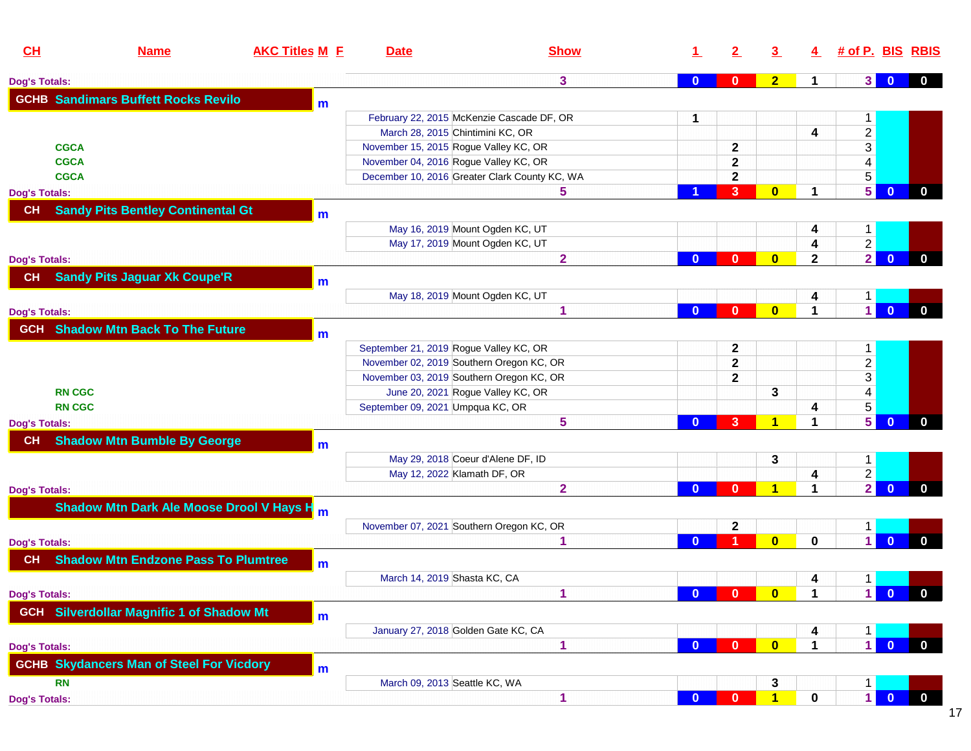| CL                   | <b>Name</b>                                           | <b>AKC Titles M E</b> | <b>Date</b>                              | <b>Show</b>                                   |              | $\mathbf{2}$ | 3                       | $\overline{4}$ | # of P. BIS RBIS               |                         |              |
|----------------------|-------------------------------------------------------|-----------------------|------------------------------------------|-----------------------------------------------|--------------|--------------|-------------------------|----------------|--------------------------------|-------------------------|--------------|
| <b>Dog's Totals:</b> |                                                       |                       |                                          | 3                                             | $\bf{0}$     | $\mathbf{0}$ | 2 <sub>2</sub>          | $\mathbf 1$    | 3                              | $\mathbf{0}$            | $\mathbf 0$  |
|                      | <b>GCHB Sandimars Buffett Rocks Revilo</b>            | m                     |                                          |                                               |              |              |                         |                |                                |                         |              |
|                      |                                                       |                       |                                          | February 22, 2015 McKenzie Cascade DF, OR     | 1            |              |                         |                | $\mathbf 1$                    |                         |              |
|                      |                                                       |                       | March 28, 2015 Chintimini KC, OR         |                                               |              |              |                         | 4              | $\overline{2}$                 |                         |              |
|                      | <b>CGCA</b>                                           |                       | November 15, 2015 Rogue Valley KC, OR    |                                               |              | $\mathbf 2$  |                         |                | $\overline{3}$                 |                         |              |
|                      | <b>CGCA</b>                                           |                       | November 04, 2016 Rogue Valley KC, OR    |                                               |              | 2            |                         |                | $\overline{4}$                 |                         |              |
|                      | <b>CGCA</b>                                           |                       |                                          | December 10, 2016 Greater Clark County KC, WA |              | $\mathbf 2$  |                         |                | $\overline{5}$                 |                         |              |
| <b>Dog's Totals:</b> |                                                       |                       |                                          | 5                                             |              | 3            | $\bf{0}$                | 1              | 5                              | $\mathbf{0}$            | $\mathbf 0$  |
| <b>CH</b>            | <b>Sandy Pits Bentley Continental Gt</b>              |                       |                                          |                                               |              |              |                         |                |                                |                         |              |
|                      |                                                       | m                     | May 16, 2019 Mount Ogden KC, UT          |                                               |              |              |                         |                |                                |                         |              |
|                      |                                                       |                       | May 17, 2019 Mount Ogden KC, UT          |                                               |              |              |                         | 4<br>4         | $\mathbf{1}$<br>$\overline{2}$ |                         |              |
| <b>Dog's Totals:</b> |                                                       |                       |                                          | $\overline{2}$                                | $\bf{0}$     | $\bf{0}$     | $\bf{0}$                | $\mathbf{2}$   | $\overline{2}$                 | $\mathbf{0}$            | $\mathbf 0$  |
|                      |                                                       |                       |                                          |                                               |              |              |                         |                |                                |                         |              |
| CH                   | <b>Sandy Pits Jaguar Xk Coupe'R</b>                   | m                     |                                          |                                               |              |              |                         |                |                                |                         |              |
|                      |                                                       |                       | May 18, 2019 Mount Ogden KC, UT          |                                               |              |              |                         | 4              | $1 \vert$                      |                         |              |
| <b>Dog's Totals:</b> |                                                       |                       |                                          | 1                                             | $\mathbf{0}$ | $\bf{0}$     | $\bf{0}$                | 1              | $\vert$ 1                      | $\mathbf{0}$            | $\mathbf{0}$ |
| <b>GCH</b>           | <b>Shadow Mtn Back To The Future</b>                  | m                     |                                          |                                               |              |              |                         |                |                                |                         |              |
|                      |                                                       |                       | September 21, 2019 Rogue Valley KC, OR   |                                               |              | 2            |                         |                | 1                              |                         |              |
|                      |                                                       |                       | November 02, 2019 Southern Oregon KC, OR |                                               |              | $\mathbf{2}$ |                         |                |                                |                         |              |
|                      |                                                       |                       | November 03, 2019 Southern Oregon KC, OR |                                               |              | $\mathbf{2}$ |                         |                | $\frac{2}{3}$                  |                         |              |
|                      | <b>RN CGC</b>                                         |                       | June 20, 2021 Rogue Valley KC, OR        |                                               |              |              | 3                       |                | $\overline{\mathbf{4}}$        |                         |              |
|                      | <b>RN CGC</b>                                         |                       | September 09, 2021 Umpqua KC, OR         |                                               |              |              |                         | 4              | 5 <sup>1</sup>                 |                         |              |
| <b>Dog's Totals:</b> |                                                       |                       |                                          | 5                                             | $\Omega$     | 3            | 1                       | 1              | 5 <sup>1</sup>                 | $\mathbf{0}$            | $\mathbf{0}$ |
| СH                   | <b>Shadow Mtn Bumble By George</b>                    | $\mathbf{m}$          |                                          |                                               |              |              |                         |                |                                |                         |              |
|                      |                                                       |                       | May 29, 2018 Coeur d'Alene DF, ID        |                                               |              |              | 3                       |                | $\mathbf{1}$                   |                         |              |
|                      |                                                       |                       | May 12, 2022 Klamath DF, OR              |                                               |              |              |                         | 4              | $\overline{2}$                 |                         |              |
| <b>Dog's Totals:</b> |                                                       |                       |                                          | $\overline{\mathbf{2}}$                       | $\mathbf{0}$ | $\bf{0}$     | 1                       | 1              | $\overline{2}$                 | $\mathbf{0}$            | $\mathbf{0}$ |
|                      | Shadow Mtn Dark Ale Moose Drool V Hays H <sub>m</sub> |                       |                                          |                                               |              |              |                         |                |                                |                         |              |
|                      |                                                       |                       | November 07, 2021 Southern Oregon KC, OR |                                               |              | 2            |                         |                | 1                              |                         |              |
| <b>Dog's Totals:</b> |                                                       |                       |                                          | 1                                             | $\Omega$     |              | $\overline{\mathbf{0}}$ | 0              | $\blacksquare$                 | $\Omega$                | $\mathbf{0}$ |
| <b>CH</b>            | <b>Shadow Mtn Endzone Pass To Plumtree</b>            | m                     |                                          |                                               |              |              |                         |                |                                |                         |              |
|                      |                                                       |                       | March 14, 2019 Shasta KC, CA             |                                               |              |              |                         | 4              | 1                              |                         |              |
| <b>Dog's Totals:</b> |                                                       |                       |                                          | 1                                             | $\mathbf{0}$ | $\mathbf{0}$ | $\mathbf{0}$            | $\mathbf 1$    | $\blacksquare$                 | $\bullet$ 0             | $\bf{0}$     |
|                      | <b>GCH</b> Silverdollar Magnific 1 of Shadow Mt       | m                     |                                          |                                               |              |              |                         |                |                                |                         |              |
|                      |                                                       |                       | January 27, 2018 Golden Gate KC, CA      |                                               |              |              |                         | 4              | 1                              |                         |              |
| <b>Dog's Totals:</b> |                                                       |                       |                                          | 1                                             | $\mathbf{0}$ | $\mathbf{0}$ | $\mathbf{0}$            | $\mathbf 1$    | $\overline{1}$                 | $\overline{0}$          | $\mathbf{0}$ |
|                      | <b>GCHB Skydancers Man of Steel For Vicdory</b>       |                       |                                          |                                               |              |              |                         |                |                                |                         |              |
|                      |                                                       | m                     |                                          |                                               |              |              |                         |                |                                |                         |              |
|                      | <b>RN</b>                                             |                       | March 09, 2013 Seattle KC, WA            |                                               |              |              | 3                       |                | 1                              |                         |              |
| <b>Dog's Totals:</b> |                                                       |                       |                                          | 1                                             | $\bf{0}$     | $\bf{0}$     | $\mathbf{1}$            | $\mathbf 0$    | $\vert$                        | $\overline{\mathbf{0}}$ | $\mathbf{0}$ |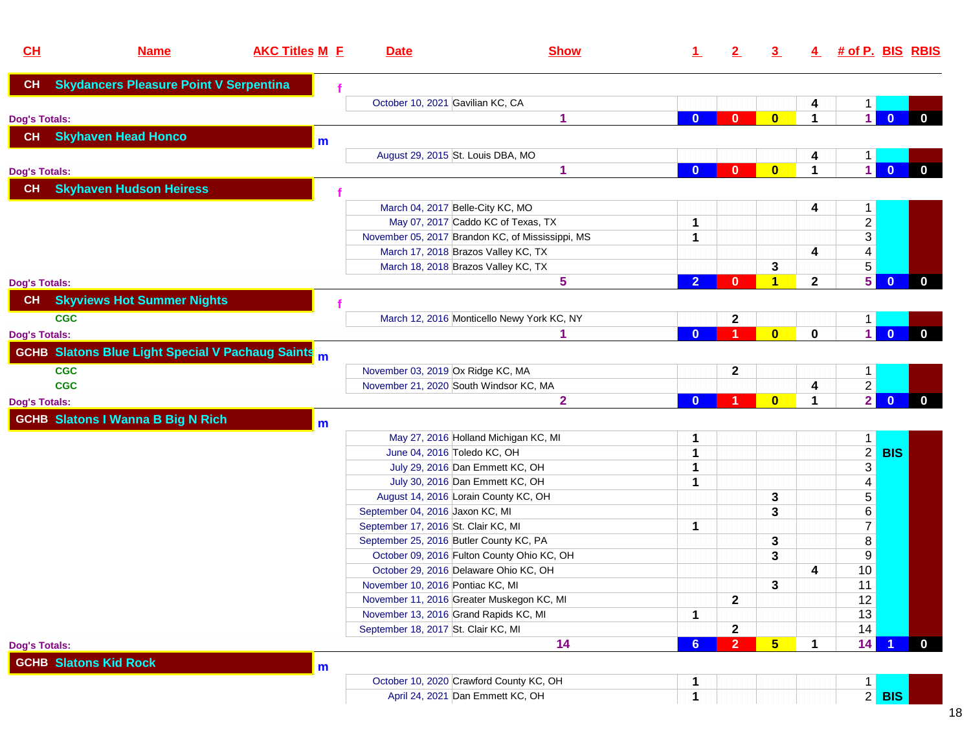| CL                   | <b>Name</b>                                               | <b>AKC Titles M E</b> | <b>Date</b>                             | <b>Show</b>                                      | 1.             | $\mathbf{2}$                   | $\overline{3}$ | 4                    | <u># of P. BIS_RBIS</u>        |                         |              |
|----------------------|-----------------------------------------------------------|-----------------------|-----------------------------------------|--------------------------------------------------|----------------|--------------------------------|----------------|----------------------|--------------------------------|-------------------------|--------------|
| CH                   | <b>Skydancers Pleasure Point V Serpentina</b>             |                       |                                         |                                                  |                |                                |                |                      |                                |                         |              |
|                      |                                                           |                       | October 10, 2021 Gavilian KC, CA        |                                                  |                |                                |                | 4                    | 1                              |                         |              |
| <b>Dog's Totals:</b> |                                                           |                       |                                         | 1                                                | $\bf{0}$       | $\bf{0}$                       | $\bf{0}$       | $\blacktriangleleft$ | $\vert$ 1                      | $\mathbf{0}$            | $\mathbf{0}$ |
| <b>CH</b>            | <b>Skyhaven Head Honco</b>                                | m                     |                                         |                                                  |                |                                |                |                      |                                |                         |              |
|                      |                                                           |                       | August 29, 2015 St. Louis DBA, MO       |                                                  |                |                                |                | 4                    | 1                              |                         |              |
| <b>Dog's Totals:</b> |                                                           |                       |                                         | 1                                                | $\bf{0}$       | $\bf{0}$                       | $\bf{0}$       | $\blacktriangleleft$ | $\overline{1}$                 | $\overline{0}$          | $\mathbf 0$  |
| CH                   | <b>Skyhaven Hudson Heiress</b>                            |                       |                                         |                                                  |                |                                |                |                      |                                |                         |              |
|                      |                                                           |                       | March 04, 2017 Belle-City KC, MO        |                                                  |                |                                |                | 4                    | $\mathbf{1}$                   |                         |              |
|                      |                                                           |                       |                                         | May 07, 2017 Caddo KC of Texas, TX               | 1              |                                |                |                      |                                |                         |              |
|                      |                                                           |                       |                                         | November 05, 2017 Brandon KC, of Mississippi, MS | 1              |                                |                |                      | $\frac{2}{3}$                  |                         |              |
|                      |                                                           |                       |                                         | March 17, 2018 Brazos Valley KC, TX              |                |                                |                | 4                    | $\overline{4}$                 |                         |              |
|                      |                                                           |                       |                                         | March 18, 2018 Brazos Valley KC, TX              |                |                                | 3              |                      | $\overline{5}$                 |                         |              |
| <b>Dog's Totals:</b> |                                                           |                       |                                         | 5                                                | $\overline{2}$ | $\bf{0}$                       | 1              | $\mathbf{2}$         | 5 <sup>1</sup>                 | $\overline{0}$          | $\mathbf{0}$ |
| CH                   | <b>Skyviews Hot Summer Nights</b>                         |                       |                                         |                                                  |                |                                |                |                      |                                |                         |              |
| <b>CGC</b>           |                                                           |                       |                                         | March 12, 2016 Monticello Newy York KC, NY       |                | 2                              |                |                      | 1                              |                         |              |
| <b>Dog's Totals:</b> |                                                           |                       |                                         | 1                                                | $\Omega$       |                                | $\bf{0}$       | 0                    | $\overline{1}$                 | $\overline{\mathbf{0}}$ | $\mathbf{0}$ |
|                      | <b>GCHB</b> Slatons Blue Light Special V Pachaug Saints m |                       |                                         |                                                  |                |                                |                |                      |                                |                         |              |
| <b>CGC</b>           |                                                           |                       | November 03, 2019 Ox Ridge KC, MA       |                                                  |                |                                |                |                      |                                |                         |              |
| <b>CGC</b>           |                                                           |                       |                                         | November 21, 2020 South Windsor KC, MA           |                | 2                              |                | 4                    | $\mathbf{1}$<br>$\overline{2}$ |                         |              |
|                      |                                                           |                       |                                         | $\mathbf{2}$                                     | $\Omega$       |                                | $\bf{0}$       | $\blacktriangleleft$ | $\overline{2}$                 | $\mathbf{0}$            | $\mathbf{0}$ |
| <b>Dog's Totals:</b> |                                                           |                       |                                         |                                                  |                |                                |                |                      |                                |                         |              |
|                      | <b>GCHB Slatons I Wanna B Big N Rich</b>                  | m                     |                                         |                                                  |                |                                |                |                      |                                |                         |              |
|                      |                                                           |                       |                                         | May 27, 2016 Holland Michigan KC, MI             | 1              |                                |                |                      | 1                              |                         |              |
|                      |                                                           |                       | June 04, 2016 Toledo KC, OH             |                                                  | 1              |                                |                |                      | $\overline{2}$                 | <b>BIS</b>              |              |
|                      |                                                           |                       |                                         | July 29, 2016 Dan Emmett KC, OH                  | 1              |                                |                |                      | $\overline{3}$                 |                         |              |
|                      |                                                           |                       |                                         | July 30, 2016 Dan Emmett KC, OH                  | 1              |                                |                |                      | 4                              |                         |              |
|                      |                                                           |                       |                                         | August 14, 2016 Lorain County KC, OH             |                |                                | 3              |                      | 5 <sup>5</sup>                 |                         |              |
|                      |                                                           |                       | September 04, 2016 Jaxon KC, MI         |                                                  |                |                                | 3              |                      | $\,6\,$                        |                         |              |
|                      |                                                           |                       | September 17, 2016 St. Clair KC, MI     |                                                  | 1              |                                |                |                      | 7 <sup>1</sup>                 |                         |              |
|                      |                                                           |                       | September 25, 2016 Butler County KC, PA |                                                  |                |                                | 3              |                      | $\bf 8$                        |                         |              |
|                      |                                                           |                       |                                         | October 09, 2016 Fulton County Ohio KC, OH       |                |                                | 3              |                      | 9                              |                         |              |
|                      |                                                           |                       |                                         | October 29, 2016 Delaware Ohio KC, OH            |                |                                |                | 4                    | 10 <sup>°</sup>                |                         |              |
|                      |                                                           |                       | November 10, 2016 Pontiac KC, MI        |                                                  |                |                                | 3              |                      | 11                             |                         |              |
|                      |                                                           |                       |                                         | November 11, 2016 Greater Muskegon KC, MI        |                | $\overline{\mathbf{2}}$        |                |                      | 12                             |                         |              |
|                      |                                                           |                       | November 13, 2016 Grand Rapids KC, MI   |                                                  | 1              |                                |                |                      | 13                             |                         |              |
|                      |                                                           |                       | September 18, 2017 St. Clair KC, MI     | 14                                               | 6              | $\mathbf{2}$<br>$\overline{2}$ | $5\phantom{1}$ | $\mathbf 1$          | 14<br>14                       |                         | $\mathbf{0}$ |
| <b>Dog's Totals:</b> |                                                           |                       |                                         |                                                  |                |                                |                |                      |                                |                         |              |
|                      | <b>GCHB Slatons Kid Rock</b>                              | m                     |                                         |                                                  |                |                                |                |                      |                                |                         |              |
|                      |                                                           |                       |                                         | October 10, 2020 Crawford County KC, OH          |                |                                |                |                      | 1                              |                         |              |
|                      |                                                           |                       |                                         | April 24, 2021 Dan Emmett KC, OH                 | 1              |                                |                |                      |                                | $2$ BIS                 |              |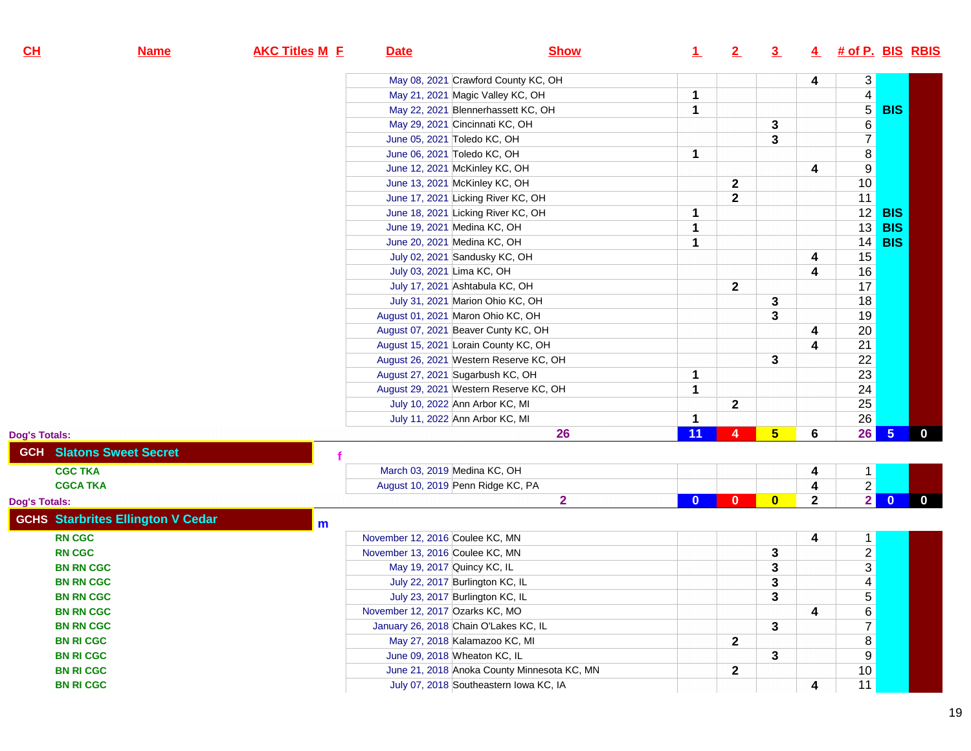| $CH$             | <b>Name</b>                              | <b>AKC Titles M E</b> | <b>Date</b>                     | <b>Show</b>                                 | $\perp$  | 2            | $\overline{3}$  | 4            | <u># of P. BIS_RBIS</u> |                 |              |
|------------------|------------------------------------------|-----------------------|---------------------------------|---------------------------------------------|----------|--------------|-----------------|--------------|-------------------------|-----------------|--------------|
|                  |                                          |                       |                                 | May 08, 2021 Crawford County KC, OH         |          |              |                 | 4            |                         |                 |              |
|                  |                                          |                       |                                 | May 21, 2021 Magic Valley KC, OH            | 1        |              |                 |              | $\frac{3}{4}$           |                 |              |
|                  |                                          |                       |                                 | May 22, 2021 Blennerhassett KC, OH          | 1        |              |                 |              | $\sqrt{5}$              | <b>BIS</b>      |              |
|                  |                                          |                       |                                 | May 29, 2021 Cincinnati KC, OH              |          |              | 3               |              | $\overline{6}$          |                 |              |
|                  |                                          |                       |                                 | June 05, 2021 Toledo KC, OH                 |          |              | 3               |              | $\overline{7}$          |                 |              |
|                  |                                          |                       |                                 | June 06, 2021 Toledo KC, OH                 | 1        |              |                 |              | $\bf 8$                 |                 |              |
|                  |                                          |                       |                                 | June 12, 2021 McKinley KC, OH               |          |              |                 | 4            | $9\,$                   |                 |              |
|                  |                                          |                       |                                 | June 13, 2021 McKinley KC, OH               |          | 2            |                 |              | 10                      |                 |              |
|                  |                                          |                       |                                 | June 17, 2021 Licking River KC, OH          |          | $\mathbf 2$  |                 |              | 11                      |                 |              |
|                  |                                          |                       |                                 | June 18, 2021 Licking River KC, OH          | 1        |              |                 |              | 12                      | <b>BIS</b>      |              |
|                  |                                          |                       |                                 | June 19, 2021 Medina KC, OH                 | 1        |              |                 |              | 13                      | <b>BIS</b>      |              |
|                  |                                          |                       |                                 | June 20, 2021 Medina KC, OH                 | 1        |              |                 |              | 14                      | <b>BIS</b>      |              |
|                  |                                          |                       |                                 | July 02, 2021 Sandusky KC, OH               |          |              |                 | 4            | 15                      |                 |              |
|                  |                                          |                       | July 03, 2021 Lima KC, OH       |                                             |          |              |                 | 4            | 16                      |                 |              |
|                  |                                          |                       |                                 | July 17, 2021 Ashtabula KC, OH              |          | 2            |                 |              | 17                      |                 |              |
|                  |                                          |                       |                                 | July 31, 2021 Marion Ohio KC, OH            |          |              | 3               |              | 18                      |                 |              |
|                  |                                          |                       |                                 | August 01, 2021 Maron Ohio KC, OH           |          |              | 3               |              | 19                      |                 |              |
|                  |                                          |                       |                                 | August 07, 2021 Beaver Cunty KC, OH         |          |              |                 | 4            | $20\,$                  |                 |              |
|                  |                                          |                       |                                 | August 15, 2021 Lorain County KC, OH        |          |              |                 | 4            | 21                      |                 |              |
|                  |                                          |                       |                                 | August 26, 2021 Western Reserve KC, OH      |          |              | 3               |              |                         |                 |              |
|                  |                                          |                       |                                 | August 27, 2021 Sugarbush KC, OH            | 1        |              |                 |              | $\frac{22}{23}$         |                 |              |
|                  |                                          |                       |                                 | August 29, 2021 Western Reserve KC, OH      | 1        |              |                 |              | $\overline{24}$         |                 |              |
|                  |                                          |                       |                                 | July 10, 2022 Ann Arbor KC, MI              |          | 2            |                 |              | 25                      |                 |              |
|                  |                                          |                       |                                 | July 11, 2022 Ann Arbor KC, MI              | 1        |              |                 |              | $26\,$                  |                 |              |
| Dog's Totals:    |                                          |                       |                                 | 26                                          | 11       | 4            | $5\overline{)}$ | 6            | 26                      | $5\overline{5}$ | $\mathbf{0}$ |
|                  | <b>GCH Slatons Sweet Secret</b>          |                       |                                 |                                             |          |              |                 |              |                         |                 |              |
| <b>CGC TKA</b>   |                                          |                       | March 03, 2019 Medina KC, OH    |                                             |          |              |                 | 4            | 1                       |                 |              |
| <b>CGCA TKA</b>  |                                          |                       |                                 | August 10, 2019 Penn Ridge KC, PA           |          |              |                 | 4            | $\overline{2}$          |                 |              |
| Dog's Totals:    |                                          |                       |                                 | $\overline{\mathbf{2}}$                     | $\bf{0}$ | $\mathbf{0}$ | $\bf{0}$        | $\mathbf{2}$ | $\overline{2}$          | $\overline{0}$  | $\mathbf{0}$ |
|                  | <b>GCHS Starbrites Ellington V Cedar</b> | m                     |                                 |                                             |          |              |                 |              |                         |                 |              |
| <b>RN CGC</b>    |                                          |                       | November 12, 2016 Coulee KC, MN |                                             |          |              |                 | 4            | $\mathbf{1}$            |                 |              |
| <b>RN CGC</b>    |                                          |                       | November 13, 2016 Coulee KC, MN |                                             |          |              | 3               |              | $\overline{2}$          |                 |              |
| <b>BN RN CGC</b> |                                          |                       | May 19, 2017 Quincy KC, IL      |                                             |          |              | 3               |              | $\overline{3}$          |                 |              |
| <b>BN RN CGC</b> |                                          |                       |                                 | July 22, 2017 Burlington KC, IL             |          |              | 3               |              | 4                       |                 |              |
| <b>BN RN CGC</b> |                                          |                       |                                 | July 23, 2017 Burlington KC, IL             |          |              | 3               |              | $5\,$                   |                 |              |
| <b>BN RN CGC</b> |                                          |                       | November 12, 2017 Ozarks KC, MO |                                             |          |              |                 | 4            | 6                       |                 |              |
| <b>BN RN CGC</b> |                                          |                       |                                 | January 26, 2018 Chain O'Lakes KC, IL       |          |              | 3               |              | $\overline{7}$          |                 |              |
| <b>BN RI CGC</b> |                                          |                       |                                 | May 27, 2018 Kalamazoo KC, MI               |          | $\mathbf{2}$ |                 |              | 8                       |                 |              |
| <b>BN RI CGC</b> |                                          |                       |                                 | June 09, 2018 Wheaton KC, IL                |          |              | 3               |              | 9                       |                 |              |
| <b>BN RI CGC</b> |                                          |                       |                                 | June 21, 2018 Anoka County Minnesota KC, MN |          | $\mathbf{2}$ |                 |              | 10                      |                 |              |
| <b>BN RI CGC</b> |                                          |                       |                                 | July 07, 2018 Southeastern Iowa KC, IA      |          |              |                 | 4            | 11                      |                 |              |
|                  |                                          |                       |                                 |                                             |          |              |                 |              |                         |                 |              |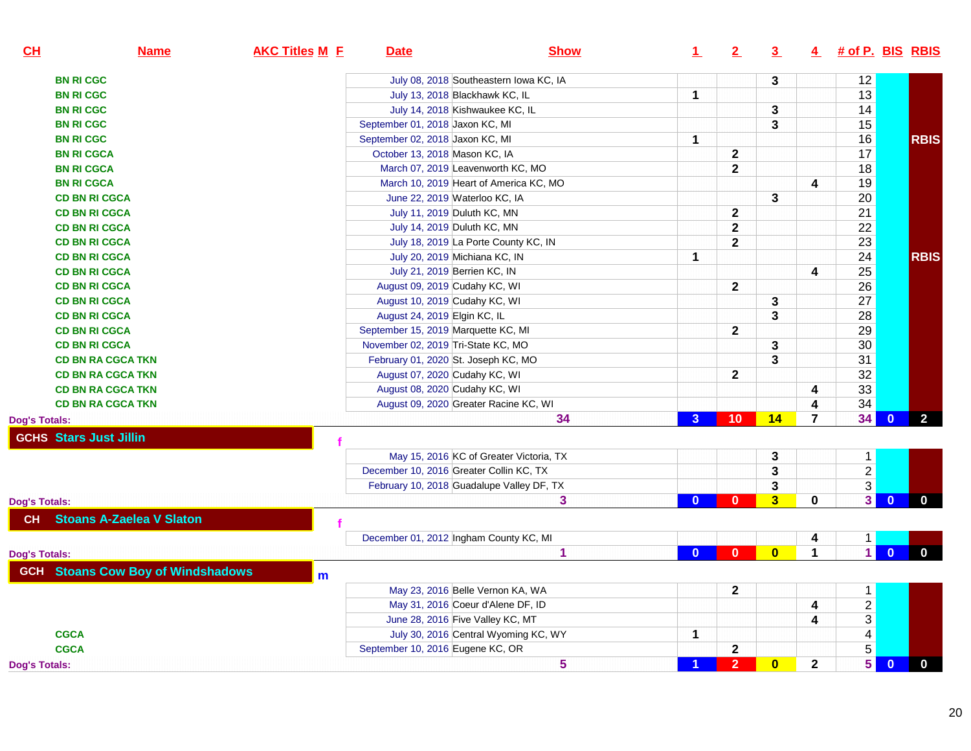| CL                   | <b>Name</b>                              | <b>AKC Titles M E</b> | <b>Date</b>                               | <b>Show</b>                             | $\mathbf{1}$ | 2               | 3                       |                      | 4 # of P. BIS RBIS |                         |                |
|----------------------|------------------------------------------|-----------------------|-------------------------------------------|-----------------------------------------|--------------|-----------------|-------------------------|----------------------|--------------------|-------------------------|----------------|
|                      | <b>BN RI CGC</b>                         |                       |                                           | July 08, 2018 Southeastern Iowa KC, IA  |              |                 | 3                       |                      | 12                 |                         |                |
|                      | <b>BN RI CGC</b>                         |                       | July 13, 2018 Blackhawk KC, IL            |                                         | $\mathbf{1}$ |                 |                         |                      | 13                 |                         |                |
|                      | <b>BN RICGC</b>                          |                       | July 14, 2018 Kishwaukee KC, IL           |                                         |              |                 | 3                       |                      | 14                 |                         |                |
|                      | <b>BN RI CGC</b>                         |                       | September 01, 2018 Jaxon KC, MI           |                                         |              |                 | 3                       |                      | 15                 |                         |                |
|                      | <b>BN RI CGC</b>                         |                       | September 02, 2018 Jaxon KC, MI           |                                         | $\mathbf{1}$ |                 |                         |                      | 16                 |                         | <b>RBIS</b>    |
|                      | <b>BN RI CGCA</b>                        |                       | October 13, 2018 Mason KC, IA             |                                         |              | $\mathbf{2}$    |                         |                      | 17                 |                         |                |
|                      | <b>BN RI CGCA</b>                        |                       | March 07, 2019 Leavenworth KC, MO         |                                         |              | $\mathbf{2}$    |                         |                      | 18                 |                         |                |
|                      | <b>BN RI CGCA</b>                        |                       | March 10, 2019 Heart of America KC, MO    |                                         |              |                 |                         | 4                    | 19                 |                         |                |
|                      | <b>CD BN RI CGCA</b>                     |                       | June 22, 2019 Waterloo KC, IA             |                                         |              |                 | 3                       |                      | 20                 |                         |                |
|                      | <b>CD BN RI CGCA</b>                     |                       | July 11, 2019 Duluth KC, MN               |                                         |              | $\mathbf{2}$    |                         |                      | 21                 |                         |                |
|                      | <b>CD BN RI CGCA</b>                     |                       | July 14, 2019 Duluth KC, MN               |                                         |              | $\mathbf{2}$    |                         |                      | 22                 |                         |                |
|                      | <b>CD BN RI CGCA</b>                     |                       | July 18, 2019 La Porte County KC, IN      |                                         |              | $\mathbf 2$     |                         |                      | 23                 |                         |                |
|                      | <b>CD BN RI CGCA</b>                     |                       | July 20, 2019 Michiana KC, IN             |                                         | $\mathbf 1$  |                 |                         |                      | 24                 |                         | <b>RBIS</b>    |
|                      | <b>CD BN RI CGCA</b>                     |                       | July 21, 2019 Berrien KC, IN              |                                         |              |                 |                         | 4                    | 25                 |                         |                |
|                      | <b>CD BN RI CGCA</b>                     |                       | August 09, 2019 Cudahy KC, WI             |                                         |              | $\mathbf{2}$    |                         |                      | 26                 |                         |                |
|                      | <b>CD BN RI CGCA</b>                     |                       | August 10, 2019 Cudahy KC, WI             |                                         |              |                 | 3                       |                      | 27                 |                         |                |
|                      | <b>CD BN RI CGCA</b>                     |                       | August 24, 2019 Elgin KC, IL              |                                         |              |                 | 3                       |                      | 28                 |                         |                |
|                      | <b>CD BN RI CGCA</b>                     |                       | September 15, 2019 Marquette KC, MI       |                                         |              | $\mathbf{2}$    |                         |                      | 29                 |                         |                |
|                      | <b>CD BN RI CGCA</b>                     |                       | November 02, 2019 Tri-State KC, MO        |                                         |              |                 | 3                       |                      | 30                 |                         |                |
|                      | <b>CD BN RA CGCA TKN</b>                 |                       | February 01, 2020 St. Joseph KC, MO       |                                         |              |                 | 3                       |                      | 31                 |                         |                |
|                      | <b>CD BN RA CGCA TKN</b>                 |                       | August 07, 2020 Cudahy KC, WI             |                                         |              | $\mathbf{2}$    |                         |                      | 32                 |                         |                |
|                      | <b>CD BN RA CGCA TKN</b>                 |                       | August 08, 2020 Cudahy KC, WI             |                                         |              |                 |                         | 4                    | 33                 |                         |                |
|                      | <b>CD BN RA CGCA TKN</b>                 |                       | August 09, 2020 Greater Racine KC, WI     |                                         |              |                 |                         | 4                    | 34                 |                         |                |
| Dog's Totals:        |                                          |                       |                                           | 34                                      | $\mathbf{3}$ | 10 <sup>°</sup> | 14                      | $\overline{7}$       | 34                 | $\mathbf{0}$            | $\overline{2}$ |
|                      | <b>GCHS Stars Just Jillin</b>            |                       |                                           |                                         |              |                 |                         |                      |                    |                         |                |
|                      |                                          |                       |                                           | May 15, 2016 KC of Greater Victoria, TX |              |                 | 3                       |                      | $\mathbf{1}$       |                         |                |
|                      |                                          |                       | December 10, 2016 Greater Collin KC, TX   |                                         |              |                 | 3                       |                      | $\overline{2}$     |                         |                |
|                      |                                          |                       | February 10, 2018 Guadalupe Valley DF, TX |                                         |              |                 | 3                       |                      | $\overline{3}$     |                         |                |
| <b>Dog's Totals:</b> |                                          |                       |                                           | 3                                       | $\Omega$     | $\mathbf{0}$    | $\overline{\mathbf{3}}$ | $\bf{0}$             | 3 <sup>1</sup>     | $\overline{\mathbf{0}}$ | $\mathbf{0}$   |
| <b>CH</b>            | <b>Stoans A-Zaelea V Slaton</b>          |                       |                                           |                                         |              |                 |                         |                      |                    |                         |                |
|                      |                                          |                       | December 01, 2012 Ingham County KC, MI    |                                         |              |                 |                         | 4                    | $\mathbf{1}$       |                         |                |
| Dog's Totals:        |                                          |                       |                                           | $\mathbf{1}$                            | $\Omega$     | $\mathbf{0}$    | $\overline{\mathbf{0}}$ | $\blacktriangleleft$ | $\overline{1}$     | $\overline{0}$          | $\overline{0}$ |
|                      | <b>GCH</b> Stoans Cow Boy of Windshadows | m                     |                                           |                                         |              |                 |                         |                      |                    |                         |                |
|                      |                                          |                       | May 23, 2016 Belle Vernon KA, WA          |                                         |              | $\mathbf{2}$    |                         |                      | $\mathbf{1}$       |                         |                |
|                      |                                          |                       | May 31, 2016 Coeur d'Alene DF, ID         |                                         |              |                 |                         | 4                    | $\overline{2}$     |                         |                |
|                      |                                          |                       | June 28, 2016 Five Valley KC, MT          |                                         |              |                 |                         | 4                    | $\overline{3}$     |                         |                |
|                      | <b>CGCA</b>                              |                       |                                           | July 30, 2016 Central Wyoming KC, WY    | 1            |                 |                         |                      | $\overline{4}$     |                         |                |
|                      | <b>CGCA</b>                              |                       | September 10, 2016 Eugene KC, OR          |                                         |              | $\mathbf{2}$    |                         |                      | $\overline{5}$     |                         |                |
| Dog's Totals:        |                                          |                       |                                           | 5                                       |              | 2 <sup>1</sup>  | $\overline{\mathbf{0}}$ | $\mathbf 2$          | 5                  | $\overline{0}$          | $\mathbf 0$    |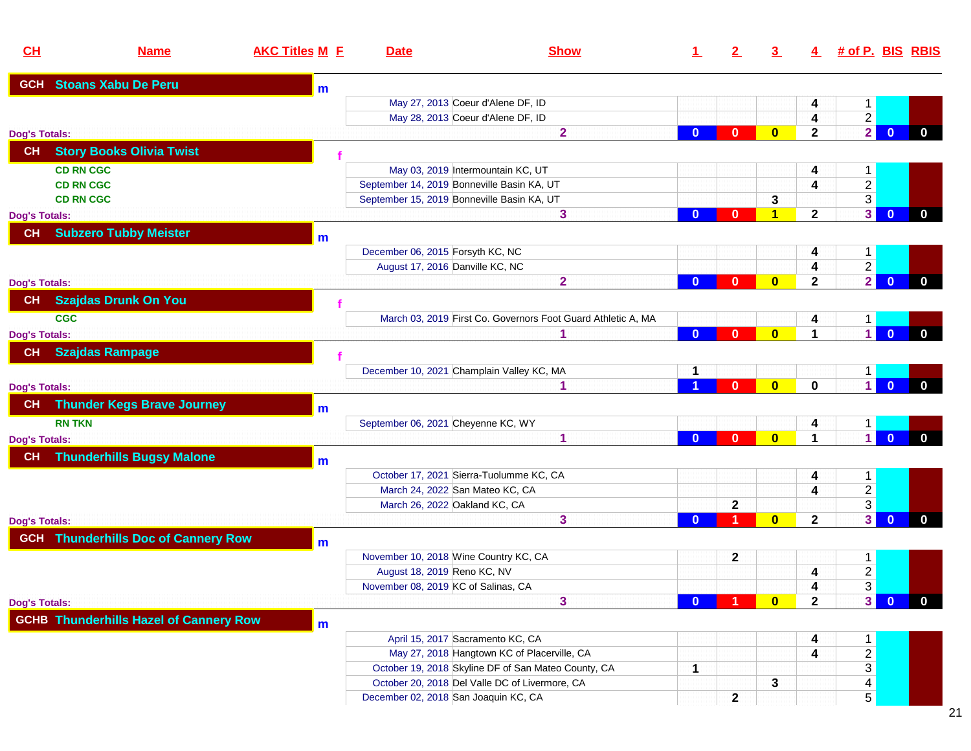| CL                   | <b>Name</b>                                   | <b>AKC Titles M E</b> | <b>Date</b>                                | <b>Show</b>                                                  | $\mathbf 1$  | $\mathbf{2}$ | $\overline{3}$          |                         | 4 # of P. BIS RBIS      |                                |
|----------------------|-----------------------------------------------|-----------------------|--------------------------------------------|--------------------------------------------------------------|--------------|--------------|-------------------------|-------------------------|-------------------------|--------------------------------|
|                      | <b>GCH</b> Stoans Xabu De Peru                | m                     |                                            |                                                              |              |              |                         |                         |                         |                                |
|                      |                                               |                       |                                            | May 27, 2013 Coeur d'Alene DF, ID                            |              |              |                         | 4                       | $\mathbf 1$             |                                |
|                      |                                               |                       |                                            | May 28, 2013 Coeur d'Alene DF, ID                            |              |              |                         | 4                       | $\overline{2}$          |                                |
| Dog's Totals:        |                                               |                       |                                            | $\mathbf{2}$                                                 | $\bf{0}$     | $\mathbf{0}$ | $\mathbf{0}$            | $\mathbf{2}$            | $\overline{2}$          | $\mathbf{0}$<br>$\mathbf{0}$   |
| CH                   | <b>Story Books Olivia Twist</b>               |                       |                                            |                                                              |              |              |                         |                         |                         |                                |
| <b>CD RN CGC</b>     |                                               |                       |                                            | May 03, 2019 Intermountain KC, UT                            |              |              |                         | 4                       | $\mathbf{1}$            |                                |
| <b>CD RN CGC</b>     |                                               |                       | September 14, 2019 Bonneville Basin KA, UT |                                                              |              |              |                         | $\overline{\mathbf{4}}$ | $\overline{2}$          |                                |
| <b>CD RN CGC</b>     |                                               |                       | September 15, 2019 Bonneville Basin KA, UT |                                                              |              |              | 3                       |                         | $\overline{3}$          |                                |
| Dog's Totals:        |                                               |                       |                                            | 3                                                            | $\bf{0}$     | 0            | 1                       | $\mathbf{2}$            | $\overline{\mathbf{3}}$ | $\mathbf{0}$<br>$\mathbf 0$    |
| CH                   | <b>Subzero Tubby Meister</b>                  | m                     |                                            |                                                              |              |              |                         |                         |                         |                                |
|                      |                                               |                       | December 06, 2015 Forsyth KC, NC           |                                                              |              |              |                         | 4                       | 1                       |                                |
|                      |                                               |                       | August 17, 2016 Danville KC, NC            |                                                              |              |              |                         | 4                       | $\overline{2}$          |                                |
| Dog's Totals:        |                                               |                       |                                            | $\overline{2}$                                               | $\bf{0}$     | $\mathbf{0}$ | $\mathbf{0}$            | $\mathbf{2}$            | $\overline{2}$          | $\mathbf{0}$<br>$\mathbf{0}$   |
| <b>CH</b>            | <b>Szajdas Drunk On You</b>                   |                       |                                            |                                                              |              |              |                         |                         |                         |                                |
| <b>CGC</b>           |                                               |                       |                                            | March 03, 2019 First Co. Governors Foot Guard Athletic A, MA |              |              |                         | 4                       | 1                       |                                |
| Dog's Totals:        |                                               |                       |                                            | 1                                                            | $\mathbf{0}$ | $\bf{0}$     | $\bf{0}$                | 1                       | $\mathbf{1}$            | $\mathbf{0}$<br>$\mathbf 0$    |
| <b>CH</b>            | <b>Szajdas Rampage</b>                        |                       |                                            |                                                              |              |              |                         |                         |                         |                                |
|                      |                                               |                       | December 10, 2021 Champlain Valley KC, MA  |                                                              |              |              |                         |                         |                         |                                |
|                      |                                               |                       |                                            | 1                                                            |              | $\mathbf{0}$ | $\overline{\mathbf{0}}$ | $\mathbf 0$             | 1.<br>$\overline{1}$    | $\Omega$<br>$\mathbf{0}$       |
| <b>Dog's Totals:</b> |                                               |                       |                                            |                                                              |              |              |                         |                         |                         |                                |
| <b>CH</b>            | <b>Thunder Kegs Brave Journey</b>             | m                     |                                            |                                                              |              |              |                         |                         |                         |                                |
| <b>RN TKN</b>        |                                               |                       | September 06, 2021 Cheyenne KC, WY         |                                                              |              |              |                         | 4                       | 1                       |                                |
| Dog's Totals:        |                                               |                       |                                            | 1                                                            | $\mathbf{0}$ | $\mathbf{0}$ | $\mathbf{0}$            | $\blacktriangleleft$    | $\overline{1}$          | $\overline{0}$<br>$\mathbf{0}$ |
| <b>CH</b>            | <b>Thunderhills Bugsy Malone</b>              | m                     |                                            |                                                              |              |              |                         |                         |                         |                                |
|                      |                                               |                       |                                            | October 17, 2021 Sierra-Tuolumme KC, CA                      |              |              |                         | 4                       | $\mathbf{1}$            |                                |
|                      |                                               |                       | March 24, 2022 San Mateo KC, CA            |                                                              |              |              |                         | 4                       | $\frac{2}{3}$           |                                |
|                      |                                               |                       | March 26, 2022 Oakland KC, CA              |                                                              |              | $\mathbf{2}$ |                         |                         |                         |                                |
| Dog's Totals:        |                                               |                       |                                            | 3                                                            | $\mathbf{0}$ | 1            | $\mathbf{0}$            | $\mathbf{2}$            | 3 <sup>1</sup>          | $\mathbf{0}$<br>$\mathbf{0}$   |
|                      | <b>GCH</b> Thunderhills Doc of Cannery Row    | m                     |                                            |                                                              |              |              |                         |                         |                         |                                |
|                      |                                               |                       | November 10, 2018 Wine Country KC, CA      |                                                              |              | $\mathbf{2}$ |                         |                         | $\mathbf{1}$            |                                |
|                      |                                               |                       | August 18, 2019 Reno KC, NV                |                                                              |              |              |                         | 4                       | $\overline{c}$          |                                |
|                      |                                               |                       | November 08, 2019 KC of Salinas, CA        |                                                              |              |              |                         | 4                       | $\overline{3}$          |                                |
| Dog's Totals:        |                                               |                       |                                            | 3                                                            | n            |              | $\mathbf{0}$            | $\mathbf{2}$            | 3 <sup>1</sup>          | $\mathbf{0}$<br>$\mathbf{0}$   |
|                      | <b>GCHB Thunderhills Hazel of Cannery Row</b> | m                     |                                            |                                                              |              |              |                         |                         |                         |                                |
|                      |                                               |                       | April 15, 2017 Sacramento KC, CA           |                                                              |              |              |                         | 4                       | $\mathbf{1}$            |                                |
|                      |                                               |                       |                                            | May 27, 2018 Hangtown KC of Placerville, CA                  |              |              |                         | 4                       | $\overline{2}$          |                                |
|                      |                                               |                       |                                            | October 19, 2018 Skyline DF of San Mateo County, CA          | $\mathbf 1$  |              |                         |                         | $\overline{3}$          |                                |
|                      |                                               |                       |                                            | October 20, 2018 Del Valle DC of Livermore, CA               |              |              | 3                       |                         | 4                       |                                |
|                      |                                               |                       | December 02, 2018 San Joaquin KC, CA       |                                                              |              | $\mathbf{2}$ |                         |                         | 5                       |                                |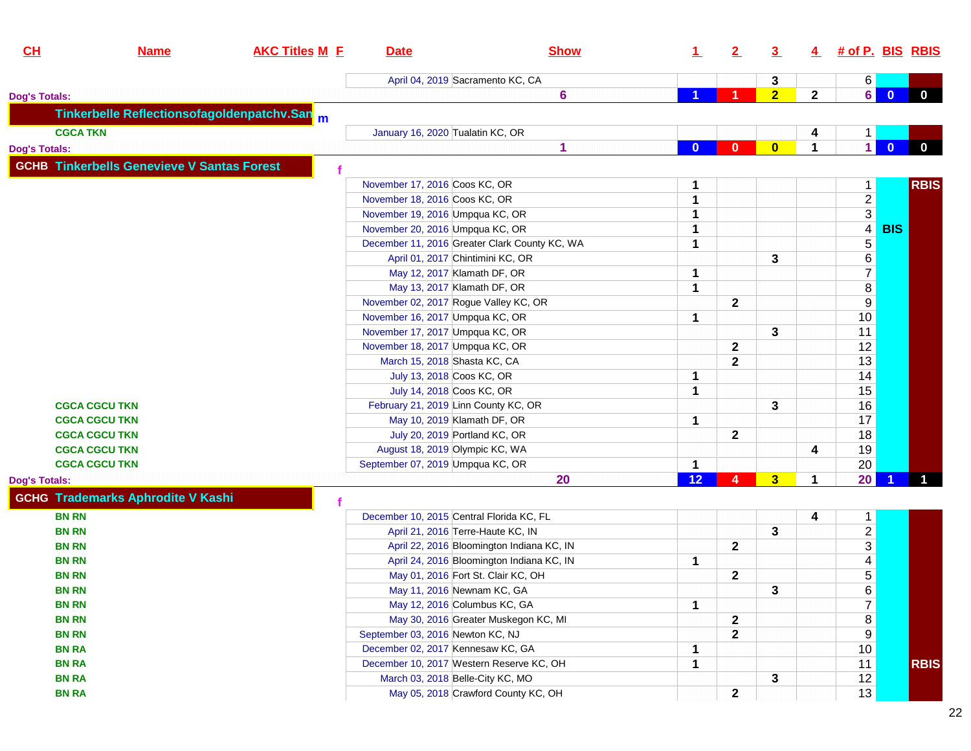| CH                   | <b>Name</b>                                       | <b>AKC Titles M E</b>                      | <b>Date</b>                              | <b>Show</b>                                   | $\perp$     | 2                       | $\overline{3}$ |              | 4 # of P. BIS RBIS |              |             |
|----------------------|---------------------------------------------------|--------------------------------------------|------------------------------------------|-----------------------------------------------|-------------|-------------------------|----------------|--------------|--------------------|--------------|-------------|
|                      |                                                   |                                            | April 04, 2019 Sacramento KC, CA         |                                               |             |                         | 3              |              | 6                  |              |             |
| <b>Dog's Totals:</b> |                                                   |                                            |                                          | $6\phantom{1}$                                |             |                         | 2 <sub>2</sub> | $\mathbf{2}$ | 6                  | $\Omega$     | $\mathbf 0$ |
|                      |                                                   | Tinkerbelle Reflectionsofagoldenpatchv.San |                                          |                                               |             |                         |                |              |                    |              |             |
| <b>CGCA TKN</b>      |                                                   |                                            | January 16, 2020 Tualatin KC, OR         |                                               |             |                         |                | 4            | $\mathbf{1}$       |              |             |
| <b>Dog's Totals:</b> |                                                   |                                            |                                          | 1                                             | $\bf{0}$    | $\mathbf{0}$            | $\mathbf{0}$   | 1            | $\blacksquare$     | $\mathbf{0}$ | $\mathbf 0$ |
|                      | <b>GCHB Tinkerbells Genevieve V Santas Forest</b> |                                            |                                          |                                               |             |                         |                |              |                    |              |             |
|                      |                                                   |                                            |                                          |                                               |             |                         |                |              |                    |              |             |
|                      |                                                   |                                            | November 17, 2016 Coos KC, OR            |                                               | 1           |                         |                |              | $\mathbf{1}$       |              | <b>RBIS</b> |
|                      |                                                   |                                            | November 18, 2016 Coos KC, OR            |                                               | 1           |                         |                |              |                    |              |             |
|                      |                                                   |                                            | November 19, 2016 Umpqua KC, OR          |                                               | 1           |                         |                |              | $\frac{2}{3}$      |              |             |
|                      |                                                   |                                            | November 20, 2016 Umpqua KC, OR          |                                               | 1           |                         |                |              |                    | <b>BIS</b>   |             |
|                      |                                                   |                                            |                                          | December 11, 2016 Greater Clark County KC, WA | 1           |                         |                |              | $\overline{5}$     |              |             |
|                      |                                                   |                                            | April 01, 2017 Chintimini KC, OR         |                                               |             |                         | 3              |              | $\overline{6}$     |              |             |
|                      |                                                   |                                            | May 12, 2017 Klamath DF, OR              |                                               | 1           |                         |                |              | $\overline{7}$     |              |             |
|                      |                                                   |                                            | May 13, 2017 Klamath DF, OR              |                                               | 1           |                         |                |              | $\bf 8$            |              |             |
|                      |                                                   |                                            | November 02, 2017 Rogue Valley KC, OR    |                                               |             | $\mathbf{2}$            |                |              | $9$                |              |             |
|                      |                                                   |                                            | November 16, 2017 Umpqua KC, OR          |                                               | 1           |                         |                |              | 10                 |              |             |
|                      |                                                   |                                            | November 17, 2017 Umpqua KC, OR          |                                               |             |                         | 3              |              | 11                 |              |             |
|                      |                                                   |                                            | November 18, 2017 Umpqua KC, OR          |                                               |             | $\mathbf{2}$            |                |              | 12                 |              |             |
|                      |                                                   |                                            | March 15, 2018 Shasta KC, CA             |                                               |             | $\mathbf{2}$            |                |              | 13                 |              |             |
|                      |                                                   |                                            | July 13, 2018 Coos KC, OR                |                                               | 1           |                         |                |              | 14                 |              |             |
|                      |                                                   |                                            | July 14, 2018 Coos KC, OR                |                                               | 1           |                         |                |              | 15                 |              |             |
| <b>CGCA CGCU TKN</b> |                                                   |                                            | February 21, 2019 Linn County KC, OR     |                                               |             |                         | 3              |              | 16                 |              |             |
| <b>CGCA CGCU TKN</b> |                                                   |                                            | May 10, 2019 Klamath DF, OR              |                                               | 1           |                         |                |              | 17                 |              |             |
| <b>CGCA CGCU TKN</b> |                                                   |                                            | July 20, 2019 Portland KC, OR            |                                               |             | $\mathbf{2}$            |                |              | 18                 |              |             |
| <b>CGCA CGCU TKN</b> |                                                   |                                            | August 18, 2019 Olympic KC, WA           |                                               |             |                         |                | 4            | 19                 |              |             |
| <b>CGCA CGCU TKN</b> |                                                   |                                            | September 07, 2019 Umpqua KC, OR         |                                               | 1           |                         |                |              | 20                 |              |             |
| <b>Dog's Totals:</b> |                                                   |                                            |                                          | 20                                            | 12          | 4                       | 3 <sup>5</sup> | $\mathbf 1$  | 20                 |              |             |
|                      | <b>GCHG Trademarks Aphrodite V Kashi</b>          |                                            |                                          |                                               |             |                         |                |              |                    |              |             |
| <b>BN RN</b>         |                                                   |                                            | December 10, 2015 Central Florida KC, FL |                                               |             |                         |                | 4            | $\mathbf{1}$       |              |             |
| <b>BN RN</b>         |                                                   |                                            | April 21, 2016 Terre-Haute KC, IN        |                                               |             |                         | 3              |              |                    |              |             |
| <b>BN RN</b>         |                                                   |                                            |                                          | April 22, 2016 Bloomington Indiana KC, IN     |             | $\mathbf{2}$            |                |              | $\frac{2}{3}$      |              |             |
| <b>BN RN</b>         |                                                   |                                            |                                          | April 24, 2016 Bloomington Indiana KC, IN     | 1           |                         |                |              | $\overline{4}$     |              |             |
| <b>BN RN</b>         |                                                   |                                            | May 01, 2016 Fort St. Clair KC, OH       |                                               |             | $\overline{\mathbf{2}}$ |                |              | $\overline{5}$     |              |             |
| <b>BN RN</b>         |                                                   |                                            | May 11, 2016 Newnam KC, GA               |                                               |             |                         | 3              |              |                    |              |             |
| <b>BN RN</b>         |                                                   |                                            | May 12, 2016 Columbus KC, GA             |                                               | $\mathbf 1$ |                         |                |              | $\frac{6}{7}$      |              |             |
| <b>BN RN</b>         |                                                   |                                            |                                          | May 30, 2016 Greater Muskegon KC, MI          |             | $\mathbf{2}$            |                |              | $\bf 8$            |              |             |
| <b>BN RN</b>         |                                                   |                                            | September 03, 2016 Newton KC, NJ         |                                               |             | $\mathbf{2}$            |                |              | $\overline{9}$     |              |             |
| <b>BN RA</b>         |                                                   |                                            | December 02, 2017 Kennesaw KC, GA        |                                               | 1           |                         |                |              | 10                 |              |             |
| <b>BN RA</b>         |                                                   |                                            | December 10, 2017 Western Reserve KC, OH |                                               | 1           |                         |                |              | 11                 |              | <b>RBIS</b> |
| <b>BN RA</b>         |                                                   |                                            | March 03, 2018 Belle-City KC, MO         |                                               |             |                         | 3              |              | 12                 |              |             |
| <b>BN RA</b>         |                                                   |                                            |                                          | May 05, 2018 Crawford County KC, OH           |             | $\mathbf 2$             |                |              | 13                 |              |             |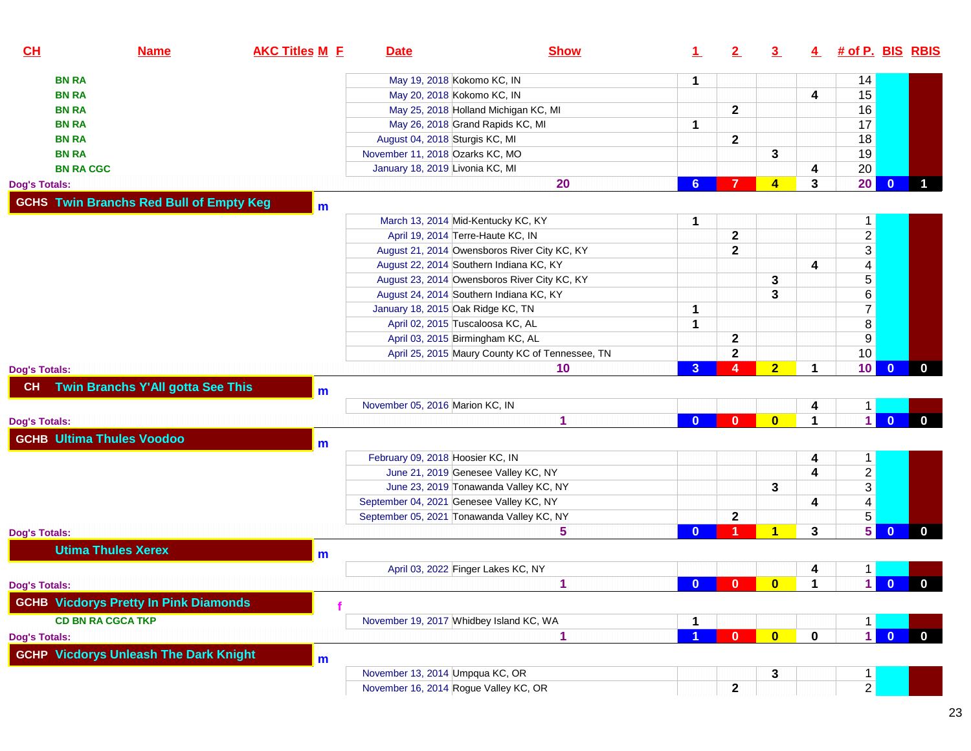| <b>BN RA</b><br>May 19, 2018 Kokomo KC, IN<br>14<br>1<br>15<br>May 20, 2018 Kokomo KC, IN<br><b>BN RA</b><br>4<br>16<br>$\mathbf{2}$<br>May 25, 2018 Holland Michigan KC, MI<br><b>BN RA</b><br>17<br>May 26, 2018 Grand Rapids KC, MI<br><b>BN RA</b><br>1<br>18<br>August 04, 2018 Sturgis KC, MI<br>$\mathbf{2}$<br><b>BN RA</b><br>19<br>November 11, 2018 Ozarks KC, MO<br>3<br><b>BN RA</b><br>20<br>January 18, 2019 Livonia KC, MI<br><b>BN RA CGC</b><br>4<br>20<br>3<br>$\mathbf{0}$<br>20<br>7<br>$\blacktriangleleft$<br>6<br><b>Dog's Totals:</b><br><b>GCHS Twin Branchs Red Bull of Empty Keg</b><br>m<br>March 13, 2014 Mid-Kentucky KC, KY<br>1<br>$\mathbf{1}$<br>$\frac{2}{3}$<br>$\mathbf 2$<br>April 19, 2014 Terre-Haute KC, IN<br>$\mathbf{2}$<br>August 21, 2014 Owensboros River City KC, KY<br>$\overline{4}$<br>4<br>August 22, 2014 Southern Indiana KC, KY<br>$\overline{5}$<br>August 23, 2014 Owensboros River City KC, KY<br>3<br>$6\,$<br>3<br>August 24, 2014 Southern Indiana KC, KY<br>$\overline{7}$<br>January 18, 2015 Oak Ridge KC, TN<br>1<br>$\overline{\bf 8}$<br>April 02, 2015 Tuscaloosa KC, AL<br>1<br>$\overline{9}$<br>April 03, 2015 Birmingham KC, AL<br>2<br>10<br>$\mathbf 2$<br>April 25, 2015 Maury County KC of Tennessee, TN<br>10<br>$\overline{A}$<br>2 <sub>2</sub><br>$\overline{\mathbf{0}}$<br>$\overline{3}$<br>10<br>1<br>$\mathbf{0}$<br><b>Dog's Totals:</b><br>Twin Branchs Y'All gotta See This<br>CH<br>m<br>November 05, 2016 Marion KC, IN<br>4<br>1<br>$\vert$ 1<br>1<br>$\mathbf{0}$<br>$\bf{0}$<br>$\mathbf{0}$<br>$\mathbf{0}$<br>1<br>$\mathbf{0}$<br><b>Dog's Totals:</b><br><b>GCHB Ultima Thules Voodoo</b><br>m<br>February 09, 2018 Hoosier KC, IN<br>4<br>$\mathbf{1}$<br>$\frac{2}{3}$<br>4<br>June 21, 2019 Genesee Valley KC, NY<br>3<br>June 23, 2019 Tonawanda Valley KC, NY<br>$\overline{4}$<br>September 04, 2021 Genesee Valley KC, NY<br>4<br>$\overline{5}$<br>$\mathbf 2$<br>September 05, 2021 Tonawanda Valley KC, NY<br>5<br>1<br>3<br>$\mathbf{0}$<br>5<br>$\mathbf 0$<br>$\Omega$<br><b>Utima Thules Xerex</b><br>m<br>April 03, 2022 Finger Lakes KC, NY<br>1<br>4<br>$\blacksquare$<br>$\overline{\mathbf{0}}$<br>$\bf{0}$<br>$\bf{0}$<br>1<br>$\mathbf{0}$<br>$\overline{0}$<br>1<br><b>Dog's Totals:</b><br><b>GCHB Vicdorys Pretty In Pink Diamonds</b><br><b>CD BN RA CGCA TKP</b><br>November 19, 2017 Whidbey Island KC, WA<br>1<br>1<br>$\overline{1}$<br>$\overline{\mathbf{0}}$<br>$\mathbf{0}$<br>$\bullet$<br>$\mathbf 0$<br>$\mathbf{0}$<br>1<br><b>GCHP Vicdorys Unleash The Dark Knight</b><br>m<br>November 13, 2014 Umpqua KC, OR<br>3<br>$\mathbf{1}$<br>$\overline{2}$<br>November 16, 2014 Rogue Valley KC, OR<br>2 | CL                   | <b>Name</b> | <b>AKC Titles M E</b> | <b>Date</b> | <b>Show</b> | $\perp$ | 2 | $\overline{3}$ | $\overline{4}$ | <u># of P. BIS_RBIS</u> |  |
|----------------------------------------------------------------------------------------------------------------------------------------------------------------------------------------------------------------------------------------------------------------------------------------------------------------------------------------------------------------------------------------------------------------------------------------------------------------------------------------------------------------------------------------------------------------------------------------------------------------------------------------------------------------------------------------------------------------------------------------------------------------------------------------------------------------------------------------------------------------------------------------------------------------------------------------------------------------------------------------------------------------------------------------------------------------------------------------------------------------------------------------------------------------------------------------------------------------------------------------------------------------------------------------------------------------------------------------------------------------------------------------------------------------------------------------------------------------------------------------------------------------------------------------------------------------------------------------------------------------------------------------------------------------------------------------------------------------------------------------------------------------------------------------------------------------------------------------------------------------------------------------------------------------------------------------------------------------------------------------------------------------------------------------------------------------------------------------------------------------------------------------------------------------------------------------------------------------------------------------------------------------------------------------------------------------------------------------------------------------------------------------------------------------------------------------------------------------------------------------------------------------------------------------------------------------------------------------------------------------------------------------------------------------------------------------------------------------------------------------------|----------------------|-------------|-----------------------|-------------|-------------|---------|---|----------------|----------------|-------------------------|--|
|                                                                                                                                                                                                                                                                                                                                                                                                                                                                                                                                                                                                                                                                                                                                                                                                                                                                                                                                                                                                                                                                                                                                                                                                                                                                                                                                                                                                                                                                                                                                                                                                                                                                                                                                                                                                                                                                                                                                                                                                                                                                                                                                                                                                                                                                                                                                                                                                                                                                                                                                                                                                                                                                                                                                              |                      |             |                       |             |             |         |   |                |                |                         |  |
|                                                                                                                                                                                                                                                                                                                                                                                                                                                                                                                                                                                                                                                                                                                                                                                                                                                                                                                                                                                                                                                                                                                                                                                                                                                                                                                                                                                                                                                                                                                                                                                                                                                                                                                                                                                                                                                                                                                                                                                                                                                                                                                                                                                                                                                                                                                                                                                                                                                                                                                                                                                                                                                                                                                                              |                      |             |                       |             |             |         |   |                |                |                         |  |
|                                                                                                                                                                                                                                                                                                                                                                                                                                                                                                                                                                                                                                                                                                                                                                                                                                                                                                                                                                                                                                                                                                                                                                                                                                                                                                                                                                                                                                                                                                                                                                                                                                                                                                                                                                                                                                                                                                                                                                                                                                                                                                                                                                                                                                                                                                                                                                                                                                                                                                                                                                                                                                                                                                                                              |                      |             |                       |             |             |         |   |                |                |                         |  |
|                                                                                                                                                                                                                                                                                                                                                                                                                                                                                                                                                                                                                                                                                                                                                                                                                                                                                                                                                                                                                                                                                                                                                                                                                                                                                                                                                                                                                                                                                                                                                                                                                                                                                                                                                                                                                                                                                                                                                                                                                                                                                                                                                                                                                                                                                                                                                                                                                                                                                                                                                                                                                                                                                                                                              |                      |             |                       |             |             |         |   |                |                |                         |  |
|                                                                                                                                                                                                                                                                                                                                                                                                                                                                                                                                                                                                                                                                                                                                                                                                                                                                                                                                                                                                                                                                                                                                                                                                                                                                                                                                                                                                                                                                                                                                                                                                                                                                                                                                                                                                                                                                                                                                                                                                                                                                                                                                                                                                                                                                                                                                                                                                                                                                                                                                                                                                                                                                                                                                              |                      |             |                       |             |             |         |   |                |                |                         |  |
|                                                                                                                                                                                                                                                                                                                                                                                                                                                                                                                                                                                                                                                                                                                                                                                                                                                                                                                                                                                                                                                                                                                                                                                                                                                                                                                                                                                                                                                                                                                                                                                                                                                                                                                                                                                                                                                                                                                                                                                                                                                                                                                                                                                                                                                                                                                                                                                                                                                                                                                                                                                                                                                                                                                                              |                      |             |                       |             |             |         |   |                |                |                         |  |
|                                                                                                                                                                                                                                                                                                                                                                                                                                                                                                                                                                                                                                                                                                                                                                                                                                                                                                                                                                                                                                                                                                                                                                                                                                                                                                                                                                                                                                                                                                                                                                                                                                                                                                                                                                                                                                                                                                                                                                                                                                                                                                                                                                                                                                                                                                                                                                                                                                                                                                                                                                                                                                                                                                                                              |                      |             |                       |             |             |         |   |                |                |                         |  |
|                                                                                                                                                                                                                                                                                                                                                                                                                                                                                                                                                                                                                                                                                                                                                                                                                                                                                                                                                                                                                                                                                                                                                                                                                                                                                                                                                                                                                                                                                                                                                                                                                                                                                                                                                                                                                                                                                                                                                                                                                                                                                                                                                                                                                                                                                                                                                                                                                                                                                                                                                                                                                                                                                                                                              |                      |             |                       |             |             |         |   |                |                |                         |  |
|                                                                                                                                                                                                                                                                                                                                                                                                                                                                                                                                                                                                                                                                                                                                                                                                                                                                                                                                                                                                                                                                                                                                                                                                                                                                                                                                                                                                                                                                                                                                                                                                                                                                                                                                                                                                                                                                                                                                                                                                                                                                                                                                                                                                                                                                                                                                                                                                                                                                                                                                                                                                                                                                                                                                              |                      |             |                       |             |             |         |   |                |                |                         |  |
|                                                                                                                                                                                                                                                                                                                                                                                                                                                                                                                                                                                                                                                                                                                                                                                                                                                                                                                                                                                                                                                                                                                                                                                                                                                                                                                                                                                                                                                                                                                                                                                                                                                                                                                                                                                                                                                                                                                                                                                                                                                                                                                                                                                                                                                                                                                                                                                                                                                                                                                                                                                                                                                                                                                                              |                      |             |                       |             |             |         |   |                |                |                         |  |
|                                                                                                                                                                                                                                                                                                                                                                                                                                                                                                                                                                                                                                                                                                                                                                                                                                                                                                                                                                                                                                                                                                                                                                                                                                                                                                                                                                                                                                                                                                                                                                                                                                                                                                                                                                                                                                                                                                                                                                                                                                                                                                                                                                                                                                                                                                                                                                                                                                                                                                                                                                                                                                                                                                                                              |                      |             |                       |             |             |         |   |                |                |                         |  |
|                                                                                                                                                                                                                                                                                                                                                                                                                                                                                                                                                                                                                                                                                                                                                                                                                                                                                                                                                                                                                                                                                                                                                                                                                                                                                                                                                                                                                                                                                                                                                                                                                                                                                                                                                                                                                                                                                                                                                                                                                                                                                                                                                                                                                                                                                                                                                                                                                                                                                                                                                                                                                                                                                                                                              |                      |             |                       |             |             |         |   |                |                |                         |  |
|                                                                                                                                                                                                                                                                                                                                                                                                                                                                                                                                                                                                                                                                                                                                                                                                                                                                                                                                                                                                                                                                                                                                                                                                                                                                                                                                                                                                                                                                                                                                                                                                                                                                                                                                                                                                                                                                                                                                                                                                                                                                                                                                                                                                                                                                                                                                                                                                                                                                                                                                                                                                                                                                                                                                              |                      |             |                       |             |             |         |   |                |                |                         |  |
|                                                                                                                                                                                                                                                                                                                                                                                                                                                                                                                                                                                                                                                                                                                                                                                                                                                                                                                                                                                                                                                                                                                                                                                                                                                                                                                                                                                                                                                                                                                                                                                                                                                                                                                                                                                                                                                                                                                                                                                                                                                                                                                                                                                                                                                                                                                                                                                                                                                                                                                                                                                                                                                                                                                                              |                      |             |                       |             |             |         |   |                |                |                         |  |
|                                                                                                                                                                                                                                                                                                                                                                                                                                                                                                                                                                                                                                                                                                                                                                                                                                                                                                                                                                                                                                                                                                                                                                                                                                                                                                                                                                                                                                                                                                                                                                                                                                                                                                                                                                                                                                                                                                                                                                                                                                                                                                                                                                                                                                                                                                                                                                                                                                                                                                                                                                                                                                                                                                                                              |                      |             |                       |             |             |         |   |                |                |                         |  |
|                                                                                                                                                                                                                                                                                                                                                                                                                                                                                                                                                                                                                                                                                                                                                                                                                                                                                                                                                                                                                                                                                                                                                                                                                                                                                                                                                                                                                                                                                                                                                                                                                                                                                                                                                                                                                                                                                                                                                                                                                                                                                                                                                                                                                                                                                                                                                                                                                                                                                                                                                                                                                                                                                                                                              |                      |             |                       |             |             |         |   |                |                |                         |  |
|                                                                                                                                                                                                                                                                                                                                                                                                                                                                                                                                                                                                                                                                                                                                                                                                                                                                                                                                                                                                                                                                                                                                                                                                                                                                                                                                                                                                                                                                                                                                                                                                                                                                                                                                                                                                                                                                                                                                                                                                                                                                                                                                                                                                                                                                                                                                                                                                                                                                                                                                                                                                                                                                                                                                              |                      |             |                       |             |             |         |   |                |                |                         |  |
|                                                                                                                                                                                                                                                                                                                                                                                                                                                                                                                                                                                                                                                                                                                                                                                                                                                                                                                                                                                                                                                                                                                                                                                                                                                                                                                                                                                                                                                                                                                                                                                                                                                                                                                                                                                                                                                                                                                                                                                                                                                                                                                                                                                                                                                                                                                                                                                                                                                                                                                                                                                                                                                                                                                                              |                      |             |                       |             |             |         |   |                |                |                         |  |
|                                                                                                                                                                                                                                                                                                                                                                                                                                                                                                                                                                                                                                                                                                                                                                                                                                                                                                                                                                                                                                                                                                                                                                                                                                                                                                                                                                                                                                                                                                                                                                                                                                                                                                                                                                                                                                                                                                                                                                                                                                                                                                                                                                                                                                                                                                                                                                                                                                                                                                                                                                                                                                                                                                                                              |                      |             |                       |             |             |         |   |                |                |                         |  |
|                                                                                                                                                                                                                                                                                                                                                                                                                                                                                                                                                                                                                                                                                                                                                                                                                                                                                                                                                                                                                                                                                                                                                                                                                                                                                                                                                                                                                                                                                                                                                                                                                                                                                                                                                                                                                                                                                                                                                                                                                                                                                                                                                                                                                                                                                                                                                                                                                                                                                                                                                                                                                                                                                                                                              |                      |             |                       |             |             |         |   |                |                |                         |  |
|                                                                                                                                                                                                                                                                                                                                                                                                                                                                                                                                                                                                                                                                                                                                                                                                                                                                                                                                                                                                                                                                                                                                                                                                                                                                                                                                                                                                                                                                                                                                                                                                                                                                                                                                                                                                                                                                                                                                                                                                                                                                                                                                                                                                                                                                                                                                                                                                                                                                                                                                                                                                                                                                                                                                              |                      |             |                       |             |             |         |   |                |                |                         |  |
|                                                                                                                                                                                                                                                                                                                                                                                                                                                                                                                                                                                                                                                                                                                                                                                                                                                                                                                                                                                                                                                                                                                                                                                                                                                                                                                                                                                                                                                                                                                                                                                                                                                                                                                                                                                                                                                                                                                                                                                                                                                                                                                                                                                                                                                                                                                                                                                                                                                                                                                                                                                                                                                                                                                                              |                      |             |                       |             |             |         |   |                |                |                         |  |
|                                                                                                                                                                                                                                                                                                                                                                                                                                                                                                                                                                                                                                                                                                                                                                                                                                                                                                                                                                                                                                                                                                                                                                                                                                                                                                                                                                                                                                                                                                                                                                                                                                                                                                                                                                                                                                                                                                                                                                                                                                                                                                                                                                                                                                                                                                                                                                                                                                                                                                                                                                                                                                                                                                                                              |                      |             |                       |             |             |         |   |                |                |                         |  |
|                                                                                                                                                                                                                                                                                                                                                                                                                                                                                                                                                                                                                                                                                                                                                                                                                                                                                                                                                                                                                                                                                                                                                                                                                                                                                                                                                                                                                                                                                                                                                                                                                                                                                                                                                                                                                                                                                                                                                                                                                                                                                                                                                                                                                                                                                                                                                                                                                                                                                                                                                                                                                                                                                                                                              |                      |             |                       |             |             |         |   |                |                |                         |  |
|                                                                                                                                                                                                                                                                                                                                                                                                                                                                                                                                                                                                                                                                                                                                                                                                                                                                                                                                                                                                                                                                                                                                                                                                                                                                                                                                                                                                                                                                                                                                                                                                                                                                                                                                                                                                                                                                                                                                                                                                                                                                                                                                                                                                                                                                                                                                                                                                                                                                                                                                                                                                                                                                                                                                              |                      |             |                       |             |             |         |   |                |                |                         |  |
|                                                                                                                                                                                                                                                                                                                                                                                                                                                                                                                                                                                                                                                                                                                                                                                                                                                                                                                                                                                                                                                                                                                                                                                                                                                                                                                                                                                                                                                                                                                                                                                                                                                                                                                                                                                                                                                                                                                                                                                                                                                                                                                                                                                                                                                                                                                                                                                                                                                                                                                                                                                                                                                                                                                                              |                      |             |                       |             |             |         |   |                |                |                         |  |
|                                                                                                                                                                                                                                                                                                                                                                                                                                                                                                                                                                                                                                                                                                                                                                                                                                                                                                                                                                                                                                                                                                                                                                                                                                                                                                                                                                                                                                                                                                                                                                                                                                                                                                                                                                                                                                                                                                                                                                                                                                                                                                                                                                                                                                                                                                                                                                                                                                                                                                                                                                                                                                                                                                                                              |                      |             |                       |             |             |         |   |                |                |                         |  |
|                                                                                                                                                                                                                                                                                                                                                                                                                                                                                                                                                                                                                                                                                                                                                                                                                                                                                                                                                                                                                                                                                                                                                                                                                                                                                                                                                                                                                                                                                                                                                                                                                                                                                                                                                                                                                                                                                                                                                                                                                                                                                                                                                                                                                                                                                                                                                                                                                                                                                                                                                                                                                                                                                                                                              |                      |             |                       |             |             |         |   |                |                |                         |  |
|                                                                                                                                                                                                                                                                                                                                                                                                                                                                                                                                                                                                                                                                                                                                                                                                                                                                                                                                                                                                                                                                                                                                                                                                                                                                                                                                                                                                                                                                                                                                                                                                                                                                                                                                                                                                                                                                                                                                                                                                                                                                                                                                                                                                                                                                                                                                                                                                                                                                                                                                                                                                                                                                                                                                              |                      |             |                       |             |             |         |   |                |                |                         |  |
|                                                                                                                                                                                                                                                                                                                                                                                                                                                                                                                                                                                                                                                                                                                                                                                                                                                                                                                                                                                                                                                                                                                                                                                                                                                                                                                                                                                                                                                                                                                                                                                                                                                                                                                                                                                                                                                                                                                                                                                                                                                                                                                                                                                                                                                                                                                                                                                                                                                                                                                                                                                                                                                                                                                                              |                      |             |                       |             |             |         |   |                |                |                         |  |
|                                                                                                                                                                                                                                                                                                                                                                                                                                                                                                                                                                                                                                                                                                                                                                                                                                                                                                                                                                                                                                                                                                                                                                                                                                                                                                                                                                                                                                                                                                                                                                                                                                                                                                                                                                                                                                                                                                                                                                                                                                                                                                                                                                                                                                                                                                                                                                                                                                                                                                                                                                                                                                                                                                                                              | <b>Dog's Totals:</b> |             |                       |             |             |         |   |                |                |                         |  |
|                                                                                                                                                                                                                                                                                                                                                                                                                                                                                                                                                                                                                                                                                                                                                                                                                                                                                                                                                                                                                                                                                                                                                                                                                                                                                                                                                                                                                                                                                                                                                                                                                                                                                                                                                                                                                                                                                                                                                                                                                                                                                                                                                                                                                                                                                                                                                                                                                                                                                                                                                                                                                                                                                                                                              |                      |             |                       |             |             |         |   |                |                |                         |  |
|                                                                                                                                                                                                                                                                                                                                                                                                                                                                                                                                                                                                                                                                                                                                                                                                                                                                                                                                                                                                                                                                                                                                                                                                                                                                                                                                                                                                                                                                                                                                                                                                                                                                                                                                                                                                                                                                                                                                                                                                                                                                                                                                                                                                                                                                                                                                                                                                                                                                                                                                                                                                                                                                                                                                              |                      |             |                       |             |             |         |   |                |                |                         |  |
|                                                                                                                                                                                                                                                                                                                                                                                                                                                                                                                                                                                                                                                                                                                                                                                                                                                                                                                                                                                                                                                                                                                                                                                                                                                                                                                                                                                                                                                                                                                                                                                                                                                                                                                                                                                                                                                                                                                                                                                                                                                                                                                                                                                                                                                                                                                                                                                                                                                                                                                                                                                                                                                                                                                                              |                      |             |                       |             |             |         |   |                |                |                         |  |
|                                                                                                                                                                                                                                                                                                                                                                                                                                                                                                                                                                                                                                                                                                                                                                                                                                                                                                                                                                                                                                                                                                                                                                                                                                                                                                                                                                                                                                                                                                                                                                                                                                                                                                                                                                                                                                                                                                                                                                                                                                                                                                                                                                                                                                                                                                                                                                                                                                                                                                                                                                                                                                                                                                                                              |                      |             |                       |             |             |         |   |                |                |                         |  |
|                                                                                                                                                                                                                                                                                                                                                                                                                                                                                                                                                                                                                                                                                                                                                                                                                                                                                                                                                                                                                                                                                                                                                                                                                                                                                                                                                                                                                                                                                                                                                                                                                                                                                                                                                                                                                                                                                                                                                                                                                                                                                                                                                                                                                                                                                                                                                                                                                                                                                                                                                                                                                                                                                                                                              |                      |             |                       |             |             |         |   |                |                |                         |  |
|                                                                                                                                                                                                                                                                                                                                                                                                                                                                                                                                                                                                                                                                                                                                                                                                                                                                                                                                                                                                                                                                                                                                                                                                                                                                                                                                                                                                                                                                                                                                                                                                                                                                                                                                                                                                                                                                                                                                                                                                                                                                                                                                                                                                                                                                                                                                                                                                                                                                                                                                                                                                                                                                                                                                              |                      |             |                       |             |             |         |   |                |                |                         |  |
|                                                                                                                                                                                                                                                                                                                                                                                                                                                                                                                                                                                                                                                                                                                                                                                                                                                                                                                                                                                                                                                                                                                                                                                                                                                                                                                                                                                                                                                                                                                                                                                                                                                                                                                                                                                                                                                                                                                                                                                                                                                                                                                                                                                                                                                                                                                                                                                                                                                                                                                                                                                                                                                                                                                                              | <b>Dog's Totals:</b> |             |                       |             |             |         |   |                |                |                         |  |
|                                                                                                                                                                                                                                                                                                                                                                                                                                                                                                                                                                                                                                                                                                                                                                                                                                                                                                                                                                                                                                                                                                                                                                                                                                                                                                                                                                                                                                                                                                                                                                                                                                                                                                                                                                                                                                                                                                                                                                                                                                                                                                                                                                                                                                                                                                                                                                                                                                                                                                                                                                                                                                                                                                                                              |                      |             |                       |             |             |         |   |                |                |                         |  |
|                                                                                                                                                                                                                                                                                                                                                                                                                                                                                                                                                                                                                                                                                                                                                                                                                                                                                                                                                                                                                                                                                                                                                                                                                                                                                                                                                                                                                                                                                                                                                                                                                                                                                                                                                                                                                                                                                                                                                                                                                                                                                                                                                                                                                                                                                                                                                                                                                                                                                                                                                                                                                                                                                                                                              |                      |             |                       |             |             |         |   |                |                |                         |  |
|                                                                                                                                                                                                                                                                                                                                                                                                                                                                                                                                                                                                                                                                                                                                                                                                                                                                                                                                                                                                                                                                                                                                                                                                                                                                                                                                                                                                                                                                                                                                                                                                                                                                                                                                                                                                                                                                                                                                                                                                                                                                                                                                                                                                                                                                                                                                                                                                                                                                                                                                                                                                                                                                                                                                              |                      |             |                       |             |             |         |   |                |                |                         |  |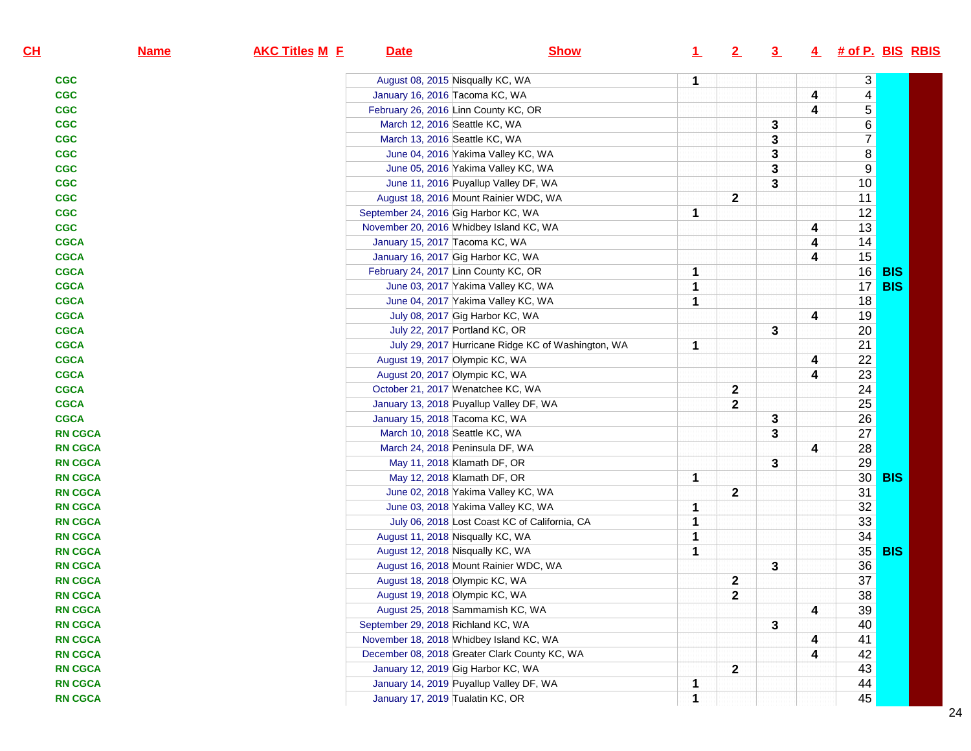| CL             | <b>Name</b> | <b>AKC Titles M E</b> | <b>Date</b>                             | <b>Show</b>                                        | $\perp$     | 2            | $\overline{3}$ |   | 4 # of P. BIS RBIS      |               |  |
|----------------|-------------|-----------------------|-----------------------------------------|----------------------------------------------------|-------------|--------------|----------------|---|-------------------------|---------------|--|
| <b>CGC</b>     |             |                       | August 08, 2015 Nisqually KC, WA        |                                                    | 1           |              |                |   | 3                       |               |  |
| <b>CGC</b>     |             |                       | January 16, 2016 Tacoma KC, WA          |                                                    |             |              |                | 4 | $\overline{\mathbf{4}}$ |               |  |
| <b>CGC</b>     |             |                       | February 26, 2016 Linn County KC, OR    |                                                    |             |              |                | 4 | $\overline{5}$          |               |  |
| <b>CGC</b>     |             |                       | March 12, 2016 Seattle KC, WA           |                                                    |             |              | 3              |   | $6\overline{6}$         |               |  |
| <b>CGC</b>     |             |                       | March 13, 2016 Seattle KC, WA           |                                                    |             |              | 3              |   | $\overline{7}$          |               |  |
| <b>CGC</b>     |             |                       |                                         | June 04, 2016 Yakima Valley KC, WA                 |             |              | 3              |   | $\bf 8$                 |               |  |
| <b>CGC</b>     |             |                       |                                         | June 05, 2016 Yakima Valley KC, WA                 |             |              | 3              |   | $9\,$                   |               |  |
| <b>CGC</b>     |             |                       |                                         | June 11, 2016 Puyallup Valley DF, WA               |             |              | 3              |   | 10                      |               |  |
| <b>CGC</b>     |             |                       |                                         | August 18, 2016 Mount Rainier WDC, WA              |             | $\mathbf{2}$ |                |   | 11                      |               |  |
| <b>CGC</b>     |             |                       | September 24, 2016 Gig Harbor KC, WA    |                                                    | 1           |              |                |   | 12                      |               |  |
| <b>CGC</b>     |             |                       | November 20, 2016 Whidbey Island KC, WA |                                                    |             |              |                | 4 | 13                      |               |  |
| <b>CGCA</b>    |             |                       | January 15, 2017 Tacoma KC, WA          |                                                    |             |              |                | 4 | 14                      |               |  |
| <b>CGCA</b>    |             |                       | January 16, 2017 Gig Harbor KC, WA      |                                                    |             |              |                | 4 | 15                      |               |  |
| <b>CGCA</b>    |             |                       | February 24, 2017 Linn County KC, OR    |                                                    | 1           |              |                |   |                         | 16 <b>BIS</b> |  |
| <b>CGCA</b>    |             |                       |                                         | June 03, 2017 Yakima Valley KC, WA                 | 1           |              |                |   | 17 <sup>°</sup>         | <b>BIS</b>    |  |
| <b>CGCA</b>    |             |                       |                                         | June 04, 2017 Yakima Valley KC, WA                 | 1           |              |                |   | 18                      |               |  |
| <b>CGCA</b>    |             |                       |                                         | July 08, 2017 Gig Harbor KC, WA                    |             |              |                | 4 | 19                      |               |  |
| <b>CGCA</b>    |             |                       | July 22, 2017 Portland KC, OR           |                                                    |             |              | 3              |   | 20                      |               |  |
| <b>CGCA</b>    |             |                       |                                         | July 29, 2017 Hurricane Ridge KC of Washington, WA | 1           |              |                |   | 21                      |               |  |
| <b>CGCA</b>    |             |                       | August 19, 2017 Olympic KC, WA          |                                                    |             |              |                | 4 | 22                      |               |  |
| <b>CGCA</b>    |             |                       | August 20, 2017 Olympic KC, WA          |                                                    |             |              |                | 4 | 23                      |               |  |
| <b>CGCA</b>    |             |                       | October 21, 2017 Wenatchee KC, WA       |                                                    |             | $\mathbf{2}$ |                |   | 24                      |               |  |
| <b>CGCA</b>    |             |                       |                                         | January 13, 2018 Puyallup Valley DF, WA            |             | $\mathbf{2}$ |                |   | 25                      |               |  |
| <b>CGCA</b>    |             |                       | January 15, 2018 Tacoma KC, WA          |                                                    |             |              | 3              |   | 26                      |               |  |
| <b>RN CGCA</b> |             |                       | March 10, 2018 Seattle KC, WA           |                                                    |             |              | 3              |   | 27                      |               |  |
| <b>RN CGCA</b> |             |                       | March 24, 2018 Peninsula DF, WA         |                                                    |             |              |                | 4 | 28                      |               |  |
| <b>RN CGCA</b> |             |                       | May 11, 2018 Klamath DF, OR             |                                                    |             |              | 3              |   | 29                      |               |  |
| <b>RN CGCA</b> |             |                       | May 12, 2018 Klamath DF, OR             |                                                    | 1           |              |                |   |                         | 30 <b>BIS</b> |  |
| <b>RN CGCA</b> |             |                       |                                         | June 02, 2018 Yakima Valley KC, WA                 |             | $\mathbf{2}$ |                |   | 31                      |               |  |
| <b>RN CGCA</b> |             |                       |                                         | June 03, 2018 Yakima Valley KC, WA                 | 1           |              |                |   | 32                      |               |  |
| <b>RN CGCA</b> |             |                       |                                         | July 06, 2018 Lost Coast KC of California, CA      | 1           |              |                |   | 33                      |               |  |
| <b>RN CGCA</b> |             |                       | August 11, 2018 Nisqually KC, WA        |                                                    | 1           |              |                |   | 34                      |               |  |
| <b>RN CGCA</b> |             |                       | August 12, 2018 Nisqually KC, WA        |                                                    | 1           |              |                |   |                         | 35 BIS        |  |
| <b>RN CGCA</b> |             |                       |                                         | August 16, 2018 Mount Rainier WDC, WA              |             |              | 3              |   | 36                      |               |  |
| <b>RN CGCA</b> |             |                       | August 18, 2018 Olympic KC, WA          |                                                    |             | $\mathbf{2}$ |                |   | 37                      |               |  |
| <b>RN CGCA</b> |             |                       | August 19, 2018 Olympic KC, WA          |                                                    |             | $\mathbf{2}$ |                |   | 38                      |               |  |
| <b>RN CGCA</b> |             |                       | August 25, 2018 Sammamish KC, WA        |                                                    |             |              |                | 4 | 39                      |               |  |
| <b>RN CGCA</b> |             |                       | September 29, 2018 Richland KC, WA      |                                                    |             |              | 3              |   | 40                      |               |  |
| <b>RN CGCA</b> |             |                       | November 18, 2018 Whidbey Island KC, WA |                                                    |             |              |                | 4 | 41                      |               |  |
| <b>RN CGCA</b> |             |                       |                                         | December 08, 2018 Greater Clark County KC, WA      |             |              |                | 4 | 42                      |               |  |
| <b>RN CGCA</b> |             |                       | January 12, 2019 Gig Harbor KC, WA      |                                                    |             | $\mathbf{2}$ |                |   | 43                      |               |  |
| <b>RN CGCA</b> |             |                       |                                         | January 14, 2019 Puyallup Valley DF, WA            | 1           |              |                |   | 44                      |               |  |
| <b>RN CGCA</b> |             |                       | January 17, 2019 Tualatin KC, OR        |                                                    | $\mathbf 1$ |              |                |   | 45                      |               |  |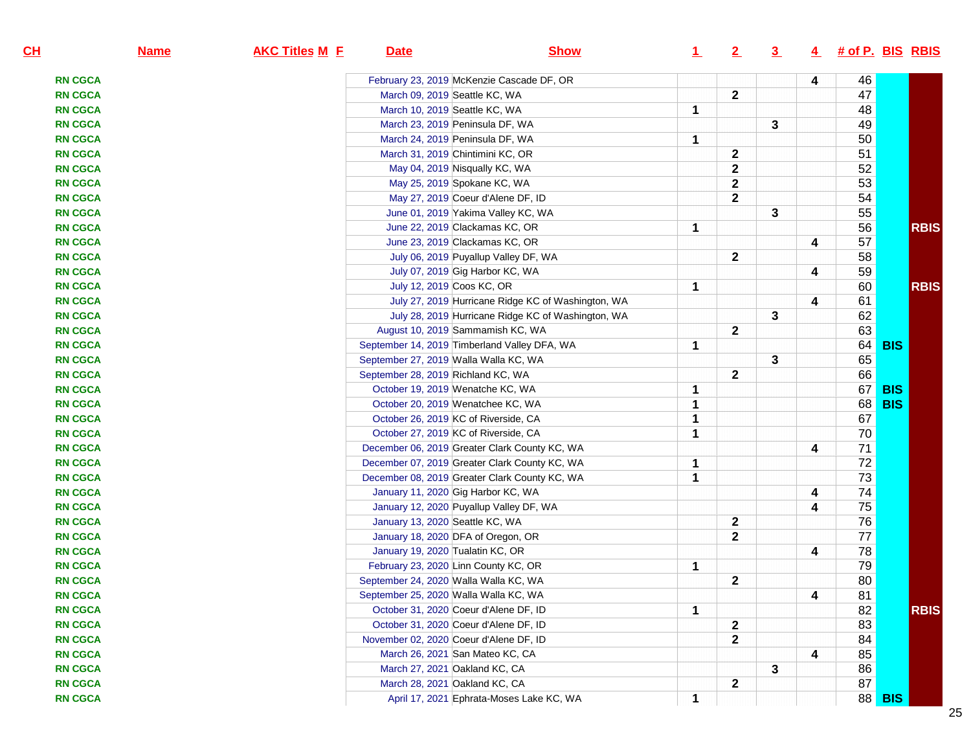| CL             | <b>Name</b> | <b>AKC Titles M E</b> | <b>Date</b>                        | <b>Show</b>                                        | $\perp$ | 2            | $\overline{3}$ |   | $4$ # of P. BIS RBIS |            |             |
|----------------|-------------|-----------------------|------------------------------------|----------------------------------------------------|---------|--------------|----------------|---|----------------------|------------|-------------|
| <b>RN CGCA</b> |             |                       |                                    | February 23, 2019 McKenzie Cascade DF, OR          |         |              |                | 4 | 46                   |            |             |
| <b>RN CGCA</b> |             |                       |                                    | March 09, 2019 Seattle KC, WA                      |         | $\mathbf 2$  |                |   | 47                   |            |             |
| <b>RN CGCA</b> |             |                       |                                    | March 10, 2019 Seattle KC, WA                      | 1       |              |                |   | 48                   |            |             |
| <b>RN CGCA</b> |             |                       |                                    | March 23, 2019 Peninsula DF, WA                    |         |              | 3              |   | 49                   |            |             |
| <b>RN CGCA</b> |             |                       |                                    | March 24, 2019 Peninsula DF, WA                    | 1       |              |                |   | 50                   |            |             |
| <b>RN CGCA</b> |             |                       |                                    | March 31, 2019 Chintimini KC, OR                   |         | $\mathbf 2$  |                |   | 51                   |            |             |
| <b>RN CGCA</b> |             |                       |                                    | May 04, 2019 Nisqually KC, WA                      |         | $\mathbf{2}$ |                |   | 52                   |            |             |
| <b>RN CGCA</b> |             |                       |                                    | May 25, 2019 Spokane KC, WA                        |         | $\mathbf{2}$ |                |   | 53                   |            |             |
| <b>RN CGCA</b> |             |                       |                                    | May 27, 2019 Coeur d'Alene DF, ID                  |         | $\mathbf{2}$ |                |   | 54                   |            |             |
| <b>RN CGCA</b> |             |                       |                                    | June 01, 2019 Yakima Valley KC, WA                 |         |              | 3              |   | 55                   |            |             |
| <b>RN CGCA</b> |             |                       |                                    | June 22, 2019 Clackamas KC, OR                     | 1       |              |                |   | 56                   |            | <b>RBIS</b> |
| <b>RN CGCA</b> |             |                       |                                    | June 23, 2019 Clackamas KC, OR                     |         |              |                | 4 | 57                   |            |             |
| <b>RN CGCA</b> |             |                       |                                    | July 06, 2019 Puyallup Valley DF, WA               |         | $\mathbf{2}$ |                |   | 58                   |            |             |
| <b>RN CGCA</b> |             |                       |                                    | July 07, 2019 Gig Harbor KC, WA                    |         |              |                | 4 | 59                   |            |             |
| <b>RN CGCA</b> |             |                       |                                    | July 12, 2019 Coos KC, OR                          | 1       |              |                |   | 60                   |            | <b>RBIS</b> |
| <b>RN CGCA</b> |             |                       |                                    | July 27, 2019 Hurricane Ridge KC of Washington, WA |         |              |                | 4 | 61                   |            |             |
| <b>RN CGCA</b> |             |                       |                                    | July 28, 2019 Hurricane Ridge KC of Washington, WA |         |              | 3              |   | 62                   |            |             |
| <b>RN CGCA</b> |             |                       |                                    | August 10, 2019 Sammamish KC, WA                   |         | $\mathbf{2}$ |                |   | 63                   |            |             |
| <b>RN CGCA</b> |             |                       |                                    | September 14, 2019 Timberland Valley DFA, WA       | 1       |              |                |   | 64                   | <b>BIS</b> |             |
| <b>RN CGCA</b> |             |                       |                                    | September 27, 2019 Walla Walla KC, WA              |         |              | 3              |   | 65                   |            |             |
| <b>RN CGCA</b> |             |                       | September 28, 2019 Richland KC, WA |                                                    |         | $\mathbf{2}$ |                |   | 66                   |            |             |
| <b>RN CGCA</b> |             |                       |                                    | October 19, 2019 Wenatche KC, WA                   | 1       |              |                |   | 67                   | <b>BIS</b> |             |
| <b>RN CGCA</b> |             |                       |                                    | October 20, 2019 Wenatchee KC, WA                  | 1       |              |                |   | 68                   | <b>BIS</b> |             |
| <b>RN CGCA</b> |             |                       |                                    | October 26, 2019 KC of Riverside, CA               | 1       |              |                |   | 67                   |            |             |
| <b>RN CGCA</b> |             |                       |                                    | October 27, 2019 KC of Riverside, CA               | 1       |              |                |   | $70\,$               |            |             |
| <b>RN CGCA</b> |             |                       |                                    | December 06, 2019 Greater Clark County KC, WA      |         |              |                | 4 | 71                   |            |             |
| <b>RN CGCA</b> |             |                       |                                    | December 07, 2019 Greater Clark County KC, WA      | 1       |              |                |   | $\overline{72}$      |            |             |
| <b>RN CGCA</b> |             |                       |                                    | December 08, 2019 Greater Clark County KC, WA      | 1       |              |                |   | $\overline{73}$      |            |             |
| <b>RN CGCA</b> |             |                       |                                    | January 11, 2020 Gig Harbor KC, WA                 |         |              |                | 4 | 74                   |            |             |
| <b>RN CGCA</b> |             |                       |                                    | January 12, 2020 Puyallup Valley DF, WA            |         |              |                | 4 | 75                   |            |             |
| <b>RN CGCA</b> |             |                       | January 13, 2020 Seattle KC, WA    |                                                    |         | $\mathbf 2$  |                |   | 76                   |            |             |
| <b>RN CGCA</b> |             |                       |                                    | January 18, 2020 DFA of Oregon, OR                 |         | $\mathbf 2$  |                |   | $\overline{77}$      |            |             |
| <b>RN CGCA</b> |             |                       | January 19, 2020 Tualatin KC, OR   |                                                    |         |              |                | 4 | 78                   |            |             |
| <b>RN CGCA</b> |             |                       |                                    | February 23, 2020 Linn County KC, OR               | 1       |              |                |   | 79                   |            |             |
| <b>RN CGCA</b> |             |                       |                                    | September 24, 2020 Walla Walla KC, WA              |         | $\mathbf 2$  |                |   | 80                   |            |             |
| <b>RN CGCA</b> |             |                       |                                    | September 25, 2020 Walla Walla KC, WA              |         |              |                | 4 | 81                   |            |             |
| <b>RN CGCA</b> |             |                       |                                    | October 31, 2020 Coeur d'Alene DF, ID              | 1       |              |                |   | 82                   |            | <b>RBIS</b> |
| <b>RN CGCA</b> |             |                       |                                    | October 31, 2020 Coeur d'Alene DF, ID              |         | 2            |                |   | 83                   |            |             |
| <b>RN CGCA</b> |             |                       |                                    | November 02, 2020 Coeur d'Alene DF, ID             |         | $\mathbf 2$  |                |   | 84                   |            |             |
| <b>RN CGCA</b> |             |                       |                                    | March 26, 2021 San Mateo KC, CA                    |         |              |                | 4 | 85                   |            |             |
| <b>RN CGCA</b> |             |                       |                                    | March 27, 2021 Oakland KC, CA                      |         |              | 3              |   | 86                   |            |             |
| <b>RN CGCA</b> |             |                       |                                    | March 28, 2021 Oakland KC, CA                      |         | $\mathbf 2$  |                |   | 87                   |            |             |
| <b>RN CGCA</b> |             |                       |                                    | April 17, 2021 Ephrata-Moses Lake KC, WA           | 1       |              |                |   | 88                   | <b>BIS</b> |             |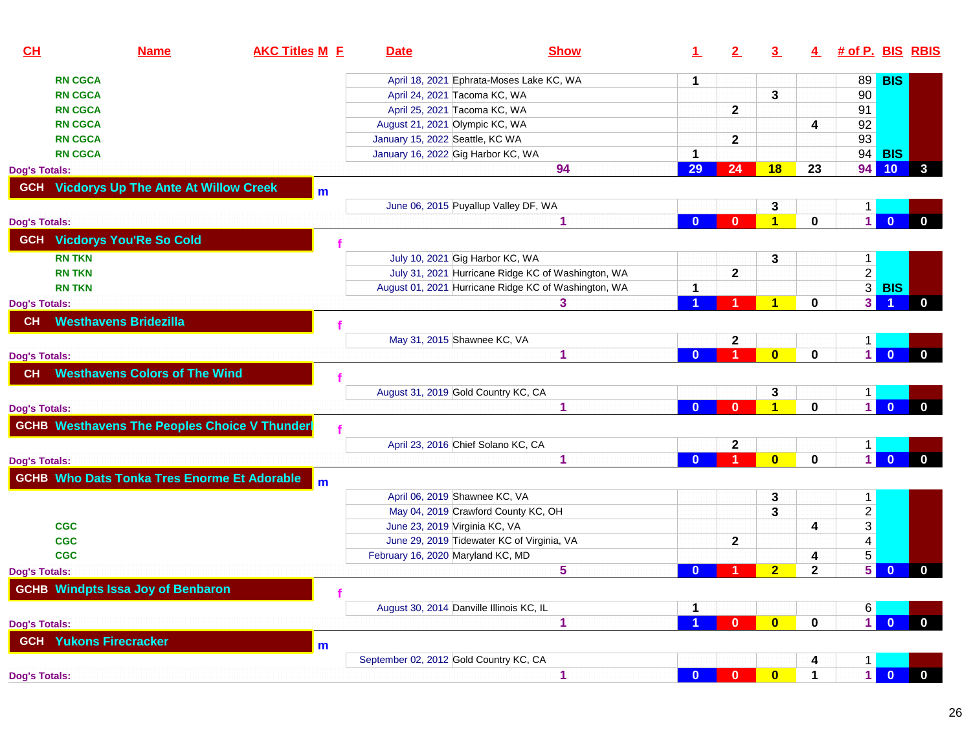| CL                   | <b>Name</b>                                         | <b>AKC Titles M E</b> | <b>Date</b>                              | <b>Show</b>                                          | 1.           | 2            | $\overline{3}$          | 4            | # of P. BIS RBIS        |                |              |
|----------------------|-----------------------------------------------------|-----------------------|------------------------------------------|------------------------------------------------------|--------------|--------------|-------------------------|--------------|-------------------------|----------------|--------------|
| <b>RN CGCA</b>       |                                                     |                       |                                          | April 18, 2021 Ephrata-Moses Lake KC, WA             | 1            |              |                         |              | 89                      | <b>BIS</b>     |              |
| <b>RN CGCA</b>       |                                                     |                       | April 24, 2021 Tacoma KC, WA             |                                                      |              |              | 3                       |              | 90                      |                |              |
| <b>RN CGCA</b>       |                                                     |                       | April 25, 2021 Tacoma KC, WA             |                                                      |              | $\mathbf{2}$ |                         |              | 91                      |                |              |
| <b>RN CGCA</b>       |                                                     |                       | August 21, 2021 Olympic KC, WA           |                                                      |              |              |                         | 4            | 92                      |                |              |
| <b>RN CGCA</b>       |                                                     |                       | January 15, 2022 Seattle, KC WA          |                                                      |              | $\mathbf{2}$ |                         |              | 93                      |                |              |
| <b>RN CGCA</b>       |                                                     |                       | January 16, 2022 Gig Harbor KC, WA       |                                                      |              |              |                         |              |                         | 94 <b>BIS</b>  |              |
| <b>Dog's Totals:</b> |                                                     |                       |                                          | 94                                                   | 29           | 24           | 18                      | 23           | 94                      | 10             | 3            |
|                      | <b>GCH</b> Vicdorys Up The Ante At Willow Creek     | m                     |                                          |                                                      |              |              |                         |              |                         |                |              |
|                      |                                                     |                       |                                          | June 06, 2015 Puyallup Valley DF, WA                 |              |              | 3                       |              | $\mathbf{1}$            |                |              |
| <b>Dog's Totals:</b> |                                                     |                       |                                          | 1                                                    | $\mathbf{0}$ | $\bf{0}$     | $\overline{\mathbf{1}}$ | $\mathbf 0$  | $\vert$ 1               | $\overline{0}$ | $\mathbf{0}$ |
| <b>GCH</b>           | <b>Vicdorys You'Re So Cold</b>                      |                       |                                          |                                                      |              |              |                         |              |                         |                |              |
| <b>RN TKN</b>        |                                                     |                       | July 10, 2021 Gig Harbor KC, WA          |                                                      |              |              | 3                       |              | $\vert$ 1               |                |              |
| <b>RN TKN</b>        |                                                     |                       |                                          | July 31, 2021 Hurricane Ridge KC of Washington, WA   |              | 2            |                         |              | $\overline{2}$          |                |              |
| <b>RN TKN</b>        |                                                     |                       |                                          | August 01, 2021 Hurricane Ridge KC of Washington, WA |              |              |                         |              | $\overline{\mathbf{3}}$ | <b>BIS</b>     |              |
| <b>Dog's Totals:</b> |                                                     |                       |                                          | 3                                                    |              |              | $\blacktriangleleft$    | 0            | $\mathbf{3}$            |                | $\mathbf{0}$ |
| <b>CH</b>            | <b>Westhavens Bridezilla</b>                        |                       |                                          |                                                      |              |              |                         |              |                         |                |              |
|                      |                                                     |                       | May 31, 2015 Shawnee KC, VA              |                                                      |              | $\mathbf 2$  |                         |              | $\mathbf 1$             |                |              |
| <b>Dog's Totals:</b> |                                                     |                       |                                          | 1                                                    | $\mathbf{0}$ |              | $\bf{0}$                | $\mathbf 0$  | $\vert$ 1               | $\mathbf{0}$   | $\mathbf{0}$ |
| <b>CH</b>            | <b>Westhavens Colors of The Wind</b>                |                       |                                          |                                                      |              |              |                         |              |                         |                |              |
|                      |                                                     |                       | August 31, 2019 Gold Country KC, CA      |                                                      |              |              | 3                       |              | $\mathbf{1}$            |                |              |
| <b>Dog's Totals:</b> |                                                     |                       |                                          | 1                                                    | $\Omega$     | 0            | $\overline{\mathbf{1}}$ | $\mathbf 0$  | $\overline{1}$          | $\overline{0}$ | $\mathbf{0}$ |
|                      | <b>GCHB Westhavens The Peoples Choice V Thunder</b> |                       |                                          |                                                      |              |              |                         |              |                         |                |              |
|                      |                                                     |                       | April 23, 2016 Chief Solano KC, CA       |                                                      |              | $\mathbf 2$  |                         |              | $\vert$ 1               |                |              |
| <b>Dog's Totals:</b> |                                                     |                       |                                          | 1                                                    | $\mathbf{0}$ |              | $\mathbf{0}$            | $\mathbf 0$  | $\vert$ 1               | $\overline{0}$ | $\mathbf{0}$ |
|                      | <b>GCHB Who Dats Tonka Tres Enorme Et Adorable</b>  | m                     |                                          |                                                      |              |              |                         |              |                         |                |              |
|                      |                                                     |                       | April 06, 2019 Shawnee KC, VA            |                                                      |              |              | 3                       |              | $\mathbf{1}$            |                |              |
|                      |                                                     |                       |                                          | May 04, 2019 Crawford County KC, OH                  |              |              | 3                       |              | $\overline{2}$          |                |              |
| <b>CGC</b>           |                                                     |                       | June 23, 2019 Virginia KC, VA            |                                                      |              |              |                         | 4            | $\mathbf{3}$            |                |              |
| <b>CGC</b>           |                                                     |                       |                                          | June 29, 2019 Tidewater KC of Virginia, VA           |              | $\mathbf{2}$ |                         |              | $\overline{4}$          |                |              |
| <b>CGC</b>           |                                                     |                       | February 16, 2020 Maryland KC, MD        |                                                      |              |              |                         | 4            | $5\phantom{.0}$         |                |              |
| <b>Dog's Totals:</b> |                                                     |                       |                                          | 5                                                    | $\Omega$     |              | $\overline{2}$          | $\mathbf{2}$ | 5                       | $\mathbf{0}$   | $\mathbf{0}$ |
|                      | <b>GCHB Windpts Issa Joy of Benbaron</b>            |                       |                                          |                                                      |              |              |                         |              |                         |                |              |
|                      |                                                     |                       | August 30, 2014 Danville Illinois KC, IL |                                                      | 1            |              |                         |              | 6                       |                |              |
| <b>Dog's Totals:</b> |                                                     |                       |                                          | 1                                                    |              | $\bf{0}$     | $\mathbf{0}$            | $\mathbf 0$  | $\vert$ 1               | $\overline{0}$ | $\mathbf{0}$ |
|                      | <b>GCH</b> Yukons Firecracker                       | m                     |                                          |                                                      |              |              |                         |              |                         |                |              |
|                      |                                                     |                       | September 02, 2012 Gold Country KC, CA   |                                                      |              |              |                         | 4            | $\mathbf{1}$            |                |              |
| <b>Dog's Totals:</b> |                                                     |                       |                                          | 1                                                    | $\mathbf{0}$ | $\mathbf{0}$ | $\bullet$               | $\mathbf 1$  | $\vert$                 | $\overline{0}$ | $\mathbf{0}$ |